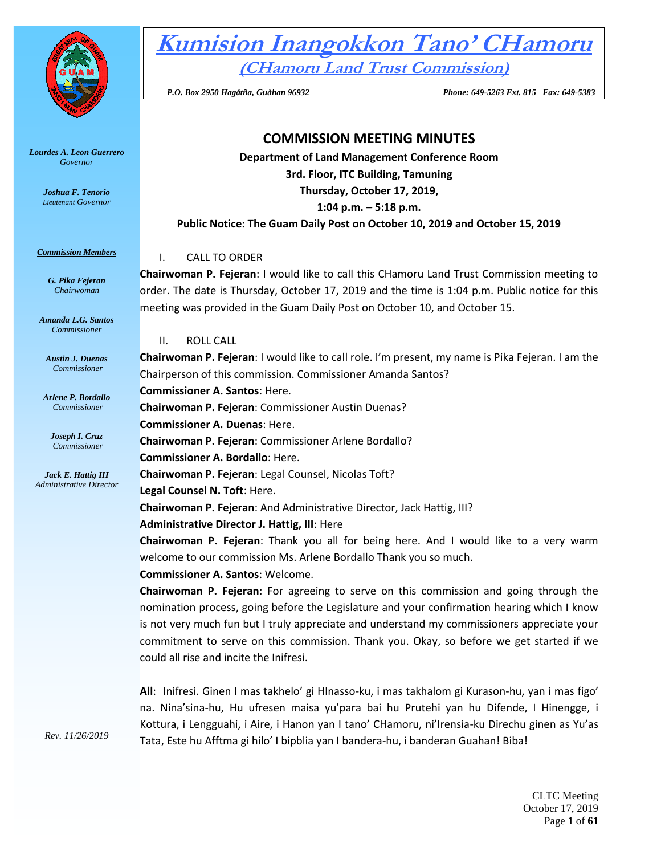

*Lourdes A. Leon Guerrero Governor* 

> *Joshua F. Tenorio Lieutenant Governor*

#### *Commission Members*

*G. Pika Fejeran Chairwoman*

*Amanda L.G. Santos Commissioner*

*Austin J. Duenas Commissioner*

*Arlene P. Bordallo Commissioner*

*Joseph I. Cruz Commissioner*

*Jack E. Hattig III Administrative Director*

*Rev. 11/26/2019*

**Kumision Inangokkon Tano' CHamoru (CHamoru Land Trust Commission)**

 *P.O. Box 2950 Hagåtña, Guåhan 96932 Phone: 649-5263 Ext. 815 Fax: 649-5383*

# **COMMISSION MEETING MINUTES**

**Department of Land Management Conference Room 3rd. Floor, ITC Building, Tamuning Thursday, October 17, 2019, 1:04 p.m. – 5:18 p.m. Public Notice: The Guam Daily Post on October 10, 2019 and October 15, 2019**

### I. CALL TO ORDER

**Chairwoman P. Fejeran**: I would like to call this CHamoru Land Trust Commission meeting to order. The date is Thursday, October 17, 2019 and the time is 1:04 p.m. Public notice for this meeting was provided in the Guam Daily Post on October 10, and October 15.

II. ROLL CALL

**Chairwoman P. Fejeran**: I would like to call role. I'm present, my name is Pika Fejeran. I am the Chairperson of this commission. Commissioner Amanda Santos? **Commissioner A. Santos**: Here. **Chairwoman P. Fejeran**: Commissioner Austin Duenas? **Commissioner A. Duenas**: Here. **Chairwoman P. Fejeran**: Commissioner Arlene Bordallo? **Commissioner A. Bordallo**: Here. **Chairwoman P. Fejeran**: Legal Counsel, Nicolas Toft? **Legal Counsel N. Toft**: Here. **Chairwoman P. Fejeran**: And Administrative Director, Jack Hattig, III? **Administrative Director J. Hattig, III**: Here **Chairwoman P. Fejeran**: Thank you all for being here. And I would like to a very warm welcome to our commission Ms. Arlene Bordallo Thank you so much. **Commissioner A. Santos**: Welcome.

**Chairwoman P. Fejeran**: For agreeing to serve on this commission and going through the nomination process, going before the Legislature and your confirmation hearing which I know is not very much fun but I truly appreciate and understand my commissioners appreciate your commitment to serve on this commission. Thank you. Okay, so before we get started if we could all rise and incite the Inifresi.

**All**: Inifresi. Ginen I mas takhelo' gi HInasso-ku, i mas takhalom gi Kurason-hu, yan i mas figo' na. Nina'sina-hu, Hu ufresen maisa yu'para bai hu Prutehi yan hu Difende, I Hinengge, i Kottura, i Lengguahi, i Aire, i Hanon yan I tano' CHamoru, ni'Irensia-ku Direchu ginen as Yu'as Tata, Este hu Afftma gi hilo' I bipblia yan I bandera-hu, i banderan Guahan! Biba!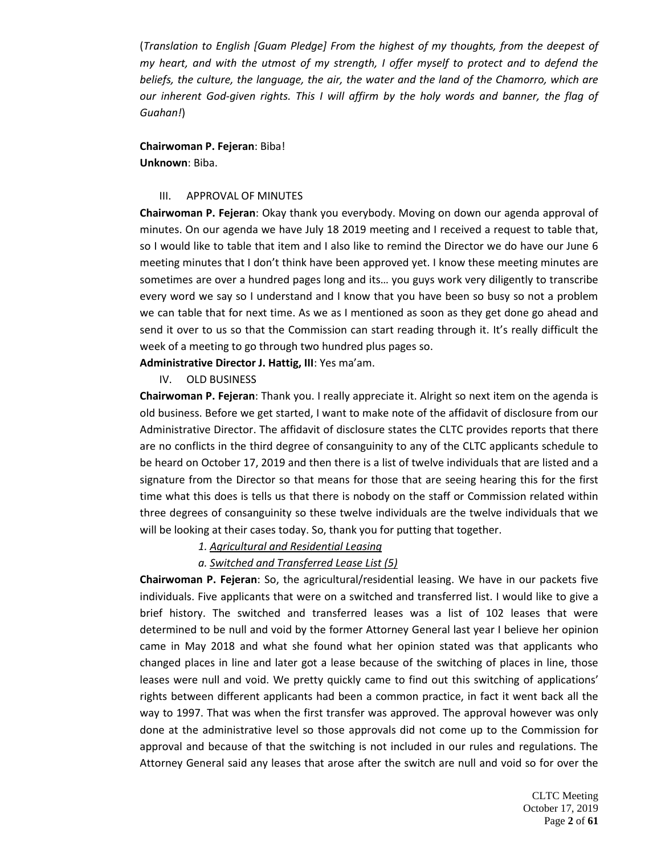(*Translation to English [Guam Pledge] From the highest of my thoughts, from the deepest of my heart, and with the utmost of my strength, I offer myself to protect and to defend the beliefs, the culture, the language, the air, the water and the land of the Chamorro, which are our inherent God-given rights. This I will affirm by the holy words and banner, the flag of Guahan!*)

**Chairwoman P. Fejeran**: Biba! **Unknown**: Biba.

### III. APPROVAL OF MINUTES

**Chairwoman P. Fejeran**: Okay thank you everybody. Moving on down our agenda approval of minutes. On our agenda we have July 18 2019 meeting and I received a request to table that, so I would like to table that item and I also like to remind the Director we do have our June 6 meeting minutes that I don't think have been approved yet. I know these meeting minutes are sometimes are over a hundred pages long and its… you guys work very diligently to transcribe every word we say so I understand and I know that you have been so busy so not a problem we can table that for next time. As we as I mentioned as soon as they get done go ahead and send it over to us so that the Commission can start reading through it. It's really difficult the week of a meeting to go through two hundred plus pages so.

**Administrative Director J. Hattig, III**: Yes ma'am.

IV. OLD BUSINESS

**Chairwoman P. Fejeran**: Thank you. I really appreciate it. Alright so next item on the agenda is old business. Before we get started, I want to make note of the affidavit of disclosure from our Administrative Director. The affidavit of disclosure states the CLTC provides reports that there are no conflicts in the third degree of consanguinity to any of the CLTC applicants schedule to be heard on October 17, 2019 and then there is a list of twelve individuals that are listed and a signature from the Director so that means for those that are seeing hearing this for the first time what this does is tells us that there is nobody on the staff or Commission related within three degrees of consanguinity so these twelve individuals are the twelve individuals that we will be looking at their cases today. So, thank you for putting that together.

### *1. Agricultural and Residential Leasing*

### *a. Switched and Transferred Lease List (5)*

**Chairwoman P. Fejeran**: So, the agricultural/residential leasing. We have in our packets five individuals. Five applicants that were on a switched and transferred list. I would like to give a brief history. The switched and transferred leases was a list of 102 leases that were determined to be null and void by the former Attorney General last year I believe her opinion came in May 2018 and what she found what her opinion stated was that applicants who changed places in line and later got a lease because of the switching of places in line, those leases were null and void. We pretty quickly came to find out this switching of applications' rights between different applicants had been a common practice, in fact it went back all the way to 1997. That was when the first transfer was approved. The approval however was only done at the administrative level so those approvals did not come up to the Commission for approval and because of that the switching is not included in our rules and regulations. The Attorney General said any leases that arose after the switch are null and void so for over the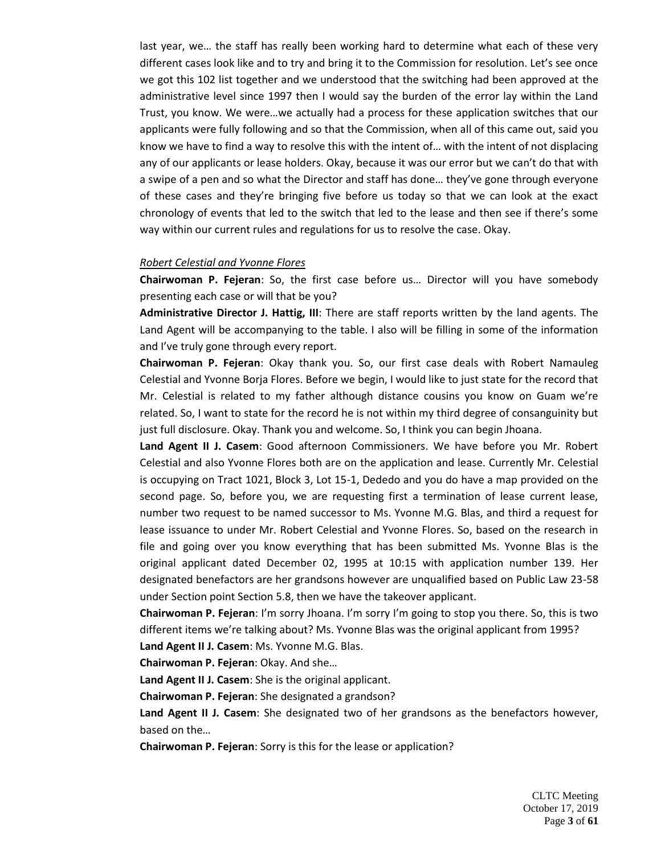last year, we… the staff has really been working hard to determine what each of these very different cases look like and to try and bring it to the Commission for resolution. Let's see once we got this 102 list together and we understood that the switching had been approved at the administrative level since 1997 then I would say the burden of the error lay within the Land Trust, you know. We were…we actually had a process for these application switches that our applicants were fully following and so that the Commission, when all of this came out, said you know we have to find a way to resolve this with the intent of… with the intent of not displacing any of our applicants or lease holders. Okay, because it was our error but we can't do that with a swipe of a pen and so what the Director and staff has done… they've gone through everyone of these cases and they're bringing five before us today so that we can look at the exact chronology of events that led to the switch that led to the lease and then see if there's some way within our current rules and regulations for us to resolve the case. Okay.

### *Robert Celestial and Yvonne Flores*

**Chairwoman P. Fejeran**: So, the first case before us… Director will you have somebody presenting each case or will that be you?

**Administrative Director J. Hattig, III**: There are staff reports written by the land agents. The Land Agent will be accompanying to the table. I also will be filling in some of the information and I've truly gone through every report.

**Chairwoman P. Fejeran**: Okay thank you. So, our first case deals with Robert Namauleg Celestial and Yvonne Borja Flores. Before we begin, I would like to just state for the record that Mr. Celestial is related to my father although distance cousins you know on Guam we're related. So, I want to state for the record he is not within my third degree of consanguinity but just full disclosure. Okay. Thank you and welcome. So, I think you can begin Jhoana.

**Land Agent II J. Casem**: Good afternoon Commissioners. We have before you Mr. Robert Celestial and also Yvonne Flores both are on the application and lease. Currently Mr. Celestial is occupying on Tract 1021, Block 3, Lot 15-1, Dededo and you do have a map provided on the second page. So, before you, we are requesting first a termination of lease current lease, number two request to be named successor to Ms. Yvonne M.G. Blas, and third a request for lease issuance to under Mr. Robert Celestial and Yvonne Flores. So, based on the research in file and going over you know everything that has been submitted Ms. Yvonne Blas is the original applicant dated December 02, 1995 at 10:15 with application number 139. Her designated benefactors are her grandsons however are unqualified based on Public Law 23-58 under Section point Section 5.8, then we have the takeover applicant.

**Chairwoman P. Fejeran**: I'm sorry Jhoana. I'm sorry I'm going to stop you there. So, this is two different items we're talking about? Ms. Yvonne Blas was the original applicant from 1995?

**Land Agent II J. Casem**: Ms. Yvonne M.G. Blas.

**Chairwoman P. Fejeran**: Okay. And she…

**Land Agent II J. Casem**: She is the original applicant.

**Chairwoman P. Fejeran**: She designated a grandson?

**Land Agent II J. Casem**: She designated two of her grandsons as the benefactors however, based on the…

**Chairwoman P. Fejeran**: Sorry is this for the lease or application?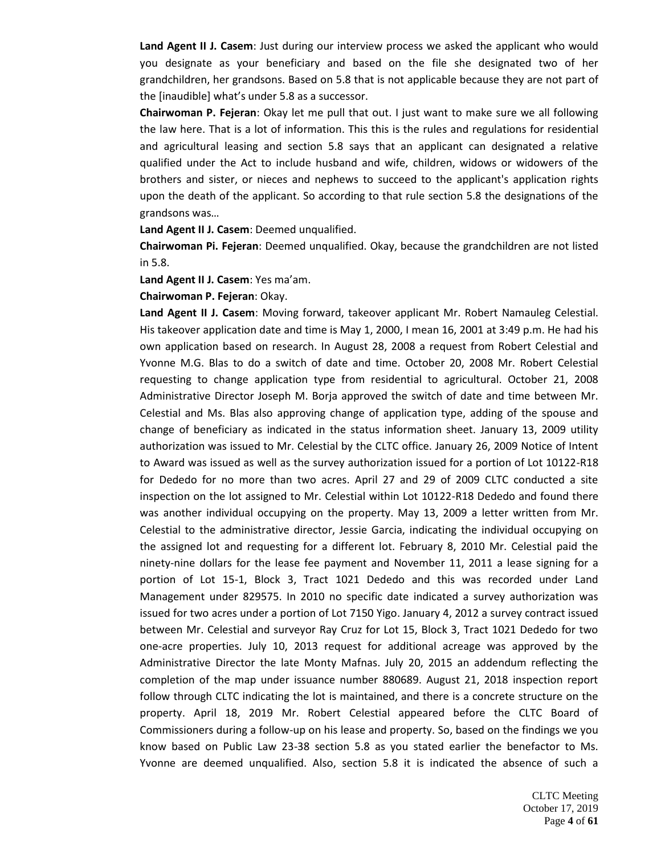**Land Agent II J. Casem**: Just during our interview process we asked the applicant who would you designate as your beneficiary and based on the file she designated two of her grandchildren, her grandsons. Based on 5.8 that is not applicable because they are not part of the [inaudible] what's under 5.8 as a successor.

**Chairwoman P. Fejeran**: Okay let me pull that out. I just want to make sure we all following the law here. That is a lot of information. This this is the rules and regulations for residential and agricultural leasing and section 5.8 says that an applicant can designated a relative qualified under the Act to include husband and wife, children, widows or widowers of the brothers and sister, or nieces and nephews to succeed to the applicant's application rights upon the death of the applicant. So according to that rule section 5.8 the designations of the grandsons was…

**Land Agent II J. Casem**: Deemed unqualified.

**Chairwoman Pi. Fejeran**: Deemed unqualified. Okay, because the grandchildren are not listed in 5.8.

**Land Agent II J. Casem**: Yes ma'am.

**Chairwoman P. Fejeran**: Okay.

**Land Agent II J. Casem**: Moving forward, takeover applicant Mr. Robert Namauleg Celestial. His takeover application date and time is May 1, 2000, I mean 16, 2001 at 3:49 p.m. He had his own application based on research. In August 28, 2008 a request from Robert Celestial and Yvonne M.G. Blas to do a switch of date and time. October 20, 2008 Mr. Robert Celestial requesting to change application type from residential to agricultural. October 21, 2008 Administrative Director Joseph M. Borja approved the switch of date and time between Mr. Celestial and Ms. Blas also approving change of application type, adding of the spouse and change of beneficiary as indicated in the status information sheet. January 13, 2009 utility authorization was issued to Mr. Celestial by the CLTC office. January 26, 2009 Notice of Intent to Award was issued as well as the survey authorization issued for a portion of Lot 10122-R18 for Dededo for no more than two acres. April 27 and 29 of 2009 CLTC conducted a site inspection on the lot assigned to Mr. Celestial within Lot 10122-R18 Dededo and found there was another individual occupying on the property. May 13, 2009 a letter written from Mr. Celestial to the administrative director, Jessie Garcia, indicating the individual occupying on the assigned lot and requesting for a different lot. February 8, 2010 Mr. Celestial paid the ninety-nine dollars for the lease fee payment and November 11, 2011 a lease signing for a portion of Lot 15-1, Block 3, Tract 1021 Dededo and this was recorded under Land Management under 829575. In 2010 no specific date indicated a survey authorization was issued for two acres under a portion of Lot 7150 Yigo. January 4, 2012 a survey contract issued between Mr. Celestial and surveyor Ray Cruz for Lot 15, Block 3, Tract 1021 Dededo for two one-acre properties. July 10, 2013 request for additional acreage was approved by the Administrative Director the late Monty Mafnas. July 20, 2015 an addendum reflecting the completion of the map under issuance number 880689. August 21, 2018 inspection report follow through CLTC indicating the lot is maintained, and there is a concrete structure on the property. April 18, 2019 Mr. Robert Celestial appeared before the CLTC Board of Commissioners during a follow-up on his lease and property. So, based on the findings we you know based on Public Law 23-38 section 5.8 as you stated earlier the benefactor to Ms. Yvonne are deemed unqualified. Also, section 5.8 it is indicated the absence of such a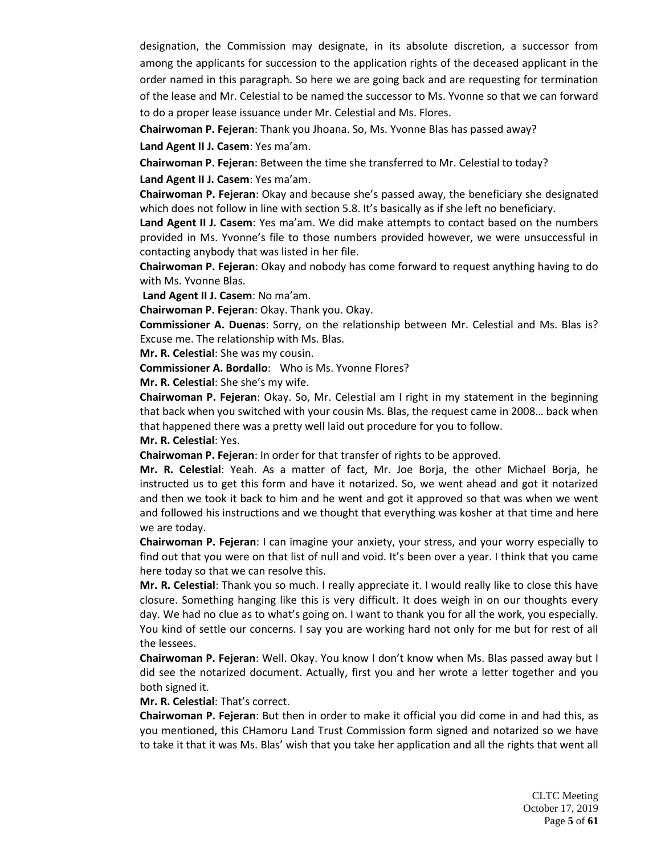designation, the Commission may designate, in its absolute discretion, a successor from among the applicants for succession to the application rights of the deceased applicant in the order named in this paragraph. So here we are going back and are requesting for termination of the lease and Mr. Celestial to be named the successor to Ms. Yvonne so that we can forward to do a proper lease issuance under Mr. Celestial and Ms. Flores.

**Chairwoman P. Fejeran**: Thank you Jhoana. So, Ms. Yvonne Blas has passed away? **Land Agent II J. Casem**: Yes ma'am.

**Chairwoman P. Fejeran**: Between the time she transferred to Mr. Celestial to today?

**Land Agent II J. Casem**: Yes ma'am.

**Chairwoman P. Fejeran**: Okay and because she's passed away, the beneficiary she designated which does not follow in line with section 5.8. It's basically as if she left no beneficiary.

**Land Agent II J. Casem**: Yes ma'am. We did make attempts to contact based on the numbers provided in Ms. Yvonne's file to those numbers provided however, we were unsuccessful in contacting anybody that was listed in her file.

**Chairwoman P. Fejeran**: Okay and nobody has come forward to request anything having to do with Ms. Yvonne Blas.

**Land Agent II J. Casem**: No ma'am.

**Chairwoman P. Fejeran**: Okay. Thank you. Okay.

**Commissioner A. Duenas**: Sorry, on the relationship between Mr. Celestial and Ms. Blas is? Excuse me. The relationship with Ms. Blas.

**Mr. R. Celestial**: She was my cousin.

**Commissioner A. Bordallo**: Who is Ms. Yvonne Flores?

**Mr. R. Celestial**: She she's my wife.

**Chairwoman P. Fejeran**: Okay. So, Mr. Celestial am I right in my statement in the beginning that back when you switched with your cousin Ms. Blas, the request came in 2008… back when that happened there was a pretty well laid out procedure for you to follow.

**Mr. R. Celestial**: Yes.

**Chairwoman P. Fejeran**: In order for that transfer of rights to be approved.

**Mr. R. Celestial**: Yeah. As a matter of fact, Mr. Joe Borja, the other Michael Borja, he instructed us to get this form and have it notarized. So, we went ahead and got it notarized and then we took it back to him and he went and got it approved so that was when we went and followed his instructions and we thought that everything was kosher at that time and here we are today.

**Chairwoman P. Fejeran**: I can imagine your anxiety, your stress, and your worry especially to find out that you were on that list of null and void. It's been over a year. I think that you came here today so that we can resolve this.

**Mr. R. Celestial**: Thank you so much. I really appreciate it. I would really like to close this have closure. Something hanging like this is very difficult. It does weigh in on our thoughts every day. We had no clue as to what's going on. I want to thank you for all the work, you especially. You kind of settle our concerns. I say you are working hard not only for me but for rest of all the lessees.

**Chairwoman P. Fejeran**: Well. Okay. You know I don't know when Ms. Blas passed away but I did see the notarized document. Actually, first you and her wrote a letter together and you both signed it.

**Mr. R. Celestial**: That's correct.

**Chairwoman P. Fejeran**: But then in order to make it official you did come in and had this, as you mentioned, this CHamoru Land Trust Commission form signed and notarized so we have to take it that it was Ms. Blas' wish that you take her application and all the rights that went all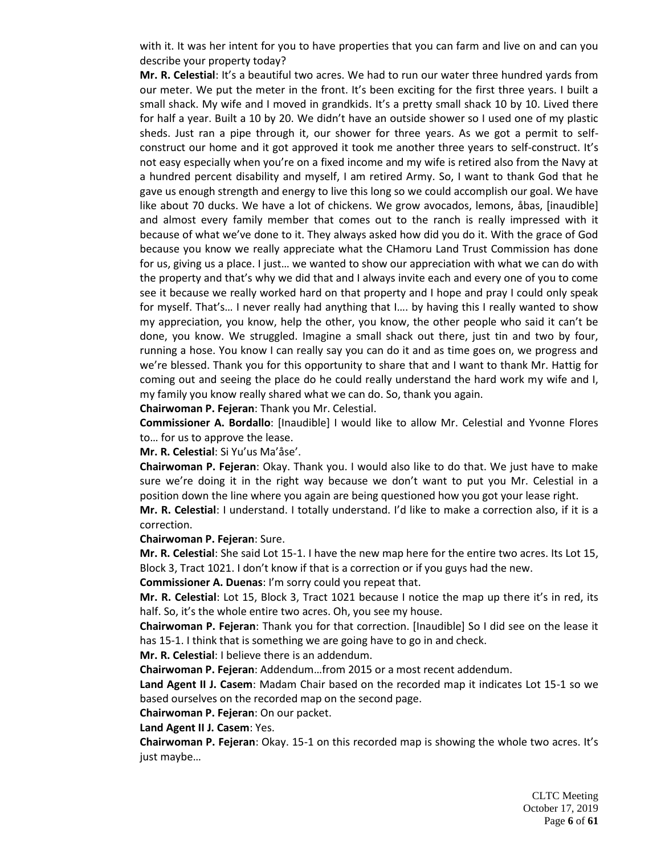with it. It was her intent for you to have properties that you can farm and live on and can you describe your property today?

**Mr. R. Celestial**: It's a beautiful two acres. We had to run our water three hundred yards from our meter. We put the meter in the front. It's been exciting for the first three years. I built a small shack. My wife and I moved in grandkids. It's a pretty small shack 10 by 10. Lived there for half a year. Built a 10 by 20. We didn't have an outside shower so I used one of my plastic sheds. Just ran a pipe through it, our shower for three years. As we got a permit to selfconstruct our home and it got approved it took me another three years to self-construct. It's not easy especially when you're on a fixed income and my wife is retired also from the Navy at a hundred percent disability and myself, I am retired Army. So, I want to thank God that he gave us enough strength and energy to live this long so we could accomplish our goal. We have like about 70 ducks. We have a lot of chickens. We grow avocados, lemons, åbas, [inaudible] and almost every family member that comes out to the ranch is really impressed with it because of what we've done to it. They always asked how did you do it. With the grace of God because you know we really appreciate what the CHamoru Land Trust Commission has done for us, giving us a place. I just… we wanted to show our appreciation with what we can do with the property and that's why we did that and I always invite each and every one of you to come see it because we really worked hard on that property and I hope and pray I could only speak for myself. That's… I never really had anything that I…. by having this I really wanted to show my appreciation, you know, help the other, you know, the other people who said it can't be done, you know. We struggled. Imagine a small shack out there, just tin and two by four, running a hose. You know I can really say you can do it and as time goes on, we progress and we're blessed. Thank you for this opportunity to share that and I want to thank Mr. Hattig for coming out and seeing the place do he could really understand the hard work my wife and I, my family you know really shared what we can do. So, thank you again.

**Chairwoman P. Fejeran**: Thank you Mr. Celestial.

**Commissioner A. Bordallo**: [Inaudible] I would like to allow Mr. Celestial and Yvonne Flores to… for us to approve the lease.

**Mr. R. Celestial**: Si Yu'us Ma'åse'.

**Chairwoman P. Fejeran**: Okay. Thank you. I would also like to do that. We just have to make sure we're doing it in the right way because we don't want to put you Mr. Celestial in a position down the line where you again are being questioned how you got your lease right.

**Mr. R. Celestial**: I understand. I totally understand. I'd like to make a correction also, if it is a correction.

**Chairwoman P. Fejeran**: Sure.

**Mr. R. Celestial**: She said Lot 15-1. I have the new map here for the entire two acres. Its Lot 15, Block 3, Tract 1021. I don't know if that is a correction or if you guys had the new.

**Commissioner A. Duenas**: I'm sorry could you repeat that.

**Mr. R. Celestial**: Lot 15, Block 3, Tract 1021 because I notice the map up there it's in red, its half. So, it's the whole entire two acres. Oh, you see my house.

**Chairwoman P. Fejeran**: Thank you for that correction. [Inaudible] So I did see on the lease it has 15-1. I think that is something we are going have to go in and check.

**Mr. R. Celestial**: I believe there is an addendum.

**Chairwoman P. Fejeran**: Addendum…from 2015 or a most recent addendum.

**Land Agent II J. Casem**: Madam Chair based on the recorded map it indicates Lot 15-1 so we based ourselves on the recorded map on the second page.

**Chairwoman P. Fejeran**: On our packet.

**Land Agent II J. Casem**: Yes.

**Chairwoman P. Fejeran**: Okay. 15-1 on this recorded map is showing the whole two acres. It's just maybe…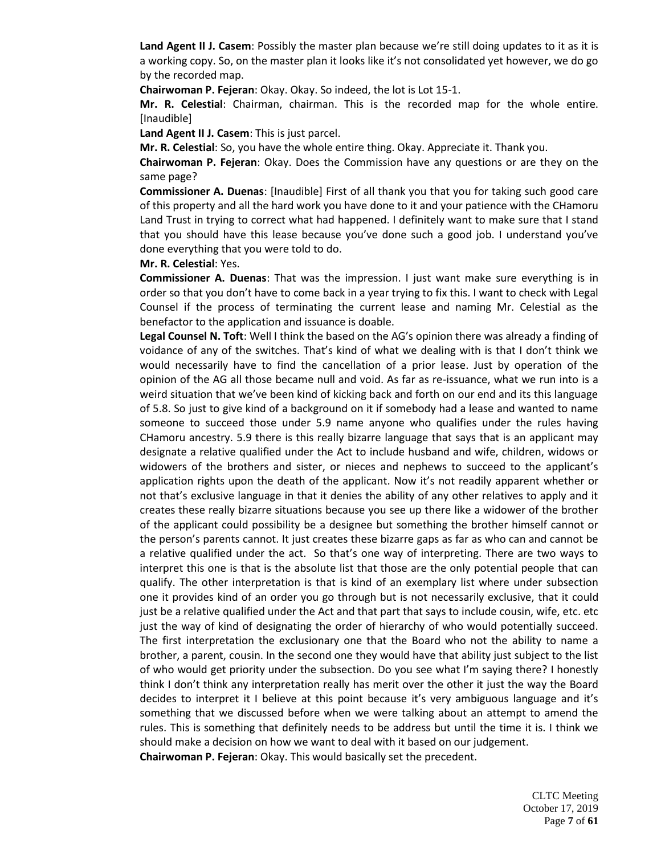**Land Agent II J. Casem**: Possibly the master plan because we're still doing updates to it as it is a working copy. So, on the master plan it looks like it's not consolidated yet however, we do go by the recorded map.

**Chairwoman P. Fejeran**: Okay. Okay. So indeed, the lot is Lot 15-1.

**Mr. R. Celestial**: Chairman, chairman. This is the recorded map for the whole entire. [Inaudible]

**Land Agent II J. Casem**: This is just parcel.

**Mr. R. Celestial**: So, you have the whole entire thing. Okay. Appreciate it. Thank you.

**Chairwoman P. Fejeran**: Okay. Does the Commission have any questions or are they on the same page?

**Commissioner A. Duenas**: [Inaudible] First of all thank you that you for taking such good care of this property and all the hard work you have done to it and your patience with the CHamoru Land Trust in trying to correct what had happened. I definitely want to make sure that I stand that you should have this lease because you've done such a good job. I understand you've done everything that you were told to do.

**Mr. R. Celestial**: Yes.

**Commissioner A. Duenas**: That was the impression. I just want make sure everything is in order so that you don't have to come back in a year trying to fix this. I want to check with Legal Counsel if the process of terminating the current lease and naming Mr. Celestial as the benefactor to the application and issuance is doable.

**Legal Counsel N. Toft**: Well I think the based on the AG's opinion there was already a finding of voidance of any of the switches. That's kind of what we dealing with is that I don't think we would necessarily have to find the cancellation of a prior lease. Just by operation of the opinion of the AG all those became null and void. As far as re-issuance, what we run into is a weird situation that we've been kind of kicking back and forth on our end and its this language of 5.8. So just to give kind of a background on it if somebody had a lease and wanted to name someone to succeed those under 5.9 name anyone who qualifies under the rules having CHamoru ancestry. 5.9 there is this really bizarre language that says that is an applicant may designate a relative qualified under the Act to include husband and wife, children, widows or widowers of the brothers and sister, or nieces and nephews to succeed to the applicant's application rights upon the death of the applicant. Now it's not readily apparent whether or not that's exclusive language in that it denies the ability of any other relatives to apply and it creates these really bizarre situations because you see up there like a widower of the brother of the applicant could possibility be a designee but something the brother himself cannot or the person's parents cannot. It just creates these bizarre gaps as far as who can and cannot be a relative qualified under the act. So that's one way of interpreting. There are two ways to interpret this one is that is the absolute list that those are the only potential people that can qualify. The other interpretation is that is kind of an exemplary list where under subsection one it provides kind of an order you go through but is not necessarily exclusive, that it could just be a relative qualified under the Act and that part that says to include cousin, wife, etc. etc just the way of kind of designating the order of hierarchy of who would potentially succeed. The first interpretation the exclusionary one that the Board who not the ability to name a brother, a parent, cousin. In the second one they would have that ability just subject to the list of who would get priority under the subsection. Do you see what I'm saying there? I honestly think I don't think any interpretation really has merit over the other it just the way the Board decides to interpret it I believe at this point because it's very ambiguous language and it's something that we discussed before when we were talking about an attempt to amend the rules. This is something that definitely needs to be address but until the time it is. I think we should make a decision on how we want to deal with it based on our judgement. **Chairwoman P. Fejeran**: Okay. This would basically set the precedent.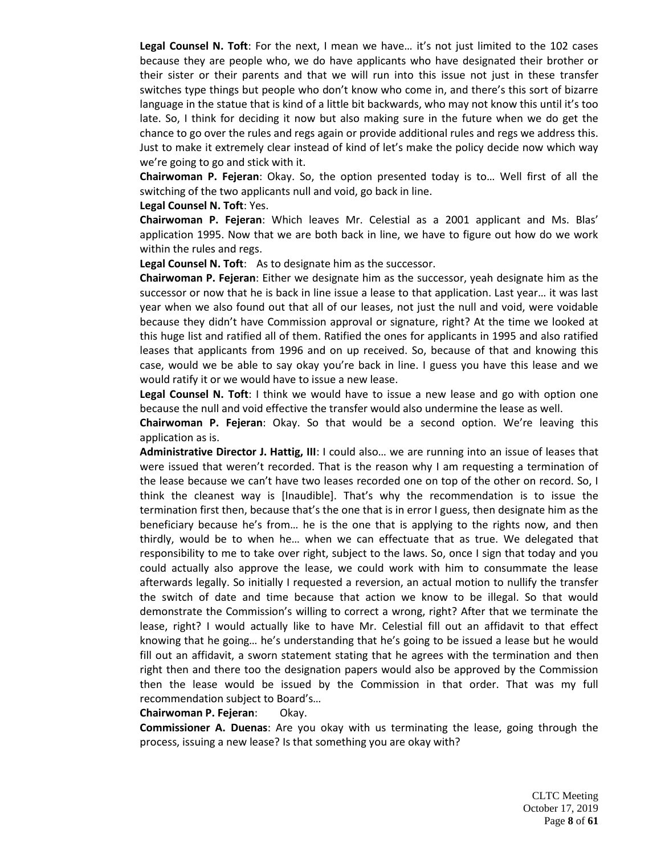Legal Counsel N. Toft: For the next, I mean we have... it's not just limited to the 102 cases because they are people who, we do have applicants who have designated their brother or their sister or their parents and that we will run into this issue not just in these transfer switches type things but people who don't know who come in, and there's this sort of bizarre language in the statue that is kind of a little bit backwards, who may not know this until it's too late. So, I think for deciding it now but also making sure in the future when we do get the chance to go over the rules and regs again or provide additional rules and regs we address this. Just to make it extremely clear instead of kind of let's make the policy decide now which way we're going to go and stick with it.

**Chairwoman P. Fejeran**: Okay. So, the option presented today is to… Well first of all the switching of the two applicants null and void, go back in line.

#### **Legal Counsel N. Toft**: Yes.

**Chairwoman P. Fejeran**: Which leaves Mr. Celestial as a 2001 applicant and Ms. Blas' application 1995. Now that we are both back in line, we have to figure out how do we work within the rules and regs.

**Legal Counsel N. Toft**: As to designate him as the successor.

**Chairwoman P. Fejeran**: Either we designate him as the successor, yeah designate him as the successor or now that he is back in line issue a lease to that application. Last year… it was last year when we also found out that all of our leases, not just the null and void, were voidable because they didn't have Commission approval or signature, right? At the time we looked at this huge list and ratified all of them. Ratified the ones for applicants in 1995 and also ratified leases that applicants from 1996 and on up received. So, because of that and knowing this case, would we be able to say okay you're back in line. I guess you have this lease and we would ratify it or we would have to issue a new lease.

**Legal Counsel N. Toft**: I think we would have to issue a new lease and go with option one because the null and void effective the transfer would also undermine the lease as well.

**Chairwoman P. Fejeran**: Okay. So that would be a second option. We're leaving this application as is.

**Administrative Director J. Hattig, III**: I could also… we are running into an issue of leases that were issued that weren't recorded. That is the reason why I am requesting a termination of the lease because we can't have two leases recorded one on top of the other on record. So, I think the cleanest way is [Inaudible]. That's why the recommendation is to issue the termination first then, because that's the one that is in error I guess, then designate him as the beneficiary because he's from… he is the one that is applying to the rights now, and then thirdly, would be to when he… when we can effectuate that as true. We delegated that responsibility to me to take over right, subject to the laws. So, once I sign that today and you could actually also approve the lease, we could work with him to consummate the lease afterwards legally. So initially I requested a reversion, an actual motion to nullify the transfer the switch of date and time because that action we know to be illegal. So that would demonstrate the Commission's willing to correct a wrong, right? After that we terminate the lease, right? I would actually like to have Mr. Celestial fill out an affidavit to that effect knowing that he going… he's understanding that he's going to be issued a lease but he would fill out an affidavit, a sworn statement stating that he agrees with the termination and then right then and there too the designation papers would also be approved by the Commission then the lease would be issued by the Commission in that order. That was my full recommendation subject to Board's…

#### **Chairwoman P. Fejeran**: Okay.

**Commissioner A. Duenas**: Are you okay with us terminating the lease, going through the process, issuing a new lease? Is that something you are okay with?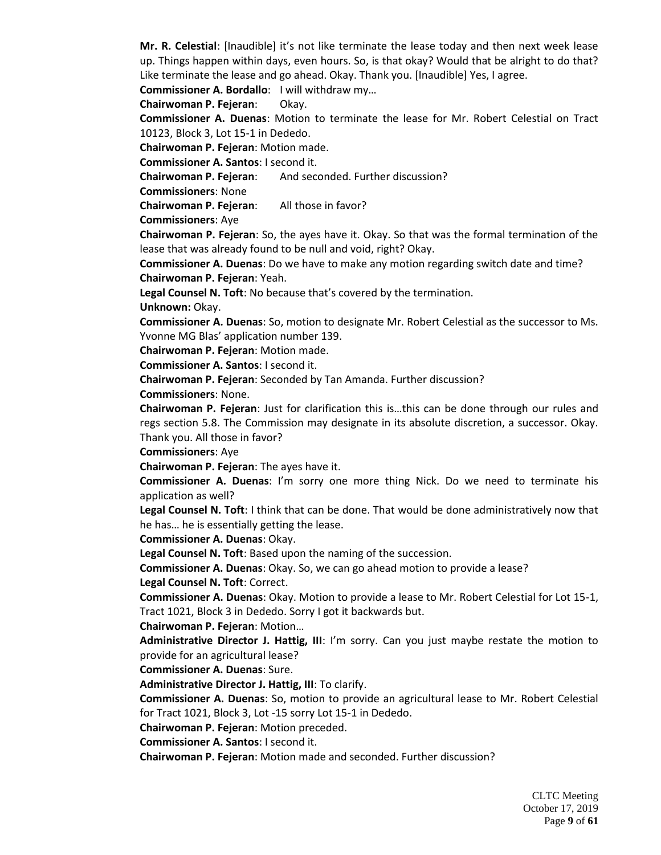**Mr. R. Celestial**: [Inaudible] it's not like terminate the lease today and then next week lease up. Things happen within days, even hours. So, is that okay? Would that be alright to do that? Like terminate the lease and go ahead. Okay. Thank you. [Inaudible] Yes, I agree.

**Commissioner A. Bordallo**: I will withdraw my…

**Chairwoman P. Fejeran**: Okay.

**Commissioner A. Duenas**: Motion to terminate the lease for Mr. Robert Celestial on Tract 10123, Block 3, Lot 15-1 in Dededo.

**Chairwoman P. Fejeran**: Motion made.

**Commissioner A. Santos**: I second it.

**Chairwoman P. Fejeran:** And seconded. Further discussion?

**Commissioners**: None

**Chairwoman P. Fejeran**: All those in favor?

**Commissioners**: Aye

**Chairwoman P. Fejeran**: So, the ayes have it. Okay. So that was the formal termination of the lease that was already found to be null and void, right? Okay.

**Commissioner A. Duenas**: Do we have to make any motion regarding switch date and time? **Chairwoman P. Fejeran**: Yeah.

**Legal Counsel N. Toft**: No because that's covered by the termination.

**Unknown:** Okay.

**Commissioner A. Duenas**: So, motion to designate Mr. Robert Celestial as the successor to Ms. Yvonne MG Blas' application number 139.

**Chairwoman P. Fejeran**: Motion made.

**Commissioner A. Santos**: I second it.

**Chairwoman P. Fejeran**: Seconded by Tan Amanda. Further discussion?

**Commissioners**: None.

**Chairwoman P. Fejeran**: Just for clarification this is…this can be done through our rules and regs section 5.8. The Commission may designate in its absolute discretion, a successor. Okay. Thank you. All those in favor?

**Commissioners**: Aye

**Chairwoman P. Fejeran**: The ayes have it.

**Commissioner A. Duenas**: I'm sorry one more thing Nick. Do we need to terminate his application as well?

**Legal Counsel N. Toft**: I think that can be done. That would be done administratively now that he has… he is essentially getting the lease.

**Commissioner A. Duenas**: Okay.

**Legal Counsel N. Toft**: Based upon the naming of the succession.

**Commissioner A. Duenas**: Okay. So, we can go ahead motion to provide a lease?

**Legal Counsel N. Toft**: Correct.

**Commissioner A. Duenas**: Okay. Motion to provide a lease to Mr. Robert Celestial for Lot 15-1, Tract 1021, Block 3 in Dededo. Sorry I got it backwards but.

**Chairwoman P. Fejeran**: Motion…

**Administrative Director J. Hattig, III**: I'm sorry. Can you just maybe restate the motion to provide for an agricultural lease?

**Commissioner A. Duenas**: Sure.

**Administrative Director J. Hattig, III**: To clarify.

**Commissioner A. Duenas**: So, motion to provide an agricultural lease to Mr. Robert Celestial for Tract 1021, Block 3, Lot -15 sorry Lot 15-1 in Dededo.

**Chairwoman P. Fejeran**: Motion preceded.

**Commissioner A. Santos**: I second it.

**Chairwoman P. Fejeran**: Motion made and seconded. Further discussion?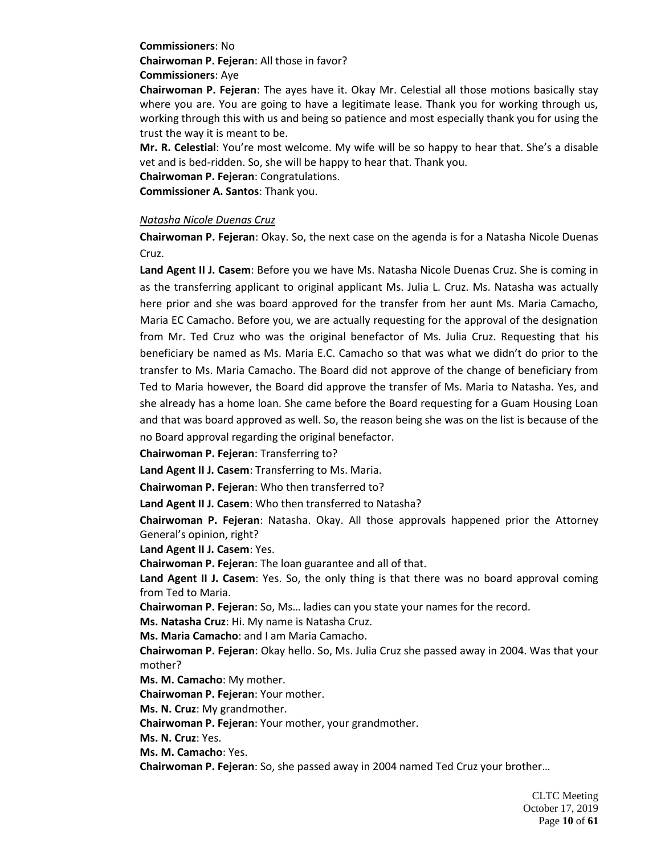**Commissioners**: No

**Chairwoman P. Fejeran**: All those in favor?

**Commissioners**: Aye

**Chairwoman P. Fejeran**: The ayes have it. Okay Mr. Celestial all those motions basically stay where you are. You are going to have a legitimate lease. Thank you for working through us, working through this with us and being so patience and most especially thank you for using the trust the way it is meant to be.

**Mr. R. Celestial**: You're most welcome. My wife will be so happy to hear that. She's a disable vet and is bed-ridden. So, she will be happy to hear that. Thank you.

**Chairwoman P. Fejeran**: Congratulations.

**Commissioner A. Santos**: Thank you.

## *Natasha Nicole Duenas Cruz*

**Chairwoman P. Fejeran**: Okay. So, the next case on the agenda is for a Natasha Nicole Duenas Cruz.

**Land Agent II J. Casem**: Before you we have Ms. Natasha Nicole Duenas Cruz. She is coming in as the transferring applicant to original applicant Ms. Julia L. Cruz. Ms. Natasha was actually here prior and she was board approved for the transfer from her aunt Ms. Maria Camacho, Maria EC Camacho. Before you, we are actually requesting for the approval of the designation from Mr. Ted Cruz who was the original benefactor of Ms. Julia Cruz. Requesting that his beneficiary be named as Ms. Maria E.C. Camacho so that was what we didn't do prior to the transfer to Ms. Maria Camacho. The Board did not approve of the change of beneficiary from Ted to Maria however, the Board did approve the transfer of Ms. Maria to Natasha. Yes, and she already has a home loan. She came before the Board requesting for a Guam Housing Loan and that was board approved as well. So, the reason being she was on the list is because of the no Board approval regarding the original benefactor.

**Chairwoman P. Fejeran**: Transferring to?

**Land Agent II J. Casem**: Transferring to Ms. Maria.

**Chairwoman P. Fejeran**: Who then transferred to?

**Land Agent II J. Casem**: Who then transferred to Natasha?

**Chairwoman P. Fejeran**: Natasha. Okay. All those approvals happened prior the Attorney General's opinion, right?

**Land Agent II J. Casem**: Yes.

**Chairwoman P. Fejeran**: The loan guarantee and all of that.

**Land Agent II J. Casem**: Yes. So, the only thing is that there was no board approval coming from Ted to Maria.

**Chairwoman P. Fejeran**: So, Ms… ladies can you state your names for the record.

**Ms. Natasha Cruz**: Hi. My name is Natasha Cruz.

**Ms. Maria Camacho**: and I am Maria Camacho.

**Chairwoman P. Fejeran**: Okay hello. So, Ms. Julia Cruz she passed away in 2004. Was that your mother?

**Ms. M. Camacho**: My mother.

**Chairwoman P. Fejeran**: Your mother.

**Ms. N. Cruz**: My grandmother.

**Chairwoman P. Fejeran**: Your mother, your grandmother.

**Ms. N. Cruz**: Yes.

**Ms. M. Camacho**: Yes.

**Chairwoman P. Fejeran**: So, she passed away in 2004 named Ted Cruz your brother…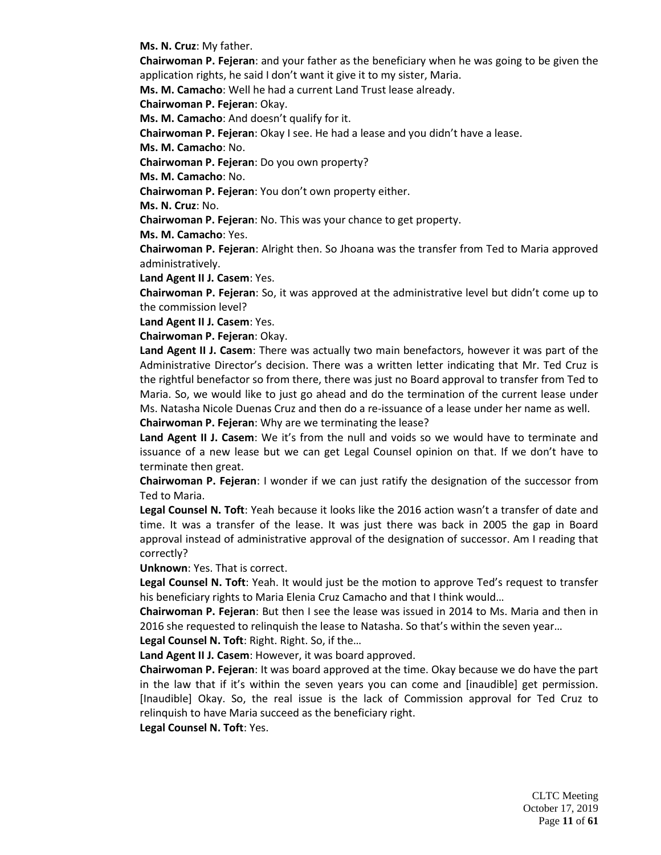**Ms. N. Cruz**: My father.

**Chairwoman P. Fejeran**: and your father as the beneficiary when he was going to be given the application rights, he said I don't want it give it to my sister, Maria.

**Ms. M. Camacho**: Well he had a current Land Trust lease already.

**Chairwoman P. Fejeran**: Okay.

**Ms. M. Camacho**: And doesn't qualify for it.

**Chairwoman P. Fejeran**: Okay I see. He had a lease and you didn't have a lease.

**Ms. M. Camacho**: No.

**Chairwoman P. Fejeran**: Do you own property?

**Ms. M. Camacho**: No.

**Chairwoman P. Fejeran**: You don't own property either.

**Ms. N. Cruz**: No.

**Chairwoman P. Fejeran**: No. This was your chance to get property.

**Ms. M. Camacho**: Yes.

**Chairwoman P. Fejeran**: Alright then. So Jhoana was the transfer from Ted to Maria approved administratively.

**Land Agent II J. Casem**: Yes.

**Chairwoman P. Fejeran**: So, it was approved at the administrative level but didn't come up to the commission level?

**Land Agent II J. Casem**: Yes.

**Chairwoman P. Fejeran**: Okay.

**Land Agent II J. Casem**: There was actually two main benefactors, however it was part of the Administrative Director's decision. There was a written letter indicating that Mr. Ted Cruz is the rightful benefactor so from there, there was just no Board approval to transfer from Ted to Maria. So, we would like to just go ahead and do the termination of the current lease under Ms. Natasha Nicole Duenas Cruz and then do a re-issuance of a lease under her name as well.

**Chairwoman P. Fejeran**: Why are we terminating the lease?

**Land Agent II J. Casem**: We it's from the null and voids so we would have to terminate and issuance of a new lease but we can get Legal Counsel opinion on that. If we don't have to terminate then great.

**Chairwoman P. Fejeran**: I wonder if we can just ratify the designation of the successor from Ted to Maria.

**Legal Counsel N. Toft**: Yeah because it looks like the 2016 action wasn't a transfer of date and time. It was a transfer of the lease. It was just there was back in 2005 the gap in Board approval instead of administrative approval of the designation of successor. Am I reading that correctly?

**Unknown**: Yes. That is correct.

**Legal Counsel N. Toft**: Yeah. It would just be the motion to approve Ted's request to transfer his beneficiary rights to Maria Elenia Cruz Camacho and that I think would…

**Chairwoman P. Fejeran**: But then I see the lease was issued in 2014 to Ms. Maria and then in 2016 she requested to relinquish the lease to Natasha. So that's within the seven year…

**Legal Counsel N. Toft**: Right. Right. So, if the…

**Land Agent II J. Casem**: However, it was board approved.

**Chairwoman P. Fejeran**: It was board approved at the time. Okay because we do have the part in the law that if it's within the seven years you can come and [inaudible] get permission. [Inaudible] Okay. So, the real issue is the lack of Commission approval for Ted Cruz to relinquish to have Maria succeed as the beneficiary right.

**Legal Counsel N. Toft**: Yes.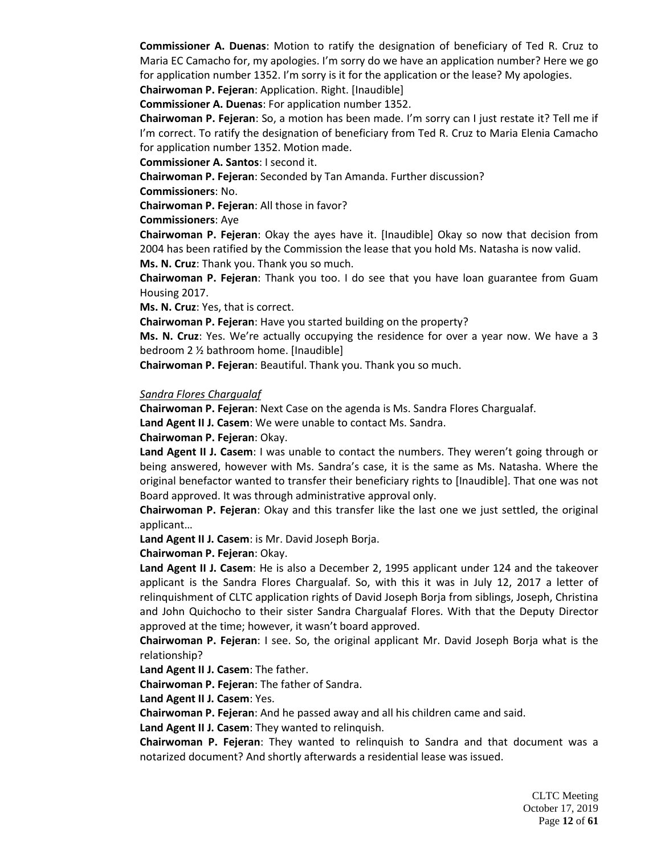**Commissioner A. Duenas**: Motion to ratify the designation of beneficiary of Ted R. Cruz to Maria EC Camacho for, my apologies. I'm sorry do we have an application number? Here we go for application number 1352. I'm sorry is it for the application or the lease? My apologies.

**Chairwoman P. Fejeran**: Application. Right. [Inaudible]

**Commissioner A. Duenas**: For application number 1352.

**Chairwoman P. Fejeran**: So, a motion has been made. I'm sorry can I just restate it? Tell me if I'm correct. To ratify the designation of beneficiary from Ted R. Cruz to Maria Elenia Camacho for application number 1352. Motion made.

**Commissioner A. Santos**: I second it.

**Chairwoman P. Fejeran**: Seconded by Tan Amanda. Further discussion?

**Commissioners**: No.

**Chairwoman P. Fejeran**: All those in favor?

**Commissioners**: Aye

**Chairwoman P. Fejeran**: Okay the ayes have it. [Inaudible] Okay so now that decision from 2004 has been ratified by the Commission the lease that you hold Ms. Natasha is now valid. **Ms. N. Cruz**: Thank you. Thank you so much.

**Chairwoman P. Fejeran**: Thank you too. I do see that you have loan guarantee from Guam Housing 2017.

**Ms. N. Cruz**: Yes, that is correct.

**Chairwoman P. Fejeran**: Have you started building on the property?

**Ms. N. Cruz**: Yes. We're actually occupying the residence for over a year now. We have a 3 bedroom 2 ½ bathroom home. [Inaudible]

**Chairwoman P. Fejeran**: Beautiful. Thank you. Thank you so much.

#### *Sandra Flores Chargualaf*

**Chairwoman P. Fejeran**: Next Case on the agenda is Ms. Sandra Flores Chargualaf.

**Land Agent II J. Casem**: We were unable to contact Ms. Sandra.

**Chairwoman P. Fejeran**: Okay.

**Land Agent II J. Casem**: I was unable to contact the numbers. They weren't going through or being answered, however with Ms. Sandra's case, it is the same as Ms. Natasha. Where the original benefactor wanted to transfer their beneficiary rights to [Inaudible]. That one was not Board approved. It was through administrative approval only.

**Chairwoman P. Fejeran**: Okay and this transfer like the last one we just settled, the original applicant…

**Land Agent II J. Casem**: is Mr. David Joseph Borja.

**Chairwoman P. Fejeran**: Okay.

**Land Agent II J. Casem**: He is also a December 2, 1995 applicant under 124 and the takeover applicant is the Sandra Flores Chargualaf. So, with this it was in July 12, 2017 a letter of relinquishment of CLTC application rights of David Joseph Borja from siblings, Joseph, Christina and John Quichocho to their sister Sandra Chargualaf Flores. With that the Deputy Director approved at the time; however, it wasn't board approved.

**Chairwoman P. Fejeran**: I see. So, the original applicant Mr. David Joseph Borja what is the relationship?

**Land Agent II J. Casem**: The father.

**Chairwoman P. Fejeran**: The father of Sandra.

**Land Agent II J. Casem**: Yes.

**Chairwoman P. Fejeran**: And he passed away and all his children came and said.

**Land Agent II J. Casem**: They wanted to relinquish.

**Chairwoman P. Fejeran**: They wanted to relinquish to Sandra and that document was a notarized document? And shortly afterwards a residential lease was issued.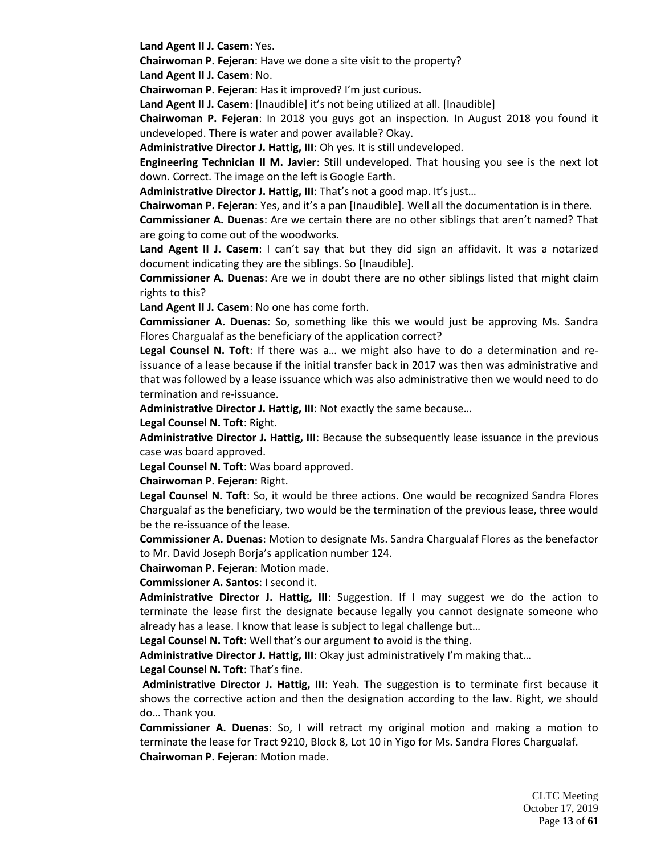**Land Agent II J. Casem**: Yes.

**Chairwoman P. Fejeran**: Have we done a site visit to the property? **Land Agent II J. Casem**: No.

**Chairwoman P. Fejeran**: Has it improved? I'm just curious.

**Land Agent II J. Casem**: [Inaudible] it's not being utilized at all. [Inaudible]

**Chairwoman P. Fejeran**: In 2018 you guys got an inspection. In August 2018 you found it undeveloped. There is water and power available? Okay.

**Administrative Director J. Hattig, III**: Oh yes. It is still undeveloped.

**Engineering Technician II M. Javier**: Still undeveloped. That housing you see is the next lot down. Correct. The image on the left is Google Earth.

**Administrative Director J. Hattig, III**: That's not a good map. It's just…

**Chairwoman P. Fejeran**: Yes, and it's a pan [Inaudible]. Well all the documentation is in there.

**Commissioner A. Duenas**: Are we certain there are no other siblings that aren't named? That are going to come out of the woodworks.

Land Agent II J. Casem: I can't say that but they did sign an affidavit. It was a notarized document indicating they are the siblings. So [Inaudible].

**Commissioner A. Duenas**: Are we in doubt there are no other siblings listed that might claim rights to this?

**Land Agent II J. Casem**: No one has come forth.

**Commissioner A. Duenas**: So, something like this we would just be approving Ms. Sandra Flores Chargualaf as the beneficiary of the application correct?

**Legal Counsel N. Toft**: If there was a… we might also have to do a determination and reissuance of a lease because if the initial transfer back in 2017 was then was administrative and that was followed by a lease issuance which was also administrative then we would need to do termination and re-issuance.

**Administrative Director J. Hattig, III**: Not exactly the same because…

**Legal Counsel N. Toft**: Right.

**Administrative Director J. Hattig, III**: Because the subsequently lease issuance in the previous case was board approved.

**Legal Counsel N. Toft**: Was board approved.

**Chairwoman P. Fejeran**: Right.

**Legal Counsel N. Toft**: So, it would be three actions. One would be recognized Sandra Flores Chargualaf as the beneficiary, two would be the termination of the previous lease, three would be the re-issuance of the lease.

**Commissioner A. Duenas**: Motion to designate Ms. Sandra Chargualaf Flores as the benefactor to Mr. David Joseph Borja's application number 124.

**Chairwoman P. Fejeran**: Motion made.

**Commissioner A. Santos**: I second it.

**Administrative Director J. Hattig, III**: Suggestion. If I may suggest we do the action to terminate the lease first the designate because legally you cannot designate someone who already has a lease. I know that lease is subject to legal challenge but…

**Legal Counsel N. Toft**: Well that's our argument to avoid is the thing.

**Administrative Director J. Hattig, III**: Okay just administratively I'm making that…

**Legal Counsel N. Toft**: That's fine.

**Administrative Director J. Hattig, III**: Yeah. The suggestion is to terminate first because it shows the corrective action and then the designation according to the law. Right, we should do… Thank you.

**Commissioner A. Duenas**: So, I will retract my original motion and making a motion to terminate the lease for Tract 9210, Block 8, Lot 10 in Yigo for Ms. Sandra Flores Chargualaf. **Chairwoman P. Fejeran**: Motion made.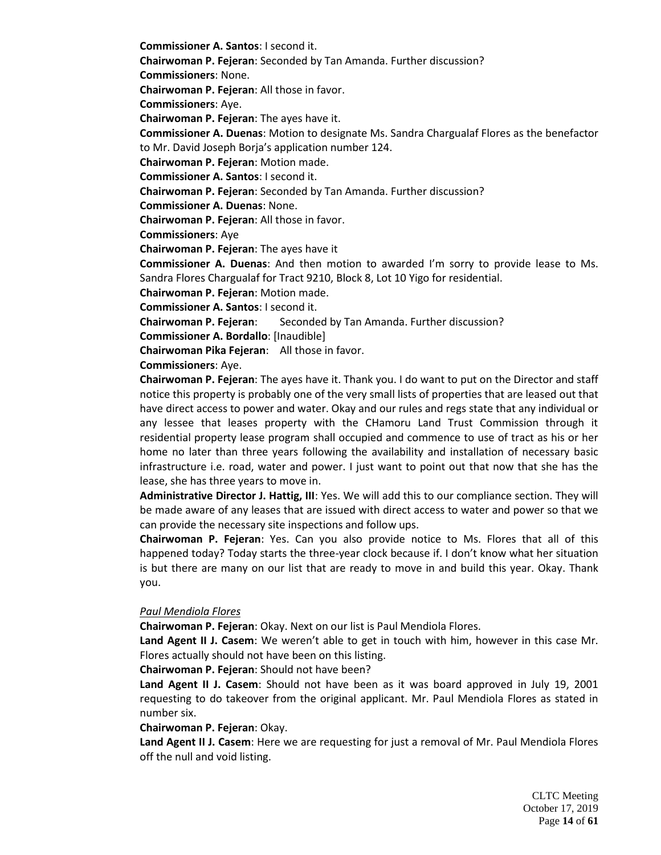**Commissioner A. Santos**: I second it.

**Chairwoman P. Fejeran**: Seconded by Tan Amanda. Further discussion?

**Commissioners**: None.

**Chairwoman P. Fejeran**: All those in favor.

**Commissioners**: Aye.

**Chairwoman P. Fejeran**: The ayes have it.

**Commissioner A. Duenas**: Motion to designate Ms. Sandra Chargualaf Flores as the benefactor to Mr. David Joseph Borja's application number 124.

**Chairwoman P. Fejeran**: Motion made.

**Commissioner A. Santos**: I second it.

**Chairwoman P. Fejeran**: Seconded by Tan Amanda. Further discussion?

**Commissioner A. Duenas**: None.

**Chairwoman P. Fejeran**: All those in favor.

**Commissioners**: Aye

**Chairwoman P. Fejeran**: The ayes have it

**Commissioner A. Duenas**: And then motion to awarded I'm sorry to provide lease to Ms. Sandra Flores Chargualaf for Tract 9210, Block 8, Lot 10 Yigo for residential.

**Chairwoman P. Fejeran**: Motion made.

**Commissioner A. Santos**: I second it.

**Chairwoman P. Fejeran**: Seconded by Tan Amanda. Further discussion?

**Commissioner A. Bordallo**: [Inaudible]

**Chairwoman Pika Fejeran**: All those in favor.

**Commissioners**: Aye.

**Chairwoman P. Fejeran**: The ayes have it. Thank you. I do want to put on the Director and staff notice this property is probably one of the very small lists of properties that are leased out that have direct access to power and water. Okay and our rules and regs state that any individual or any lessee that leases property with the CHamoru Land Trust Commission through it residential property lease program shall occupied and commence to use of tract as his or her home no later than three years following the availability and installation of necessary basic infrastructure i.e. road, water and power. I just want to point out that now that she has the lease, she has three years to move in.

**Administrative Director J. Hattig, III**: Yes. We will add this to our compliance section. They will be made aware of any leases that are issued with direct access to water and power so that we can provide the necessary site inspections and follow ups.

**Chairwoman P. Fejeran**: Yes. Can you also provide notice to Ms. Flores that all of this happened today? Today starts the three-year clock because if. I don't know what her situation is but there are many on our list that are ready to move in and build this year. Okay. Thank you.

## *Paul Mendiola Flores*

**Chairwoman P. Fejeran**: Okay. Next on our list is Paul Mendiola Flores.

**Land Agent II J. Casem**: We weren't able to get in touch with him, however in this case Mr. Flores actually should not have been on this listing.

**Chairwoman P. Fejeran**: Should not have been?

**Land Agent II J. Casem**: Should not have been as it was board approved in July 19, 2001 requesting to do takeover from the original applicant. Mr. Paul Mendiola Flores as stated in number six.

### **Chairwoman P. Fejeran**: Okay.

**Land Agent II J. Casem**: Here we are requesting for just a removal of Mr. Paul Mendiola Flores off the null and void listing.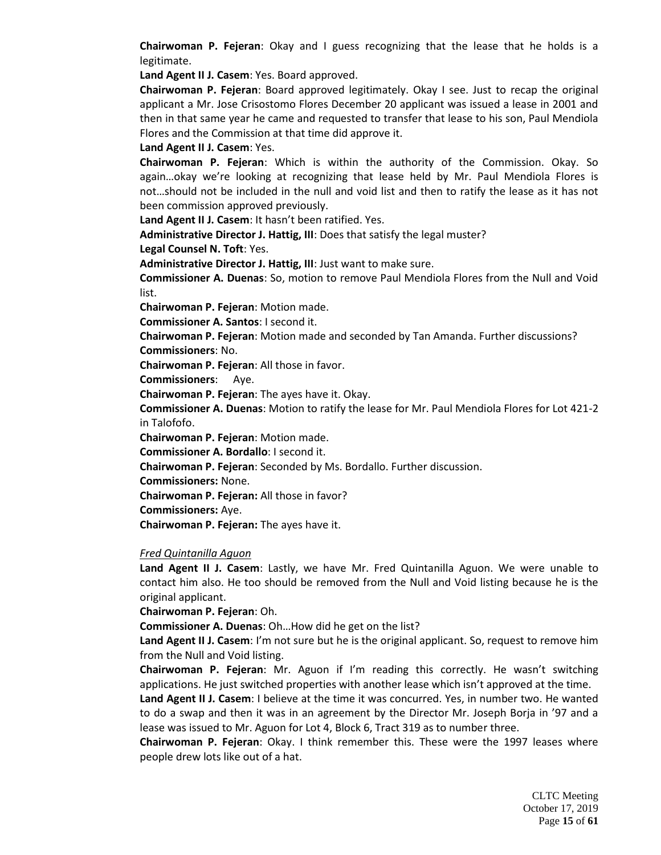**Chairwoman P. Fejeran**: Okay and I guess recognizing that the lease that he holds is a legitimate.

**Land Agent II J. Casem**: Yes. Board approved.

**Chairwoman P. Fejeran**: Board approved legitimately. Okay I see. Just to recap the original applicant a Mr. Jose Crisostomo Flores December 20 applicant was issued a lease in 2001 and then in that same year he came and requested to transfer that lease to his son, Paul Mendiola Flores and the Commission at that time did approve it.

**Land Agent II J. Casem**: Yes.

**Chairwoman P. Fejeran**: Which is within the authority of the Commission. Okay. So again…okay we're looking at recognizing that lease held by Mr. Paul Mendiola Flores is not…should not be included in the null and void list and then to ratify the lease as it has not been commission approved previously.

**Land Agent II J. Casem**: It hasn't been ratified. Yes.

**Administrative Director J. Hattig, III**: Does that satisfy the legal muster?

**Legal Counsel N. Toft**: Yes.

**Administrative Director J. Hattig, III**: Just want to make sure.

**Commissioner A. Duenas**: So, motion to remove Paul Mendiola Flores from the Null and Void list.

**Chairwoman P. Fejeran**: Motion made.

**Commissioner A. Santos**: I second it.

**Chairwoman P. Fejeran**: Motion made and seconded by Tan Amanda. Further discussions? **Commissioners**: No.

**Chairwoman P. Fejeran**: All those in favor.

**Commissioners**: Aye.

**Chairwoman P. Fejeran**: The ayes have it. Okay.

**Commissioner A. Duenas**: Motion to ratify the lease for Mr. Paul Mendiola Flores for Lot 421-2 in Talofofo.

**Chairwoman P. Fejeran**: Motion made.

**Commissioner A. Bordallo**: I second it.

**Chairwoman P. Fejeran**: Seconded by Ms. Bordallo. Further discussion.

**Commissioners:** None.

**Chairwoman P. Fejeran:** All those in favor?

**Commissioners:** Aye.

**Chairwoman P. Fejeran:** The ayes have it.

### *Fred Quintanilla Aguon*

**Land Agent II J. Casem**: Lastly, we have Mr. Fred Quintanilla Aguon. We were unable to contact him also. He too should be removed from the Null and Void listing because he is the original applicant.

**Chairwoman P. Fejeran**: Oh.

**Commissioner A. Duenas**: Oh…How did he get on the list?

**Land Agent II J. Casem**: I'm not sure but he is the original applicant. So, request to remove him from the Null and Void listing.

**Chairwoman P. Fejeran**: Mr. Aguon if I'm reading this correctly. He wasn't switching applications. He just switched properties with another lease which isn't approved at the time.

**Land Agent II J. Casem**: I believe at the time it was concurred. Yes, in number two. He wanted to do a swap and then it was in an agreement by the Director Mr. Joseph Borja in '97 and a lease was issued to Mr. Aguon for Lot 4, Block 6, Tract 319 as to number three.

**Chairwoman P. Fejeran**: Okay. I think remember this. These were the 1997 leases where people drew lots like out of a hat.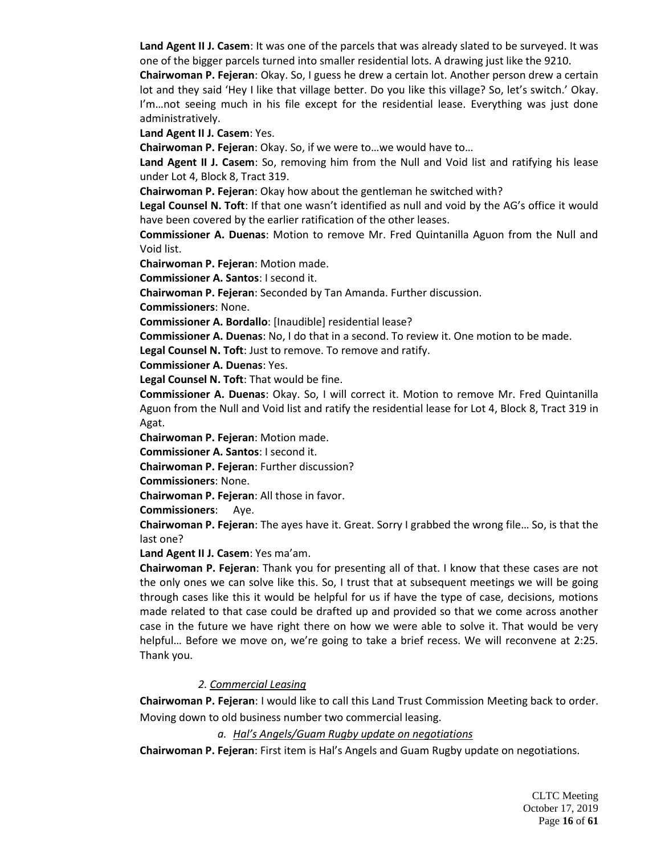**Land Agent II J. Casem**: It was one of the parcels that was already slated to be surveyed. It was one of the bigger parcels turned into smaller residential lots. A drawing just like the 9210.

**Chairwoman P. Fejeran**: Okay. So, I guess he drew a certain lot. Another person drew a certain lot and they said 'Hey I like that village better. Do you like this village? So, let's switch.' Okay. I'm…not seeing much in his file except for the residential lease. Everything was just done administratively.

**Land Agent II J. Casem**: Yes.

**Chairwoman P. Fejeran**: Okay. So, if we were to…we would have to…

**Land Agent II J. Casem**: So, removing him from the Null and Void list and ratifying his lease under Lot 4, Block 8, Tract 319.

**Chairwoman P. Fejeran**: Okay how about the gentleman he switched with?

**Legal Counsel N. Toft**: If that one wasn't identified as null and void by the AG's office it would have been covered by the earlier ratification of the other leases.

**Commissioner A. Duenas**: Motion to remove Mr. Fred Quintanilla Aguon from the Null and Void list.

**Chairwoman P. Fejeran**: Motion made.

**Commissioner A. Santos**: I second it.

**Chairwoman P. Fejeran**: Seconded by Tan Amanda. Further discussion.

**Commissioners**: None.

**Commissioner A. Bordallo**: [Inaudible] residential lease?

**Commissioner A. Duenas**: No, I do that in a second. To review it. One motion to be made.

**Legal Counsel N. Toft**: Just to remove. To remove and ratify.

**Commissioner A. Duenas**: Yes.

**Legal Counsel N. Toft**: That would be fine.

**Commissioner A. Duenas**: Okay. So, I will correct it. Motion to remove Mr. Fred Quintanilla Aguon from the Null and Void list and ratify the residential lease for Lot 4, Block 8, Tract 319 in Agat.

**Chairwoman P. Fejeran**: Motion made.

**Commissioner A. Santos**: I second it.

**Chairwoman P. Fejeran**: Further discussion?

**Commissioners**: None.

**Chairwoman P. Fejeran**: All those in favor.

**Commissioners**: Aye.

**Chairwoman P. Fejeran**: The ayes have it. Great. Sorry I grabbed the wrong file… So, is that the last one?

**Land Agent II J. Casem**: Yes ma'am.

**Chairwoman P. Fejeran**: Thank you for presenting all of that. I know that these cases are not the only ones we can solve like this. So, I trust that at subsequent meetings we will be going through cases like this it would be helpful for us if have the type of case, decisions, motions made related to that case could be drafted up and provided so that we come across another case in the future we have right there on how we were able to solve it. That would be very helpful… Before we move on, we're going to take a brief recess. We will reconvene at 2:25. Thank you.

## *2. Commercial Leasing*

**Chairwoman P. Fejeran**: I would like to call this Land Trust Commission Meeting back to order. Moving down to old business number two commercial leasing.

*a. Hal's Angels/Guam Rugby update on negotiations*

**Chairwoman P. Fejeran**: First item is Hal's Angels and Guam Rugby update on negotiations.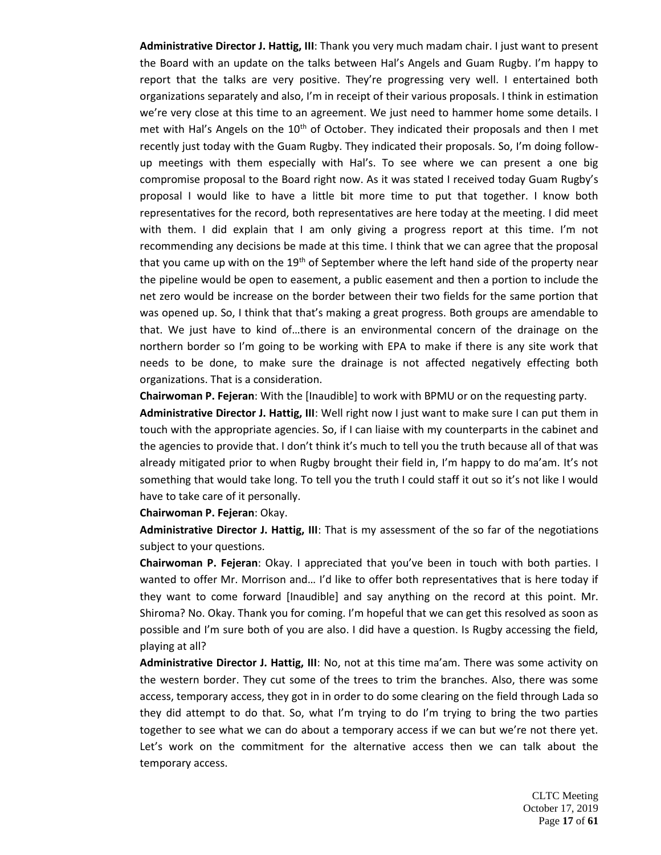**Administrative Director J. Hattig, III**: Thank you very much madam chair. I just want to present the Board with an update on the talks between Hal's Angels and Guam Rugby. I'm happy to report that the talks are very positive. They're progressing very well. I entertained both organizations separately and also, I'm in receipt of their various proposals. I think in estimation we're very close at this time to an agreement. We just need to hammer home some details. I met with Hal's Angels on the  $10<sup>th</sup>$  of October. They indicated their proposals and then I met recently just today with the Guam Rugby. They indicated their proposals. So, I'm doing followup meetings with them especially with Hal's. To see where we can present a one big compromise proposal to the Board right now. As it was stated I received today Guam Rugby's proposal I would like to have a little bit more time to put that together. I know both representatives for the record, both representatives are here today at the meeting. I did meet with them. I did explain that I am only giving a progress report at this time. I'm not recommending any decisions be made at this time. I think that we can agree that the proposal that you came up with on the 19<sup>th</sup> of September where the left hand side of the property near the pipeline would be open to easement, a public easement and then a portion to include the net zero would be increase on the border between their two fields for the same portion that was opened up. So, I think that that's making a great progress. Both groups are amendable to that. We just have to kind of…there is an environmental concern of the drainage on the northern border so I'm going to be working with EPA to make if there is any site work that needs to be done, to make sure the drainage is not affected negatively effecting both organizations. That is a consideration.

**Chairwoman P. Fejeran**: With the [Inaudible] to work with BPMU or on the requesting party.

**Administrative Director J. Hattig, III**: Well right now I just want to make sure I can put them in touch with the appropriate agencies. So, if I can liaise with my counterparts in the cabinet and the agencies to provide that. I don't think it's much to tell you the truth because all of that was already mitigated prior to when Rugby brought their field in, I'm happy to do ma'am. It's not something that would take long. To tell you the truth I could staff it out so it's not like I would have to take care of it personally.

#### **Chairwoman P. Fejeran**: Okay.

**Administrative Director J. Hattig, III**: That is my assessment of the so far of the negotiations subject to your questions.

**Chairwoman P. Fejeran**: Okay. I appreciated that you've been in touch with both parties. I wanted to offer Mr. Morrison and… I'd like to offer both representatives that is here today if they want to come forward [Inaudible] and say anything on the record at this point. Mr. Shiroma? No. Okay. Thank you for coming. I'm hopeful that we can get this resolved as soon as possible and I'm sure both of you are also. I did have a question. Is Rugby accessing the field, playing at all?

**Administrative Director J. Hattig, III**: No, not at this time ma'am. There was some activity on the western border. They cut some of the trees to trim the branches. Also, there was some access, temporary access, they got in in order to do some clearing on the field through Lada so they did attempt to do that. So, what I'm trying to do I'm trying to bring the two parties together to see what we can do about a temporary access if we can but we're not there yet. Let's work on the commitment for the alternative access then we can talk about the temporary access.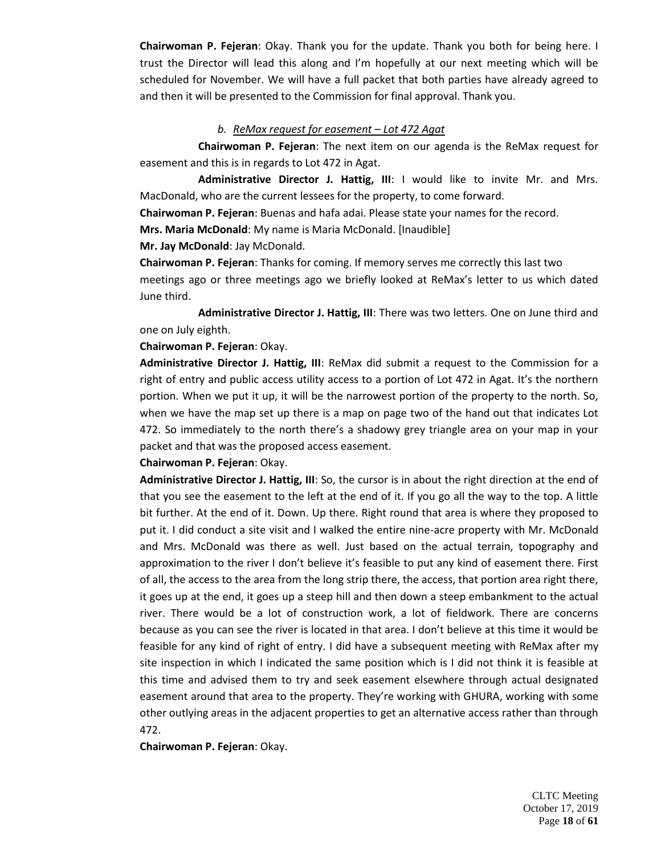**Chairwoman P. Fejeran**: Okay. Thank you for the update. Thank you both for being here. I trust the Director will lead this along and I'm hopefully at our next meeting which will be scheduled for November. We will have a full packet that both parties have already agreed to and then it will be presented to the Commission for final approval. Thank you.

### *b. ReMax request for easement – Lot 472 Agat*

**Chairwoman P. Fejeran**: The next item on our agenda is the ReMax request for easement and this is in regards to Lot 472 in Agat.

**Administrative Director J. Hattig, III**: I would like to invite Mr. and Mrs. MacDonald, who are the current lessees for the property, to come forward.

**Chairwoman P. Fejeran**: Buenas and hafa adai. Please state your names for the record.

**Mrs. Maria McDonald**: My name is Maria McDonald. [Inaudible]

### **Mr. Jay McDonald**: Jay McDonald.

**Chairwoman P. Fejeran**: Thanks for coming. If memory serves me correctly this last two meetings ago or three meetings ago we briefly looked at ReMax's letter to us which dated June third.

**Administrative Director J. Hattig, III**: There was two letters. One on June third and one on July eighth.

**Chairwoman P. Fejeran**: Okay.

**Administrative Director J. Hattig, III**: ReMax did submit a request to the Commission for a right of entry and public access utility access to a portion of Lot 472 in Agat. It's the northern portion. When we put it up, it will be the narrowest portion of the property to the north. So, when we have the map set up there is a map on page two of the hand out that indicates Lot 472. So immediately to the north there's a shadowy grey triangle area on your map in your packet and that was the proposed access easement.

## **Chairwoman P. Fejeran**: Okay.

**Administrative Director J. Hattig, III**: So, the cursor is in about the right direction at the end of that you see the easement to the left at the end of it. If you go all the way to the top. A little bit further. At the end of it. Down. Up there. Right round that area is where they proposed to put it. I did conduct a site visit and I walked the entire nine-acre property with Mr. McDonald and Mrs. McDonald was there as well. Just based on the actual terrain, topography and approximation to the river I don't believe it's feasible to put any kind of easement there. First of all, the access to the area from the long strip there, the access, that portion area right there, it goes up at the end, it goes up a steep hill and then down a steep embankment to the actual river. There would be a lot of construction work, a lot of fieldwork. There are concerns because as you can see the river is located in that area. I don't believe at this time it would be feasible for any kind of right of entry. I did have a subsequent meeting with ReMax after my site inspection in which I indicated the same position which is I did not think it is feasible at this time and advised them to try and seek easement elsewhere through actual designated easement around that area to the property. They're working with GHURA, working with some other outlying areas in the adjacent properties to get an alternative access rather than through 472.

**Chairwoman P. Fejeran**: Okay.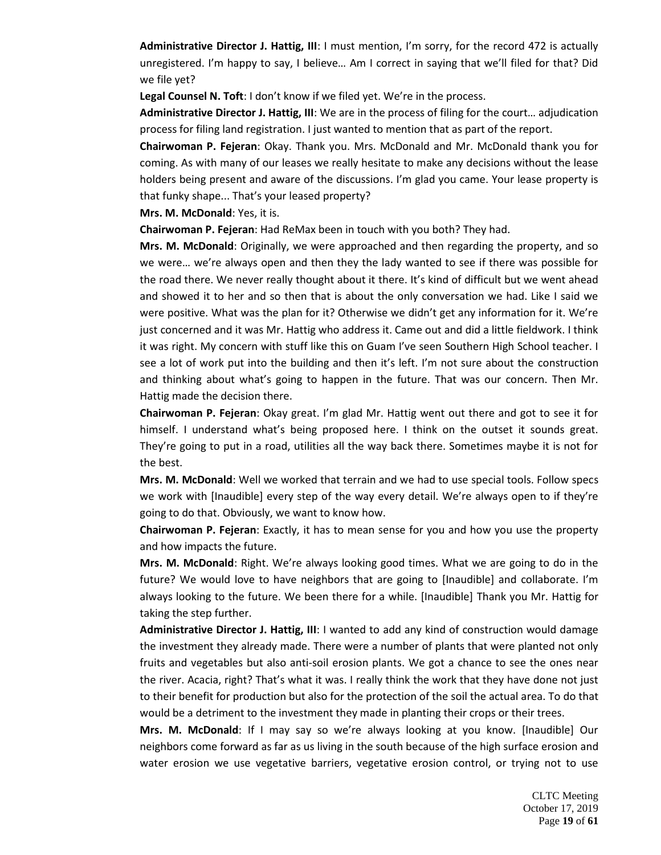**Administrative Director J. Hattig, III**: I must mention, I'm sorry, for the record 472 is actually unregistered. I'm happy to say, I believe… Am I correct in saying that we'll filed for that? Did we file yet?

**Legal Counsel N. Toft**: I don't know if we filed yet. We're in the process.

**Administrative Director J. Hattig, III**: We are in the process of filing for the court… adjudication process for filing land registration. I just wanted to mention that as part of the report.

**Chairwoman P. Fejeran**: Okay. Thank you. Mrs. McDonald and Mr. McDonald thank you for coming. As with many of our leases we really hesitate to make any decisions without the lease holders being present and aware of the discussions. I'm glad you came. Your lease property is that funky shape... That's your leased property?

**Mrs. M. McDonald**: Yes, it is.

**Chairwoman P. Fejeran**: Had ReMax been in touch with you both? They had.

**Mrs. M. McDonald**: Originally, we were approached and then regarding the property, and so we were… we're always open and then they the lady wanted to see if there was possible for the road there. We never really thought about it there. It's kind of difficult but we went ahead and showed it to her and so then that is about the only conversation we had. Like I said we were positive. What was the plan for it? Otherwise we didn't get any information for it. We're just concerned and it was Mr. Hattig who address it. Came out and did a little fieldwork. I think it was right. My concern with stuff like this on Guam I've seen Southern High School teacher. I see a lot of work put into the building and then it's left. I'm not sure about the construction and thinking about what's going to happen in the future. That was our concern. Then Mr. Hattig made the decision there.

**Chairwoman P. Fejeran**: Okay great. I'm glad Mr. Hattig went out there and got to see it for himself. I understand what's being proposed here. I think on the outset it sounds great. They're going to put in a road, utilities all the way back there. Sometimes maybe it is not for the best.

**Mrs. M. McDonald**: Well we worked that terrain and we had to use special tools. Follow specs we work with [Inaudible] every step of the way every detail. We're always open to if they're going to do that. Obviously, we want to know how.

**Chairwoman P. Fejeran**: Exactly, it has to mean sense for you and how you use the property and how impacts the future.

**Mrs. M. McDonald**: Right. We're always looking good times. What we are going to do in the future? We would love to have neighbors that are going to [Inaudible] and collaborate. I'm always looking to the future. We been there for a while. [Inaudible] Thank you Mr. Hattig for taking the step further.

**Administrative Director J. Hattig, III**: I wanted to add any kind of construction would damage the investment they already made. There were a number of plants that were planted not only fruits and vegetables but also anti-soil erosion plants. We got a chance to see the ones near the river. Acacia, right? That's what it was. I really think the work that they have done not just to their benefit for production but also for the protection of the soil the actual area. To do that would be a detriment to the investment they made in planting their crops or their trees.

**Mrs. M. McDonald**: If I may say so we're always looking at you know. [Inaudible] Our neighbors come forward as far as us living in the south because of the high surface erosion and water erosion we use vegetative barriers, vegetative erosion control, or trying not to use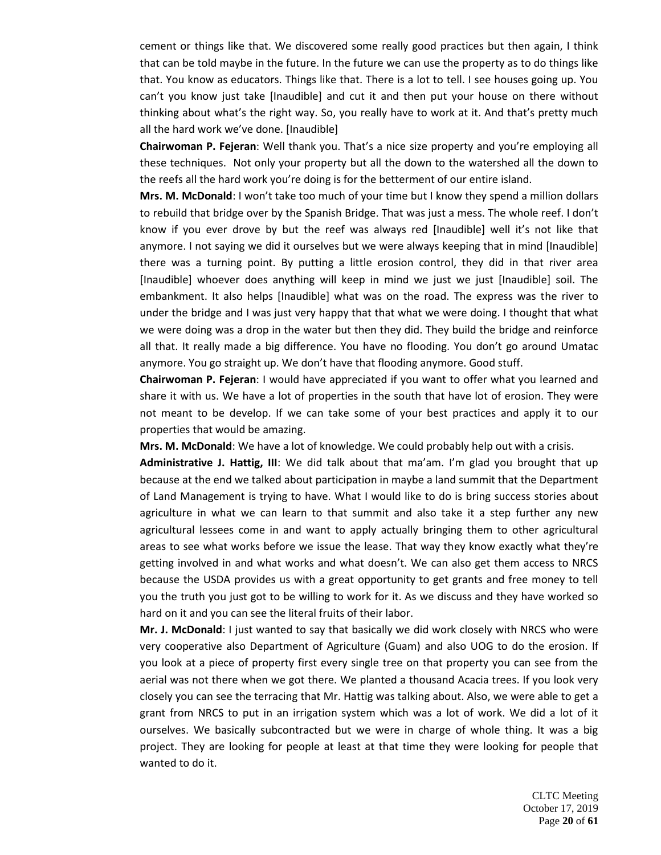cement or things like that. We discovered some really good practices but then again, I think that can be told maybe in the future. In the future we can use the property as to do things like that. You know as educators. Things like that. There is a lot to tell. I see houses going up. You can't you know just take [Inaudible] and cut it and then put your house on there without thinking about what's the right way. So, you really have to work at it. And that's pretty much all the hard work we've done. [Inaudible]

**Chairwoman P. Fejeran**: Well thank you. That's a nice size property and you're employing all these techniques. Not only your property but all the down to the watershed all the down to the reefs all the hard work you're doing is for the betterment of our entire island.

**Mrs. M. McDonald**: I won't take too much of your time but I know they spend a million dollars to rebuild that bridge over by the Spanish Bridge. That was just a mess. The whole reef. I don't know if you ever drove by but the reef was always red [Inaudible] well it's not like that anymore. I not saying we did it ourselves but we were always keeping that in mind [Inaudible] there was a turning point. By putting a little erosion control, they did in that river area [Inaudible] whoever does anything will keep in mind we just we just [Inaudible] soil. The embankment. It also helps [Inaudible] what was on the road. The express was the river to under the bridge and I was just very happy that that what we were doing. I thought that what we were doing was a drop in the water but then they did. They build the bridge and reinforce all that. It really made a big difference. You have no flooding. You don't go around Umatac anymore. You go straight up. We don't have that flooding anymore. Good stuff.

**Chairwoman P. Fejeran**: I would have appreciated if you want to offer what you learned and share it with us. We have a lot of properties in the south that have lot of erosion. They were not meant to be develop. If we can take some of your best practices and apply it to our properties that would be amazing.

**Mrs. M. McDonald**: We have a lot of knowledge. We could probably help out with a crisis.

**Administrative J. Hattig, III**: We did talk about that ma'am. I'm glad you brought that up because at the end we talked about participation in maybe a land summit that the Department of Land Management is trying to have. What I would like to do is bring success stories about agriculture in what we can learn to that summit and also take it a step further any new agricultural lessees come in and want to apply actually bringing them to other agricultural areas to see what works before we issue the lease. That way they know exactly what they're getting involved in and what works and what doesn't. We can also get them access to NRCS because the USDA provides us with a great opportunity to get grants and free money to tell you the truth you just got to be willing to work for it. As we discuss and they have worked so hard on it and you can see the literal fruits of their labor.

**Mr. J. McDonald**: I just wanted to say that basically we did work closely with NRCS who were very cooperative also Department of Agriculture (Guam) and also UOG to do the erosion. If you look at a piece of property first every single tree on that property you can see from the aerial was not there when we got there. We planted a thousand Acacia trees. If you look very closely you can see the terracing that Mr. Hattig was talking about. Also, we were able to get a grant from NRCS to put in an irrigation system which was a lot of work. We did a lot of it ourselves. We basically subcontracted but we were in charge of whole thing. It was a big project. They are looking for people at least at that time they were looking for people that wanted to do it.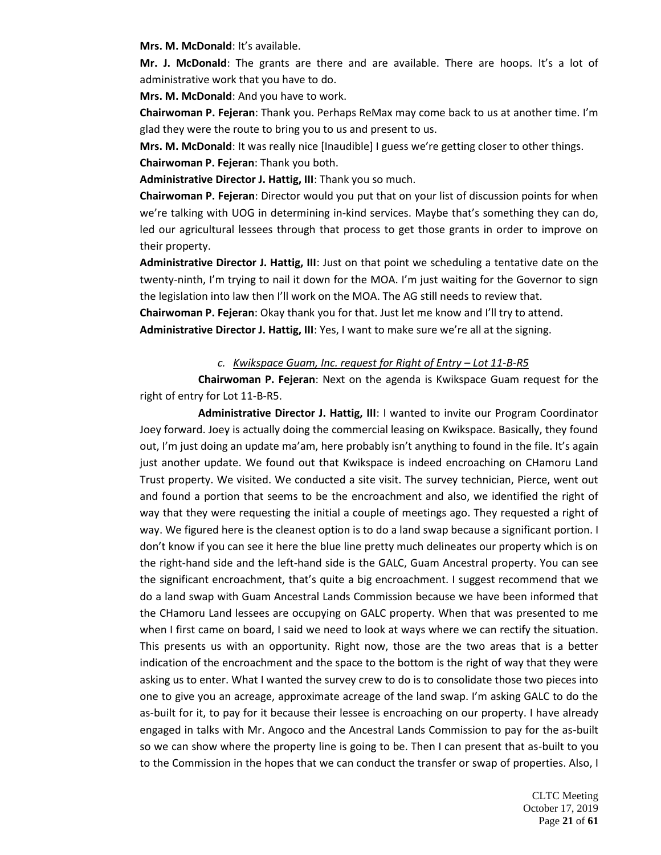**Mrs. M. McDonald**: It's available.

**Mr. J. McDonald**: The grants are there and are available. There are hoops. It's a lot of administrative work that you have to do.

**Mrs. M. McDonald**: And you have to work.

**Chairwoman P. Fejeran**: Thank you. Perhaps ReMax may come back to us at another time. I'm glad they were the route to bring you to us and present to us.

**Mrs. M. McDonald**: It was really nice [Inaudible] I guess we're getting closer to other things. **Chairwoman P. Fejeran**: Thank you both.

**Administrative Director J. Hattig, III**: Thank you so much.

**Chairwoman P. Fejeran**: Director would you put that on your list of discussion points for when we're talking with UOG in determining in-kind services. Maybe that's something they can do, led our agricultural lessees through that process to get those grants in order to improve on their property.

**Administrative Director J. Hattig, III**: Just on that point we scheduling a tentative date on the twenty-ninth, I'm trying to nail it down for the MOA. I'm just waiting for the Governor to sign the legislation into law then I'll work on the MOA. The AG still needs to review that.

**Chairwoman P. Fejeran**: Okay thank you for that. Just let me know and I'll try to attend.

**Administrative Director J. Hattig, III**: Yes, I want to make sure we're all at the signing.

## *c. Kwikspace Guam, Inc. request for Right of Entry – Lot 11-B-R5*

**Chairwoman P. Fejeran**: Next on the agenda is Kwikspace Guam request for the right of entry for Lot 11-B-R5.

**Administrative Director J. Hattig, III**: I wanted to invite our Program Coordinator Joey forward. Joey is actually doing the commercial leasing on Kwikspace. Basically, they found out, I'm just doing an update ma'am, here probably isn't anything to found in the file. It's again just another update. We found out that Kwikspace is indeed encroaching on CHamoru Land Trust property. We visited. We conducted a site visit. The survey technician, Pierce, went out and found a portion that seems to be the encroachment and also, we identified the right of way that they were requesting the initial a couple of meetings ago. They requested a right of way. We figured here is the cleanest option is to do a land swap because a significant portion. I don't know if you can see it here the blue line pretty much delineates our property which is on the right-hand side and the left-hand side is the GALC, Guam Ancestral property. You can see the significant encroachment, that's quite a big encroachment. I suggest recommend that we do a land swap with Guam Ancestral Lands Commission because we have been informed that the CHamoru Land lessees are occupying on GALC property. When that was presented to me when I first came on board, I said we need to look at ways where we can rectify the situation. This presents us with an opportunity. Right now, those are the two areas that is a better indication of the encroachment and the space to the bottom is the right of way that they were asking us to enter. What I wanted the survey crew to do is to consolidate those two pieces into one to give you an acreage, approximate acreage of the land swap. I'm asking GALC to do the as-built for it, to pay for it because their lessee is encroaching on our property. I have already engaged in talks with Mr. Angoco and the Ancestral Lands Commission to pay for the as-built so we can show where the property line is going to be. Then I can present that as-built to you to the Commission in the hopes that we can conduct the transfer or swap of properties. Also, I

> CLTC Meeting October 17, 2019 Page **21** of **61**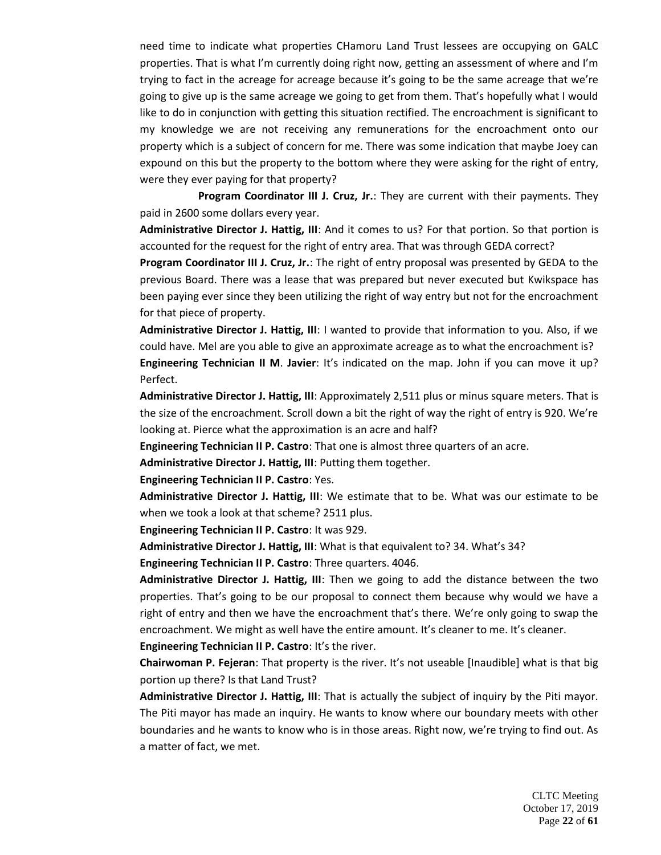need time to indicate what properties CHamoru Land Trust lessees are occupying on GALC properties. That is what I'm currently doing right now, getting an assessment of where and I'm trying to fact in the acreage for acreage because it's going to be the same acreage that we're going to give up is the same acreage we going to get from them. That's hopefully what I would like to do in conjunction with getting this situation rectified. The encroachment is significant to my knowledge we are not receiving any remunerations for the encroachment onto our property which is a subject of concern for me. There was some indication that maybe Joey can expound on this but the property to the bottom where they were asking for the right of entry, were they ever paying for that property?

**Program Coordinator III J. Cruz, Jr.**: They are current with their payments. They paid in 2600 some dollars every year.

**Administrative Director J. Hattig, III**: And it comes to us? For that portion. So that portion is accounted for the request for the right of entry area. That was through GEDA correct?

**Program Coordinator III J. Cruz, Jr.**: The right of entry proposal was presented by GEDA to the previous Board. There was a lease that was prepared but never executed but Kwikspace has been paying ever since they been utilizing the right of way entry but not for the encroachment for that piece of property.

**Administrative Director J. Hattig, III**: I wanted to provide that information to you. Also, if we could have. Mel are you able to give an approximate acreage as to what the encroachment is? **Engineering Technician II M**. **Javier**: It's indicated on the map. John if you can move it up? Perfect.

**Administrative Director J. Hattig, III**: Approximately 2,511 plus or minus square meters. That is the size of the encroachment. Scroll down a bit the right of way the right of entry is 920. We're looking at. Pierce what the approximation is an acre and half?

**Engineering Technician II P. Castro**: That one is almost three quarters of an acre.

**Administrative Director J. Hattig, III**: Putting them together.

**Engineering Technician II P. Castro**: Yes.

**Administrative Director J. Hattig, III**: We estimate that to be. What was our estimate to be when we took a look at that scheme? 2511 plus.

**Engineering Technician II P. Castro**: It was 929.

**Administrative Director J. Hattig, III**: What is that equivalent to? 34. What's 34?

**Engineering Technician II P. Castro**: Three quarters. 4046.

**Administrative Director J. Hattig, III**: Then we going to add the distance between the two properties. That's going to be our proposal to connect them because why would we have a right of entry and then we have the encroachment that's there. We're only going to swap the encroachment. We might as well have the entire amount. It's cleaner to me. It's cleaner.

**Engineering Technician II P. Castro**: It's the river.

**Chairwoman P. Fejeran**: That property is the river. It's not useable [Inaudible] what is that big portion up there? Is that Land Trust?

**Administrative Director J. Hattig, III**: That is actually the subject of inquiry by the Piti mayor. The Piti mayor has made an inquiry. He wants to know where our boundary meets with other boundaries and he wants to know who is in those areas. Right now, we're trying to find out. As a matter of fact, we met.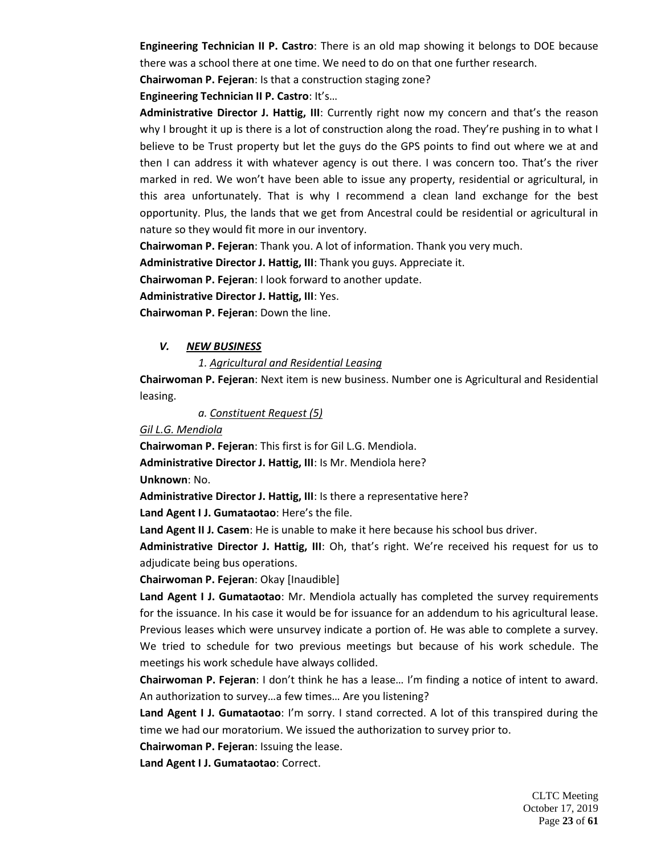**Engineering Technician II P. Castro**: There is an old map showing it belongs to DOE because there was a school there at one time. We need to do on that one further research.

**Chairwoman P. Fejeran**: Is that a construction staging zone?

**Engineering Technician II P. Castro**: It's…

**Administrative Director J. Hattig, III**: Currently right now my concern and that's the reason why I brought it up is there is a lot of construction along the road. They're pushing in to what I believe to be Trust property but let the guys do the GPS points to find out where we at and then I can address it with whatever agency is out there. I was concern too. That's the river marked in red. We won't have been able to issue any property, residential or agricultural, in this area unfortunately. That is why I recommend a clean land exchange for the best opportunity. Plus, the lands that we get from Ancestral could be residential or agricultural in nature so they would fit more in our inventory.

**Chairwoman P. Fejeran**: Thank you. A lot of information. Thank you very much.

**Administrative Director J. Hattig, III**: Thank you guys. Appreciate it.

**Chairwoman P. Fejeran**: I look forward to another update.

**Administrative Director J. Hattig, III**: Yes.

**Chairwoman P. Fejeran**: Down the line.

## *V. NEW BUSINESS*

## *1. Agricultural and Residential Leasing*

**Chairwoman P. Fejeran**: Next item is new business. Number one is Agricultural and Residential leasing.

*a. Constituent Request (5)*

*Gil L.G. Mendiola*

**Chairwoman P. Fejeran**: This first is for Gil L.G. Mendiola.

**Administrative Director J. Hattig, III**: Is Mr. Mendiola here?

**Unknown**: No.

**Administrative Director J. Hattig, III**: Is there a representative here?

**Land Agent I J. Gumataotao**: Here's the file.

**Land Agent II J. Casem**: He is unable to make it here because his school bus driver.

**Administrative Director J. Hattig, III**: Oh, that's right. We're received his request for us to adjudicate being bus operations.

**Chairwoman P. Fejeran**: Okay [Inaudible]

**Land Agent I J. Gumataotao**: Mr. Mendiola actually has completed the survey requirements for the issuance. In his case it would be for issuance for an addendum to his agricultural lease. Previous leases which were unsurvey indicate a portion of. He was able to complete a survey. We tried to schedule for two previous meetings but because of his work schedule. The meetings his work schedule have always collided.

**Chairwoman P. Fejeran**: I don't think he has a lease… I'm finding a notice of intent to award. An authorization to survey…a few times… Are you listening?

**Land Agent I J. Gumataotao**: I'm sorry. I stand corrected. A lot of this transpired during the time we had our moratorium. We issued the authorization to survey prior to.

**Chairwoman P. Fejeran**: Issuing the lease.

**Land Agent I J. Gumataotao**: Correct.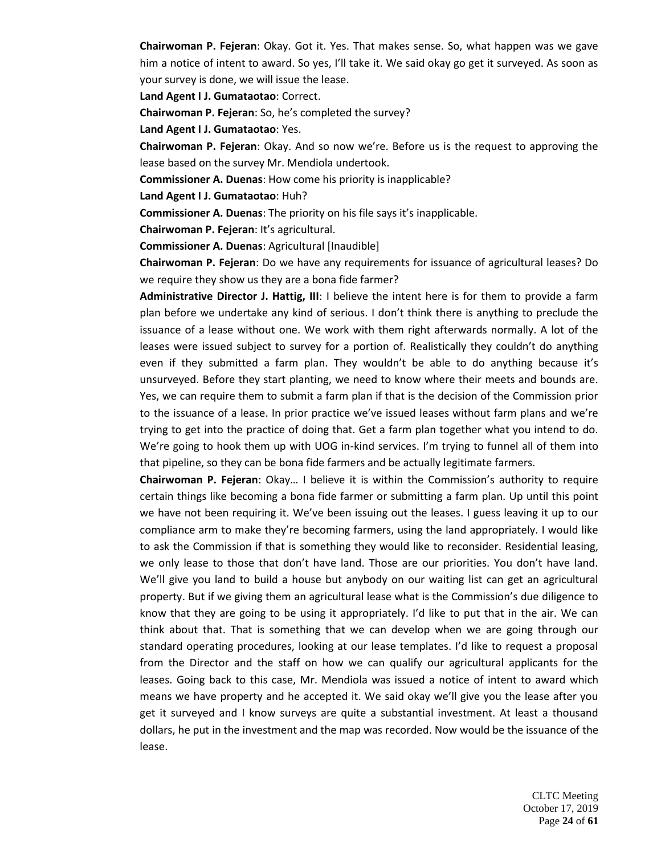**Chairwoman P. Fejeran**: Okay. Got it. Yes. That makes sense. So, what happen was we gave him a notice of intent to award. So yes, I'll take it. We said okay go get it surveyed. As soon as your survey is done, we will issue the lease.

**Land Agent I J. Gumataotao**: Correct.

**Chairwoman P. Fejeran**: So, he's completed the survey?

**Land Agent I J. Gumataotao**: Yes.

**Chairwoman P. Fejeran**: Okay. And so now we're. Before us is the request to approving the lease based on the survey Mr. Mendiola undertook.

**Commissioner A. Duenas**: How come his priority is inapplicable?

**Land Agent I J. Gumataotao**: Huh?

**Commissioner A. Duenas**: The priority on his file says it's inapplicable.

**Chairwoman P. Fejeran**: It's agricultural.

**Commissioner A. Duenas**: Agricultural [Inaudible]

**Chairwoman P. Fejeran**: Do we have any requirements for issuance of agricultural leases? Do we require they show us they are a bona fide farmer?

**Administrative Director J. Hattig, III**: I believe the intent here is for them to provide a farm plan before we undertake any kind of serious. I don't think there is anything to preclude the issuance of a lease without one. We work with them right afterwards normally. A lot of the leases were issued subject to survey for a portion of. Realistically they couldn't do anything even if they submitted a farm plan. They wouldn't be able to do anything because it's unsurveyed. Before they start planting, we need to know where their meets and bounds are. Yes, we can require them to submit a farm plan if that is the decision of the Commission prior to the issuance of a lease. In prior practice we've issued leases without farm plans and we're trying to get into the practice of doing that. Get a farm plan together what you intend to do. We're going to hook them up with UOG in-kind services. I'm trying to funnel all of them into that pipeline, so they can be bona fide farmers and be actually legitimate farmers.

**Chairwoman P. Fejeran**: Okay… I believe it is within the Commission's authority to require certain things like becoming a bona fide farmer or submitting a farm plan. Up until this point we have not been requiring it. We've been issuing out the leases. I guess leaving it up to our compliance arm to make they're becoming farmers, using the land appropriately. I would like to ask the Commission if that is something they would like to reconsider. Residential leasing, we only lease to those that don't have land. Those are our priorities. You don't have land. We'll give you land to build a house but anybody on our waiting list can get an agricultural property. But if we giving them an agricultural lease what is the Commission's due diligence to know that they are going to be using it appropriately. I'd like to put that in the air. We can think about that. That is something that we can develop when we are going through our standard operating procedures, looking at our lease templates. I'd like to request a proposal from the Director and the staff on how we can qualify our agricultural applicants for the leases. Going back to this case, Mr. Mendiola was issued a notice of intent to award which means we have property and he accepted it. We said okay we'll give you the lease after you get it surveyed and I know surveys are quite a substantial investment. At least a thousand dollars, he put in the investment and the map was recorded. Now would be the issuance of the lease.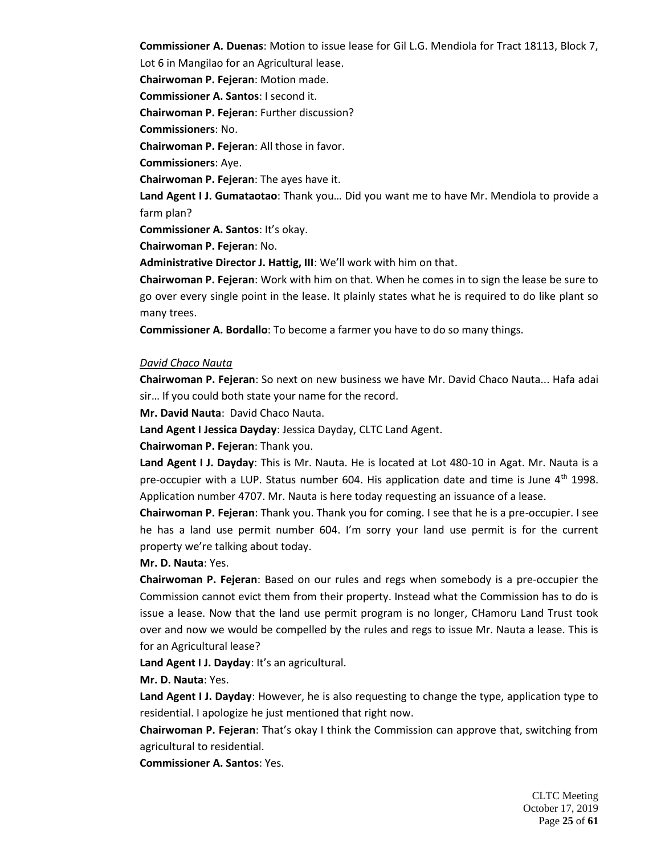**Commissioner A. Duenas**: Motion to issue lease for Gil L.G. Mendiola for Tract 18113, Block 7, Lot 6 in Mangilao for an Agricultural lease.

**Chairwoman P. Fejeran**: Motion made.

**Commissioner A. Santos**: I second it.

**Chairwoman P. Fejeran**: Further discussion?

**Commissioners**: No.

**Chairwoman P. Fejeran**: All those in favor.

**Commissioners**: Aye.

**Chairwoman P. Fejeran**: The ayes have it.

**Land Agent I J. Gumataotao**: Thank you… Did you want me to have Mr. Mendiola to provide a farm plan?

**Commissioner A. Santos**: It's okay.

**Chairwoman P. Fejeran**: No.

**Administrative Director J. Hattig, III**: We'll work with him on that.

**Chairwoman P. Fejeran**: Work with him on that. When he comes in to sign the lease be sure to go over every single point in the lease. It plainly states what he is required to do like plant so many trees.

**Commissioner A. Bordallo**: To become a farmer you have to do so many things.

## *David Chaco Nauta*

**Chairwoman P. Fejeran**: So next on new business we have Mr. David Chaco Nauta... Hafa adai sir… If you could both state your name for the record.

**Mr. David Nauta**: David Chaco Nauta.

**Land Agent I Jessica Dayday**: Jessica Dayday, CLTC Land Agent.

**Chairwoman P. Fejeran**: Thank you.

**Land Agent I J. Dayday**: This is Mr. Nauta. He is located at Lot 480-10 in Agat. Mr. Nauta is a pre-occupier with a LUP. Status number 604. His application date and time is June  $4<sup>th</sup>$  1998. Application number 4707. Mr. Nauta is here today requesting an issuance of a lease.

**Chairwoman P. Fejeran**: Thank you. Thank you for coming. I see that he is a pre-occupier. I see he has a land use permit number 604. I'm sorry your land use permit is for the current property we're talking about today.

## **Mr. D. Nauta**: Yes.

**Chairwoman P. Fejeran**: Based on our rules and regs when somebody is a pre-occupier the Commission cannot evict them from their property. Instead what the Commission has to do is issue a lease. Now that the land use permit program is no longer, CHamoru Land Trust took over and now we would be compelled by the rules and regs to issue Mr. Nauta a lease. This is for an Agricultural lease?

**Land Agent I J. Dayday**: It's an agricultural.

**Mr. D. Nauta**: Yes.

**Land Agent I J. Dayday**: However, he is also requesting to change the type, application type to residential. I apologize he just mentioned that right now.

**Chairwoman P. Fejeran**: That's okay I think the Commission can approve that, switching from agricultural to residential.

**Commissioner A. Santos**: Yes.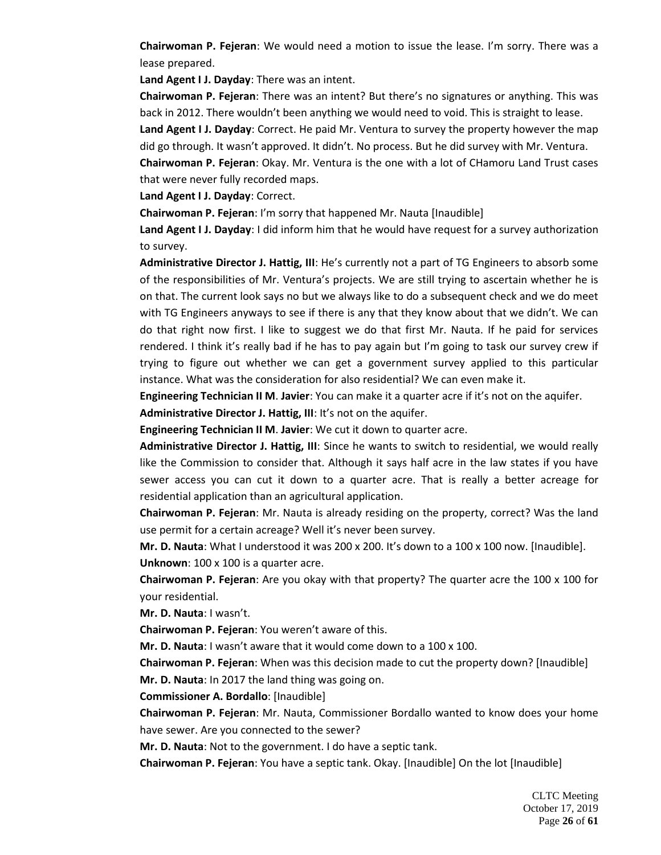**Chairwoman P. Fejeran**: We would need a motion to issue the lease. I'm sorry. There was a lease prepared.

**Land Agent I J. Dayday**: There was an intent.

**Chairwoman P. Fejeran**: There was an intent? But there's no signatures or anything. This was back in 2012. There wouldn't been anything we would need to void. This is straight to lease.

**Land Agent I J. Dayday**: Correct. He paid Mr. Ventura to survey the property however the map did go through. It wasn't approved. It didn't. No process. But he did survey with Mr. Ventura.

**Chairwoman P. Fejeran**: Okay. Mr. Ventura is the one with a lot of CHamoru Land Trust cases that were never fully recorded maps.

**Land Agent I J. Dayday**: Correct.

**Chairwoman P. Fejeran**: I'm sorry that happened Mr. Nauta [Inaudible]

**Land Agent I J. Dayday**: I did inform him that he would have request for a survey authorization to survey.

**Administrative Director J. Hattig, III**: He's currently not a part of TG Engineers to absorb some of the responsibilities of Mr. Ventura's projects. We are still trying to ascertain whether he is on that. The current look says no but we always like to do a subsequent check and we do meet with TG Engineers anyways to see if there is any that they know about that we didn't. We can do that right now first. I like to suggest we do that first Mr. Nauta. If he paid for services rendered. I think it's really bad if he has to pay again but I'm going to task our survey crew if trying to figure out whether we can get a government survey applied to this particular instance. What was the consideration for also residential? We can even make it.

**Engineering Technician II M**. **Javier**: You can make it a quarter acre if it's not on the aquifer.

**Administrative Director J. Hattig, III**: It's not on the aquifer.

**Engineering Technician II M**. **Javier**: We cut it down to quarter acre.

**Administrative Director J. Hattig, III**: Since he wants to switch to residential, we would really like the Commission to consider that. Although it says half acre in the law states if you have sewer access you can cut it down to a quarter acre. That is really a better acreage for residential application than an agricultural application.

**Chairwoman P. Fejeran**: Mr. Nauta is already residing on the property, correct? Was the land use permit for a certain acreage? Well it's never been survey.

**Mr. D. Nauta**: What I understood it was 200 x 200. It's down to a 100 x 100 now. [Inaudible]. **Unknown**: 100 x 100 is a quarter acre.

**Chairwoman P. Fejeran**: Are you okay with that property? The quarter acre the 100 x 100 for your residential.

**Mr. D. Nauta**: I wasn't.

**Chairwoman P. Fejeran**: You weren't aware of this.

**Mr. D. Nauta**: I wasn't aware that it would come down to a 100 x 100.

**Chairwoman P. Fejeran**: When was this decision made to cut the property down? [Inaudible] **Mr. D. Nauta**: In 2017 the land thing was going on.

**Commissioner A. Bordallo**: [Inaudible]

**Chairwoman P. Fejeran**: Mr. Nauta, Commissioner Bordallo wanted to know does your home have sewer. Are you connected to the sewer?

**Mr. D. Nauta**: Not to the government. I do have a septic tank.

**Chairwoman P. Fejeran**: You have a septic tank. Okay. [Inaudible] On the lot [Inaudible]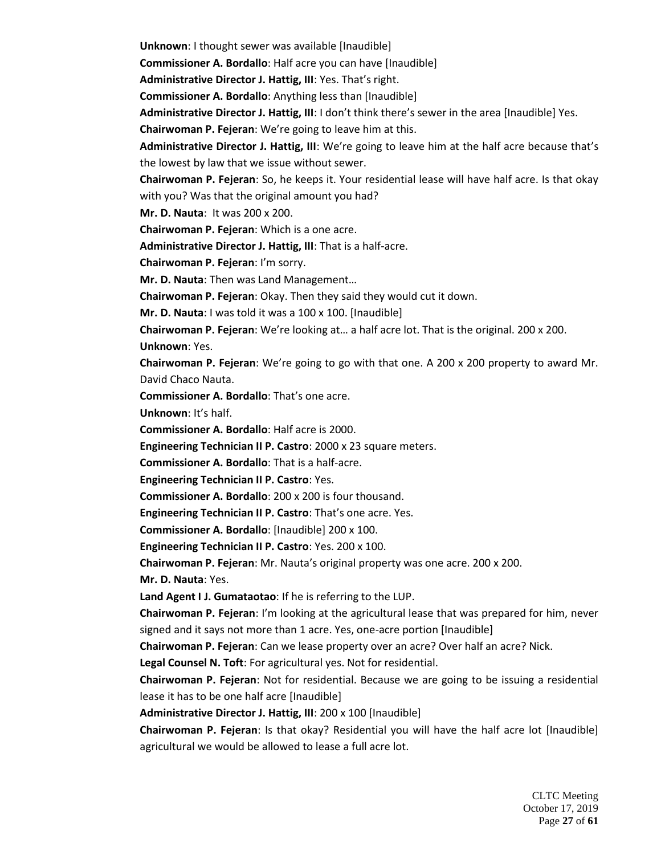**Unknown**: I thought sewer was available [Inaudible]

**Commissioner A. Bordallo**: Half acre you can have [Inaudible]

**Administrative Director J. Hattig, III**: Yes. That's right.

**Commissioner A. Bordallo**: Anything less than [Inaudible]

**Administrative Director J. Hattig, III**: I don't think there's sewer in the area [Inaudible] Yes.

**Chairwoman P. Fejeran**: We're going to leave him at this.

Administrative Director J. Hattig, III: We're going to leave him at the half acre because that's the lowest by law that we issue without sewer.

**Chairwoman P. Fejeran**: So, he keeps it. Your residential lease will have half acre. Is that okay with you? Was that the original amount you had?

**Mr. D. Nauta**: It was 200 x 200.

**Chairwoman P. Fejeran**: Which is a one acre.

**Administrative Director J. Hattig, III**: That is a half-acre.

**Chairwoman P. Fejeran**: I'm sorry.

**Mr. D. Nauta**: Then was Land Management…

**Chairwoman P. Fejeran**: Okay. Then they said they would cut it down.

**Mr. D. Nauta**: I was told it was a 100 x 100. [Inaudible]

**Chairwoman P. Fejeran**: We're looking at… a half acre lot. That is the original. 200 x 200. **Unknown**: Yes.

**Chairwoman P. Fejeran**: We're going to go with that one. A 200 x 200 property to award Mr. David Chaco Nauta.

**Commissioner A. Bordallo**: That's one acre.

**Unknown**: It's half.

**Commissioner A. Bordallo**: Half acre is 2000.

**Engineering Technician II P. Castro**: 2000 x 23 square meters.

**Commissioner A. Bordallo**: That is a half-acre.

**Engineering Technician II P. Castro**: Yes.

**Commissioner A. Bordallo**: 200 x 200 is four thousand.

**Engineering Technician II P. Castro**: That's one acre. Yes.

**Commissioner A. Bordallo**: [Inaudible] 200 x 100.

**Engineering Technician II P. Castro**: Yes. 200 x 100.

**Chairwoman P. Fejeran**: Mr. Nauta's original property was one acre. 200 x 200.

**Mr. D. Nauta**: Yes.

**Land Agent I J. Gumataotao**: If he is referring to the LUP.

**Chairwoman P. Fejeran**: I'm looking at the agricultural lease that was prepared for him, never signed and it says not more than 1 acre. Yes, one-acre portion [Inaudible]

**Chairwoman P. Fejeran**: Can we lease property over an acre? Over half an acre? Nick.

**Legal Counsel N. Toft**: For agricultural yes. Not for residential.

**Chairwoman P. Fejeran**: Not for residential. Because we are going to be issuing a residential lease it has to be one half acre [Inaudible]

Administrative Director J. Hattig, III: 200 x 100 [Inaudible]

**Chairwoman P. Fejeran**: Is that okay? Residential you will have the half acre lot [Inaudible] agricultural we would be allowed to lease a full acre lot.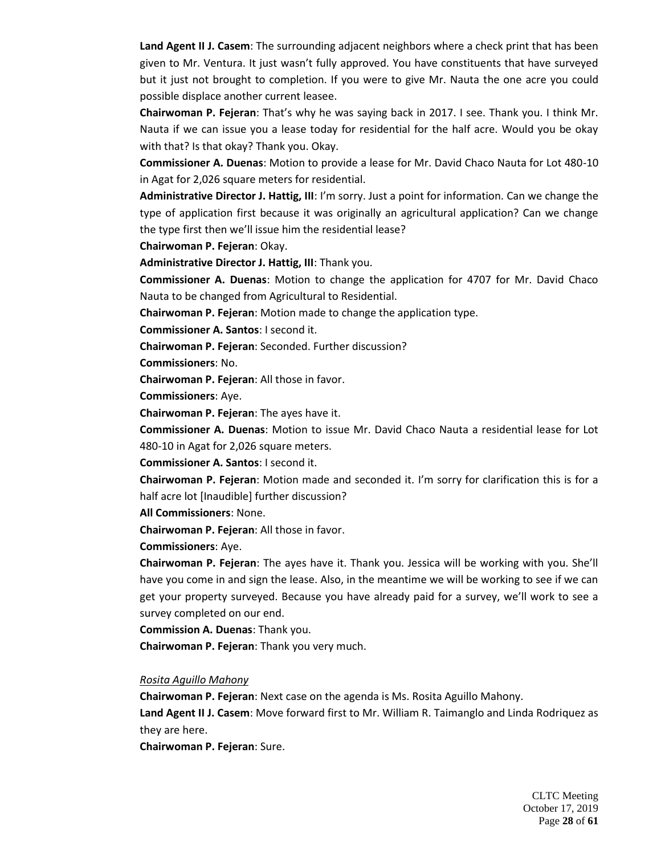**Land Agent II J. Casem**: The surrounding adjacent neighbors where a check print that has been given to Mr. Ventura. It just wasn't fully approved. You have constituents that have surveyed but it just not brought to completion. If you were to give Mr. Nauta the one acre you could possible displace another current leasee.

**Chairwoman P. Fejeran**: That's why he was saying back in 2017. I see. Thank you. I think Mr. Nauta if we can issue you a lease today for residential for the half acre. Would you be okay with that? Is that okay? Thank you. Okay.

**Commissioner A. Duenas**: Motion to provide a lease for Mr. David Chaco Nauta for Lot 480-10 in Agat for 2,026 square meters for residential.

**Administrative Director J. Hattig, III**: I'm sorry. Just a point for information. Can we change the type of application first because it was originally an agricultural application? Can we change the type first then we'll issue him the residential lease?

**Chairwoman P. Fejeran**: Okay.

**Administrative Director J. Hattig, III**: Thank you.

**Commissioner A. Duenas**: Motion to change the application for 4707 for Mr. David Chaco Nauta to be changed from Agricultural to Residential.

**Chairwoman P. Fejeran**: Motion made to change the application type.

**Commissioner A. Santos**: I second it.

**Chairwoman P. Fejeran**: Seconded. Further discussion?

**Commissioners**: No.

**Chairwoman P. Fejeran**: All those in favor.

**Commissioners**: Aye.

**Chairwoman P. Fejeran**: The ayes have it.

**Commissioner A. Duenas**: Motion to issue Mr. David Chaco Nauta a residential lease for Lot 480-10 in Agat for 2,026 square meters.

**Commissioner A. Santos**: I second it.

**Chairwoman P. Fejeran**: Motion made and seconded it. I'm sorry for clarification this is for a half acre lot [Inaudible] further discussion?

**All Commissioners**: None.

**Chairwoman P. Fejeran**: All those in favor.

**Commissioners**: Aye.

**Chairwoman P. Fejeran**: The ayes have it. Thank you. Jessica will be working with you. She'll have you come in and sign the lease. Also, in the meantime we will be working to see if we can get your property surveyed. Because you have already paid for a survey, we'll work to see a survey completed on our end.

**Commission A. Duenas**: Thank you.

**Chairwoman P. Fejeran**: Thank you very much.

#### *Rosita Aguillo Mahony*

**Chairwoman P. Fejeran**: Next case on the agenda is Ms. Rosita Aguillo Mahony.

**Land Agent II J. Casem**: Move forward first to Mr. William R. Taimanglo and Linda Rodriquez as they are here.

**Chairwoman P. Fejeran**: Sure.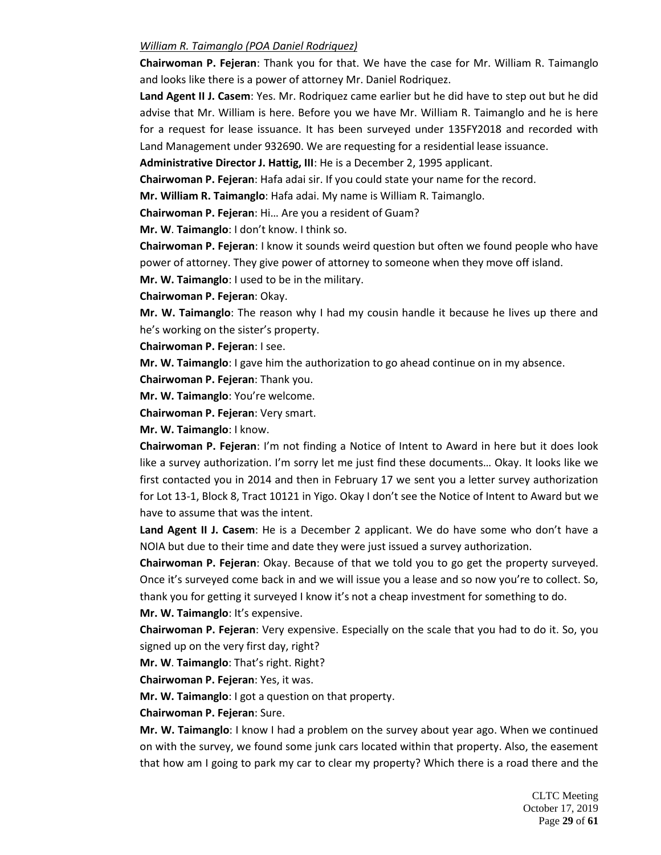### *William R. Taimanglo (POA Daniel Rodriquez)*

**Chairwoman P. Fejeran**: Thank you for that. We have the case for Mr. William R. Taimanglo and looks like there is a power of attorney Mr. Daniel Rodriquez.

**Land Agent II J. Casem**: Yes. Mr. Rodriquez came earlier but he did have to step out but he did advise that Mr. William is here. Before you we have Mr. William R. Taimanglo and he is here for a request for lease issuance. It has been surveyed under 135FY2018 and recorded with Land Management under 932690. We are requesting for a residential lease issuance.

**Administrative Director J. Hattig, III**: He is a December 2, 1995 applicant.

**Chairwoman P. Fejeran**: Hafa adai sir. If you could state your name for the record.

**Mr. William R. Taimanglo**: Hafa adai. My name is William R. Taimanglo.

**Chairwoman P. Fejeran**: Hi… Are you a resident of Guam?

**Mr. W**. **Taimanglo**: I don't know. I think so.

**Chairwoman P. Fejeran**: I know it sounds weird question but often we found people who have power of attorney. They give power of attorney to someone when they move off island.

**Mr. W. Taimanglo**: I used to be in the military.

**Chairwoman P. Fejeran**: Okay.

**Mr. W. Taimanglo**: The reason why I had my cousin handle it because he lives up there and he's working on the sister's property.

**Chairwoman P. Fejeran**: I see.

**Mr. W. Taimanglo**: I gave him the authorization to go ahead continue on in my absence.

**Chairwoman P. Fejeran**: Thank you.

**Mr. W. Taimanglo**: You're welcome.

**Chairwoman P. Fejeran**: Very smart.

**Mr. W. Taimanglo**: I know.

**Chairwoman P. Fejeran**: I'm not finding a Notice of Intent to Award in here but it does look like a survey authorization. I'm sorry let me just find these documents… Okay. It looks like we first contacted you in 2014 and then in February 17 we sent you a letter survey authorization for Lot 13-1, Block 8, Tract 10121 in Yigo. Okay I don't see the Notice of Intent to Award but we have to assume that was the intent.

**Land Agent II J. Casem**: He is a December 2 applicant. We do have some who don't have a NOIA but due to their time and date they were just issued a survey authorization.

**Chairwoman P. Fejeran**: Okay. Because of that we told you to go get the property surveyed. Once it's surveyed come back in and we will issue you a lease and so now you're to collect. So,

thank you for getting it surveyed I know it's not a cheap investment for something to do.

**Mr. W. Taimanglo**: It's expensive.

**Chairwoman P. Fejeran**: Very expensive. Especially on the scale that you had to do it. So, you signed up on the very first day, right?

**Mr. W**. **Taimanglo**: That's right. Right?

**Chairwoman P. Fejeran**: Yes, it was.

**Mr. W. Taimanglo**: I got a question on that property.

**Chairwoman P. Fejeran**: Sure.

**Mr. W. Taimanglo**: I know I had a problem on the survey about year ago. When we continued on with the survey, we found some junk cars located within that property. Also, the easement that how am I going to park my car to clear my property? Which there is a road there and the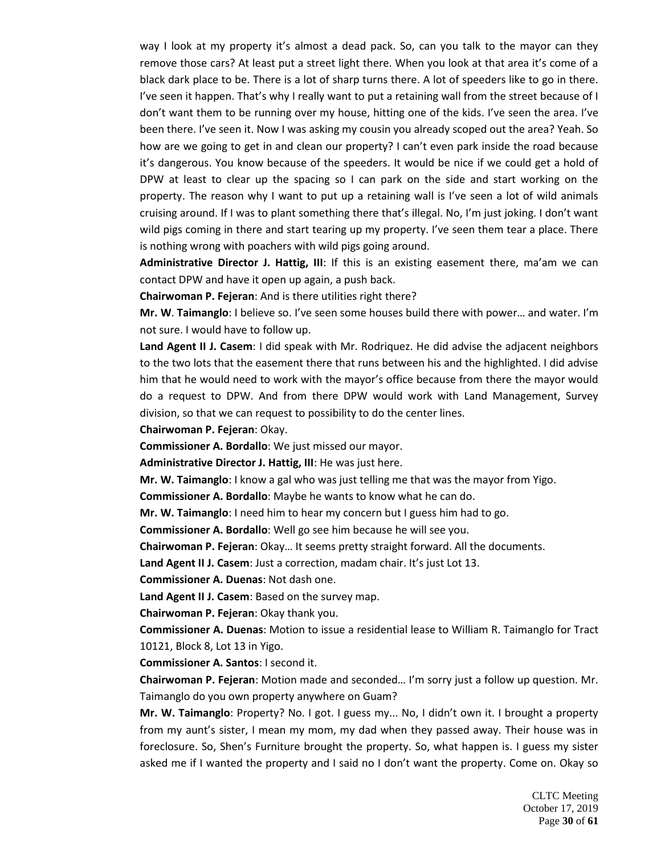way I look at my property it's almost a dead pack. So, can you talk to the mayor can they remove those cars? At least put a street light there. When you look at that area it's come of a black dark place to be. There is a lot of sharp turns there. A lot of speeders like to go in there. I've seen it happen. That's why I really want to put a retaining wall from the street because of I don't want them to be running over my house, hitting one of the kids. I've seen the area. I've been there. I've seen it. Now I was asking my cousin you already scoped out the area? Yeah. So how are we going to get in and clean our property? I can't even park inside the road because it's dangerous. You know because of the speeders. It would be nice if we could get a hold of DPW at least to clear up the spacing so I can park on the side and start working on the property. The reason why I want to put up a retaining wall is I've seen a lot of wild animals cruising around. If I was to plant something there that's illegal. No, I'm just joking. I don't want wild pigs coming in there and start tearing up my property. I've seen them tear a place. There is nothing wrong with poachers with wild pigs going around.

**Administrative Director J. Hattig, III**: If this is an existing easement there, ma'am we can contact DPW and have it open up again, a push back.

**Chairwoman P. Fejeran**: And is there utilities right there?

**Mr. W**. **Taimanglo**: I believe so. I've seen some houses build there with power… and water. I'm not sure. I would have to follow up.

**Land Agent II J. Casem**: I did speak with Mr. Rodriquez. He did advise the adjacent neighbors to the two lots that the easement there that runs between his and the highlighted. I did advise him that he would need to work with the mayor's office because from there the mayor would do a request to DPW. And from there DPW would work with Land Management, Survey division, so that we can request to possibility to do the center lines.

**Chairwoman P. Fejeran**: Okay.

**Commissioner A. Bordallo**: We just missed our mayor.

**Administrative Director J. Hattig, III**: He was just here.

**Mr. W. Taimanglo**: I know a gal who was just telling me that was the mayor from Yigo.

**Commissioner A. Bordallo**: Maybe he wants to know what he can do.

**Mr. W. Taimanglo**: I need him to hear my concern but I guess him had to go.

**Commissioner A. Bordallo**: Well go see him because he will see you.

**Chairwoman P. Fejeran**: Okay… It seems pretty straight forward. All the documents.

**Land Agent II J. Casem**: Just a correction, madam chair. It's just Lot 13.

**Commissioner A. Duenas**: Not dash one.

**Land Agent II J. Casem**: Based on the survey map.

**Chairwoman P. Fejeran**: Okay thank you.

**Commissioner A. Duenas**: Motion to issue a residential lease to William R. Taimanglo for Tract 10121, Block 8, Lot 13 in Yigo.

**Commissioner A. Santos**: I second it.

**Chairwoman P. Fejeran**: Motion made and seconded… I'm sorry just a follow up question. Mr. Taimanglo do you own property anywhere on Guam?

**Mr. W. Taimanglo**: Property? No. I got. I guess my... No, I didn't own it. I brought a property from my aunt's sister, I mean my mom, my dad when they passed away. Their house was in foreclosure. So, Shen's Furniture brought the property. So, what happen is. I guess my sister asked me if I wanted the property and I said no I don't want the property. Come on. Okay so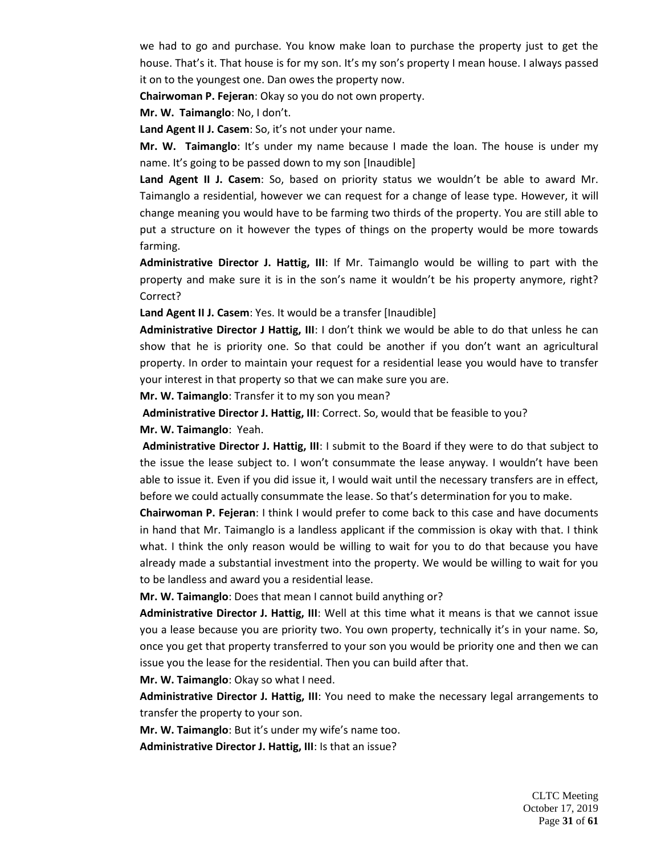we had to go and purchase. You know make loan to purchase the property just to get the house. That's it. That house is for my son. It's my son's property I mean house. I always passed it on to the youngest one. Dan owes the property now.

**Chairwoman P. Fejeran**: Okay so you do not own property.

**Mr. W. Taimanglo**: No, I don't.

**Land Agent II J. Casem**: So, it's not under your name.

**Mr. W. Taimanglo**: It's under my name because I made the loan. The house is under my name. It's going to be passed down to my son [Inaudible]

**Land Agent II J. Casem**: So, based on priority status we wouldn't be able to award Mr. Taimanglo a residential, however we can request for a change of lease type. However, it will change meaning you would have to be farming two thirds of the property. You are still able to put a structure on it however the types of things on the property would be more towards farming.

**Administrative Director J. Hattig, III**: If Mr. Taimanglo would be willing to part with the property and make sure it is in the son's name it wouldn't be his property anymore, right? Correct?

**Land Agent II J. Casem**: Yes. It would be a transfer [Inaudible]

**Administrative Director J Hattig, III**: I don't think we would be able to do that unless he can show that he is priority one. So that could be another if you don't want an agricultural property. In order to maintain your request for a residential lease you would have to transfer your interest in that property so that we can make sure you are.

**Mr. W. Taimanglo**: Transfer it to my son you mean?

**Administrative Director J. Hattig, III**: Correct. So, would that be feasible to you? **Mr. W. Taimanglo**: Yeah.

**Administrative Director J. Hattig, III**: I submit to the Board if they were to do that subject to the issue the lease subject to. I won't consummate the lease anyway. I wouldn't have been able to issue it. Even if you did issue it, I would wait until the necessary transfers are in effect, before we could actually consummate the lease. So that's determination for you to make.

**Chairwoman P. Fejeran**: I think I would prefer to come back to this case and have documents in hand that Mr. Taimanglo is a landless applicant if the commission is okay with that. I think what. I think the only reason would be willing to wait for you to do that because you have already made a substantial investment into the property. We would be willing to wait for you to be landless and award you a residential lease.

**Mr. W. Taimanglo**: Does that mean I cannot build anything or?

**Administrative Director J. Hattig, III**: Well at this time what it means is that we cannot issue you a lease because you are priority two. You own property, technically it's in your name. So, once you get that property transferred to your son you would be priority one and then we can issue you the lease for the residential. Then you can build after that.

**Mr. W. Taimanglo**: Okay so what I need.

**Administrative Director J. Hattig, III**: You need to make the necessary legal arrangements to transfer the property to your son.

**Mr. W. Taimanglo**: But it's under my wife's name too.

**Administrative Director J. Hattig, III**: Is that an issue?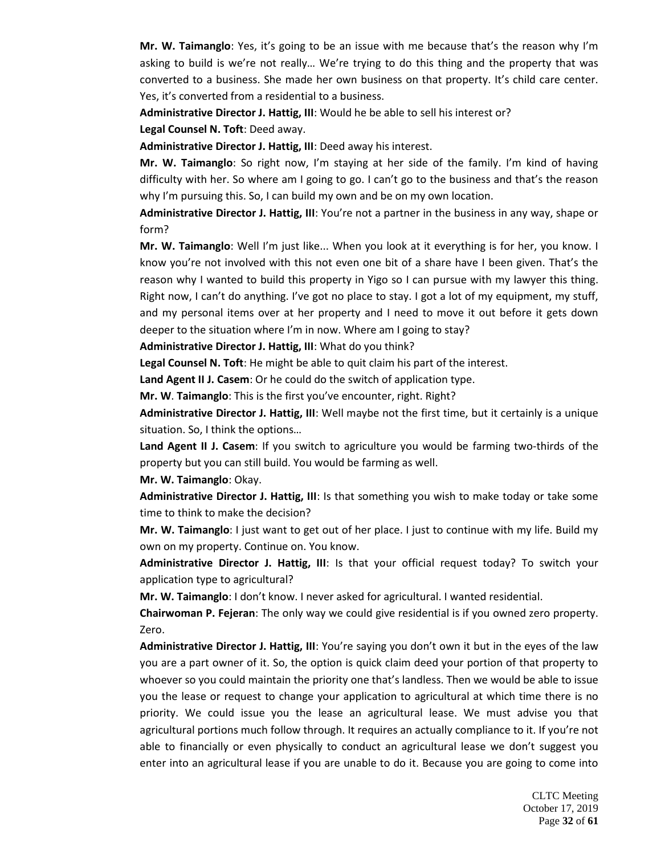**Mr. W. Taimanglo**: Yes, it's going to be an issue with me because that's the reason why I'm asking to build is we're not really… We're trying to do this thing and the property that was converted to a business. She made her own business on that property. It's child care center. Yes, it's converted from a residential to a business.

**Administrative Director J. Hattig, III**: Would he be able to sell his interest or? **Legal Counsel N. Toft**: Deed away.

**Administrative Director J. Hattig, III**: Deed away his interest.

**Mr. W. Taimanglo**: So right now, I'm staying at her side of the family. I'm kind of having difficulty with her. So where am I going to go. I can't go to the business and that's the reason why I'm pursuing this. So, I can build my own and be on my own location.

**Administrative Director J. Hattig, III**: You're not a partner in the business in any way, shape or form?

**Mr. W. Taimanglo**: Well I'm just like... When you look at it everything is for her, you know. I know you're not involved with this not even one bit of a share have I been given. That's the reason why I wanted to build this property in Yigo so I can pursue with my lawyer this thing. Right now, I can't do anything. I've got no place to stay. I got a lot of my equipment, my stuff, and my personal items over at her property and I need to move it out before it gets down deeper to the situation where I'm in now. Where am I going to stay?

**Administrative Director J. Hattig, III**: What do you think?

**Legal Counsel N. Toft**: He might be able to quit claim his part of the interest.

**Land Agent II J. Casem**: Or he could do the switch of application type.

**Mr. W**. **Taimanglo**: This is the first you've encounter, right. Right?

**Administrative Director J. Hattig, III**: Well maybe not the first time, but it certainly is a unique situation. So, I think the options…

**Land Agent II J. Casem**: If you switch to agriculture you would be farming two-thirds of the property but you can still build. You would be farming as well.

**Mr. W. Taimanglo**: Okay.

**Administrative Director J. Hattig, III**: Is that something you wish to make today or take some time to think to make the decision?

**Mr. W. Taimanglo**: I just want to get out of her place. I just to continue with my life. Build my own on my property. Continue on. You know.

**Administrative Director J. Hattig, III**: Is that your official request today? To switch your application type to agricultural?

**Mr. W. Taimanglo**: I don't know. I never asked for agricultural. I wanted residential.

**Chairwoman P. Fejeran**: The only way we could give residential is if you owned zero property. Zero.

**Administrative Director J. Hattig, III**: You're saying you don't own it but in the eyes of the law you are a part owner of it. So, the option is quick claim deed your portion of that property to whoever so you could maintain the priority one that's landless. Then we would be able to issue you the lease or request to change your application to agricultural at which time there is no priority. We could issue you the lease an agricultural lease. We must advise you that agricultural portions much follow through. It requires an actually compliance to it. If you're not able to financially or even physically to conduct an agricultural lease we don't suggest you enter into an agricultural lease if you are unable to do it. Because you are going to come into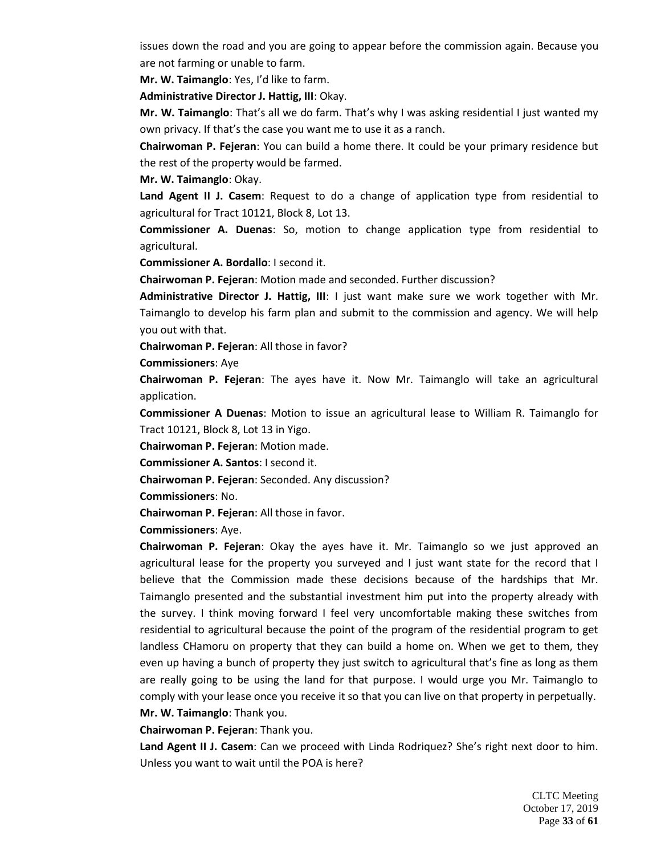issues down the road and you are going to appear before the commission again. Because you are not farming or unable to farm.

**Mr. W. Taimanglo**: Yes, I'd like to farm.

**Administrative Director J. Hattig, III**: Okay.

**Mr. W. Taimanglo**: That's all we do farm. That's why I was asking residential I just wanted my own privacy. If that's the case you want me to use it as a ranch.

**Chairwoman P. Fejeran**: You can build a home there. It could be your primary residence but the rest of the property would be farmed.

**Mr. W. Taimanglo**: Okay.

**Land Agent II J. Casem**: Request to do a change of application type from residential to agricultural for Tract 10121, Block 8, Lot 13.

**Commissioner A. Duenas**: So, motion to change application type from residential to agricultural.

**Commissioner A. Bordallo**: I second it.

**Chairwoman P. Fejeran**: Motion made and seconded. Further discussion?

**Administrative Director J. Hattig, III**: I just want make sure we work together with Mr. Taimanglo to develop his farm plan and submit to the commission and agency. We will help you out with that.

**Chairwoman P. Fejeran**: All those in favor?

**Commissioners**: Aye

**Chairwoman P. Fejeran**: The ayes have it. Now Mr. Taimanglo will take an agricultural application.

**Commissioner A Duenas**: Motion to issue an agricultural lease to William R. Taimanglo for Tract 10121, Block 8, Lot 13 in Yigo.

**Chairwoman P. Fejeran**: Motion made.

**Commissioner A. Santos**: I second it.

**Chairwoman P. Fejeran**: Seconded. Any discussion?

**Commissioners**: No.

**Chairwoman P. Fejeran**: All those in favor.

**Commissioners**: Aye.

**Chairwoman P. Fejeran**: Okay the ayes have it. Mr. Taimanglo so we just approved an agricultural lease for the property you surveyed and I just want state for the record that I believe that the Commission made these decisions because of the hardships that Mr. Taimanglo presented and the substantial investment him put into the property already with the survey. I think moving forward I feel very uncomfortable making these switches from residential to agricultural because the point of the program of the residential program to get landless CHamoru on property that they can build a home on. When we get to them, they even up having a bunch of property they just switch to agricultural that's fine as long as them are really going to be using the land for that purpose. I would urge you Mr. Taimanglo to comply with your lease once you receive it so that you can live on that property in perpetually. **Mr. W. Taimanglo**: Thank you.

**Chairwoman P. Fejeran**: Thank you.

**Land Agent II J. Casem**: Can we proceed with Linda Rodriquez? She's right next door to him. Unless you want to wait until the POA is here?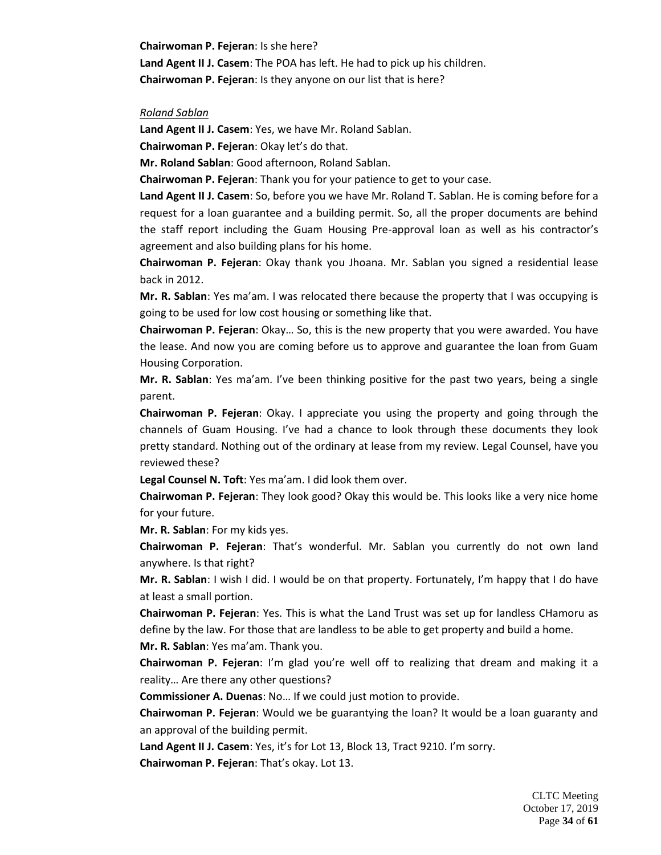**Chairwoman P. Fejeran**: Is she here? **Land Agent II J. Casem**: The POA has left. He had to pick up his children. **Chairwoman P. Fejeran**: Is they anyone on our list that is here?

#### *Roland Sablan*

**Land Agent II J. Casem**: Yes, we have Mr. Roland Sablan.

**Chairwoman P. Fejeran**: Okay let's do that.

**Mr. Roland Sablan**: Good afternoon, Roland Sablan.

**Chairwoman P. Fejeran**: Thank you for your patience to get to your case.

**Land Agent II J. Casem**: So, before you we have Mr. Roland T. Sablan. He is coming before for a request for a loan guarantee and a building permit. So, all the proper documents are behind the staff report including the Guam Housing Pre-approval loan as well as his contractor's agreement and also building plans for his home.

**Chairwoman P. Fejeran**: Okay thank you Jhoana. Mr. Sablan you signed a residential lease back in 2012.

**Mr. R. Sablan**: Yes ma'am. I was relocated there because the property that I was occupying is going to be used for low cost housing or something like that.

**Chairwoman P. Fejeran**: Okay… So, this is the new property that you were awarded. You have the lease. And now you are coming before us to approve and guarantee the loan from Guam Housing Corporation.

**Mr. R. Sablan**: Yes ma'am. I've been thinking positive for the past two years, being a single parent.

**Chairwoman P. Fejeran**: Okay. I appreciate you using the property and going through the channels of Guam Housing. I've had a chance to look through these documents they look pretty standard. Nothing out of the ordinary at lease from my review. Legal Counsel, have you reviewed these?

**Legal Counsel N. Toft**: Yes ma'am. I did look them over.

**Chairwoman P. Fejeran**: They look good? Okay this would be. This looks like a very nice home for your future.

**Mr. R. Sablan**: For my kids yes.

**Chairwoman P. Fejeran**: That's wonderful. Mr. Sablan you currently do not own land anywhere. Is that right?

**Mr. R. Sablan**: I wish I did. I would be on that property. Fortunately, I'm happy that I do have at least a small portion.

**Chairwoman P. Fejeran**: Yes. This is what the Land Trust was set up for landless CHamoru as define by the law. For those that are landless to be able to get property and build a home.

**Mr. R. Sablan**: Yes ma'am. Thank you.

**Chairwoman P. Fejeran**: I'm glad you're well off to realizing that dream and making it a reality… Are there any other questions?

**Commissioner A. Duenas**: No… If we could just motion to provide.

**Chairwoman P. Fejeran**: Would we be guarantying the loan? It would be a loan guaranty and an approval of the building permit.

**Land Agent II J. Casem**: Yes, it's for Lot 13, Block 13, Tract 9210. I'm sorry. **Chairwoman P. Fejeran**: That's okay. Lot 13.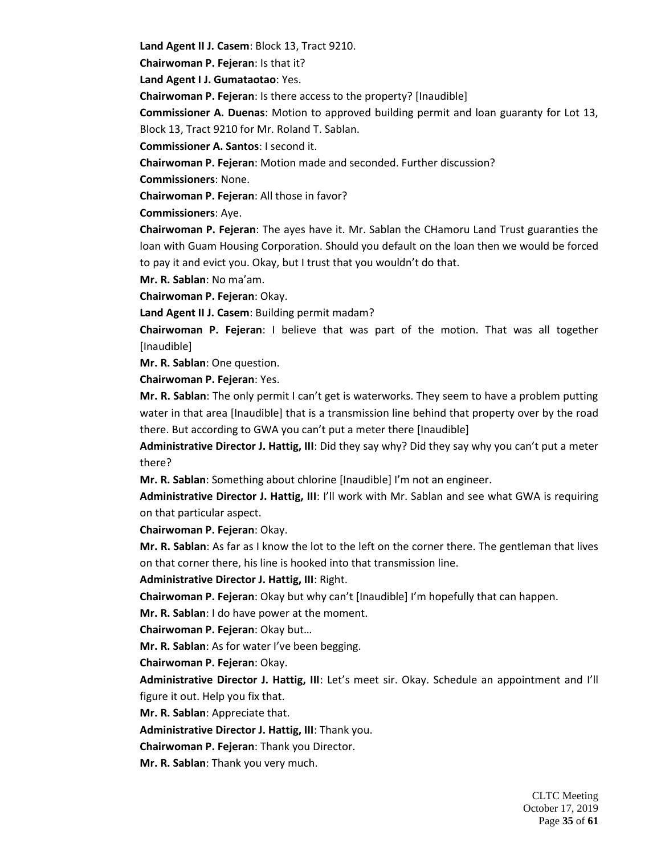**Land Agent II J. Casem**: Block 13, Tract 9210.

**Chairwoman P. Fejeran**: Is that it?

**Land Agent I J. Gumataotao**: Yes.

**Chairwoman P. Fejeran**: Is there access to the property? [Inaudible]

**Commissioner A. Duenas**: Motion to approved building permit and loan guaranty for Lot 13,

Block 13, Tract 9210 for Mr. Roland T. Sablan.

**Commissioner A. Santos**: I second it.

**Chairwoman P. Fejeran**: Motion made and seconded. Further discussion?

**Commissioners**: None.

**Chairwoman P. Fejeran**: All those in favor?

**Commissioners**: Aye.

**Chairwoman P. Fejeran**: The ayes have it. Mr. Sablan the CHamoru Land Trust guaranties the loan with Guam Housing Corporation. Should you default on the loan then we would be forced to pay it and evict you. Okay, but I trust that you wouldn't do that.

**Mr. R. Sablan**: No ma'am.

**Chairwoman P. Fejeran**: Okay.

**Land Agent II J. Casem**: Building permit madam?

**Chairwoman P. Fejeran**: I believe that was part of the motion. That was all together [Inaudible]

**Mr. R. Sablan**: One question.

**Chairwoman P. Fejeran**: Yes.

**Mr. R. Sablan**: The only permit I can't get is waterworks. They seem to have a problem putting water in that area [Inaudible] that is a transmission line behind that property over by the road there. But according to GWA you can't put a meter there [Inaudible]

**Administrative Director J. Hattig, III**: Did they say why? Did they say why you can't put a meter there?

**Mr. R. Sablan**: Something about chlorine [Inaudible] I'm not an engineer.

**Administrative Director J. Hattig, III**: I'll work with Mr. Sablan and see what GWA is requiring on that particular aspect.

**Chairwoman P. Fejeran**: Okay.

**Mr. R. Sablan**: As far as I know the lot to the left on the corner there. The gentleman that lives on that corner there, his line is hooked into that transmission line.

**Administrative Director J. Hattig, III**: Right.

**Chairwoman P. Fejeran**: Okay but why can't [Inaudible] I'm hopefully that can happen.

**Mr. R. Sablan**: I do have power at the moment.

**Chairwoman P. Fejeran**: Okay but…

**Mr. R. Sablan**: As for water I've been begging.

**Chairwoman P. Fejeran**: Okay.

**Administrative Director J. Hattig, III**: Let's meet sir. Okay. Schedule an appointment and I'll figure it out. Help you fix that.

**Mr. R. Sablan**: Appreciate that.

**Administrative Director J. Hattig, III**: Thank you.

**Chairwoman P. Fejeran**: Thank you Director.

**Mr. R. Sablan**: Thank you very much.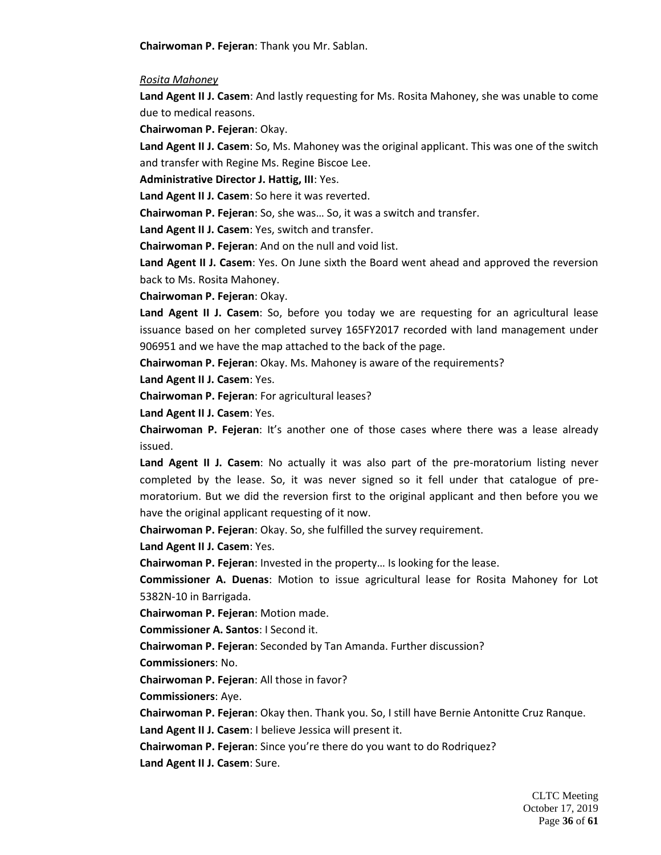**Chairwoman P. Fejeran**: Thank you Mr. Sablan.

*Rosita Mahoney*

**Land Agent II J. Casem**: And lastly requesting for Ms. Rosita Mahoney, she was unable to come due to medical reasons.

**Chairwoman P. Fejeran**: Okay.

**Land Agent II J. Casem**: So, Ms. Mahoney was the original applicant. This was one of the switch and transfer with Regine Ms. Regine Biscoe Lee.

**Administrative Director J. Hattig, III**: Yes.

**Land Agent II J. Casem**: So here it was reverted.

**Chairwoman P. Fejeran**: So, she was… So, it was a switch and transfer.

**Land Agent II J. Casem**: Yes, switch and transfer.

**Chairwoman P. Fejeran**: And on the null and void list.

**Land Agent II J. Casem**: Yes. On June sixth the Board went ahead and approved the reversion back to Ms. Rosita Mahoney.

**Chairwoman P. Fejeran**: Okay.

**Land Agent II J. Casem**: So, before you today we are requesting for an agricultural lease issuance based on her completed survey 165FY2017 recorded with land management under 906951 and we have the map attached to the back of the page.

**Chairwoman P. Fejeran**: Okay. Ms. Mahoney is aware of the requirements?

**Land Agent II J. Casem**: Yes.

**Chairwoman P. Fejeran**: For agricultural leases?

**Land Agent II J. Casem**: Yes.

**Chairwoman P. Fejeran**: It's another one of those cases where there was a lease already issued.

**Land Agent II J. Casem**: No actually it was also part of the pre-moratorium listing never completed by the lease. So, it was never signed so it fell under that catalogue of premoratorium. But we did the reversion first to the original applicant and then before you we have the original applicant requesting of it now.

**Chairwoman P. Fejeran**: Okay. So, she fulfilled the survey requirement.

**Land Agent II J. Casem**: Yes.

**Chairwoman P. Fejeran**: Invested in the property… Is looking for the lease.

**Commissioner A. Duenas**: Motion to issue agricultural lease for Rosita Mahoney for Lot 5382N-10 in Barrigada.

**Chairwoman P. Fejeran**: Motion made.

**Commissioner A. Santos**: I Second it.

**Chairwoman P. Fejeran**: Seconded by Tan Amanda. Further discussion?

**Commissioners**: No.

**Chairwoman P. Fejeran**: All those in favor?

**Commissioners**: Aye.

**Chairwoman P. Fejeran**: Okay then. Thank you. So, I still have Bernie Antonitte Cruz Ranque.

**Land Agent II J. Casem**: I believe Jessica will present it.

**Chairwoman P. Fejeran**: Since you're there do you want to do Rodriquez?

**Land Agent II J. Casem**: Sure.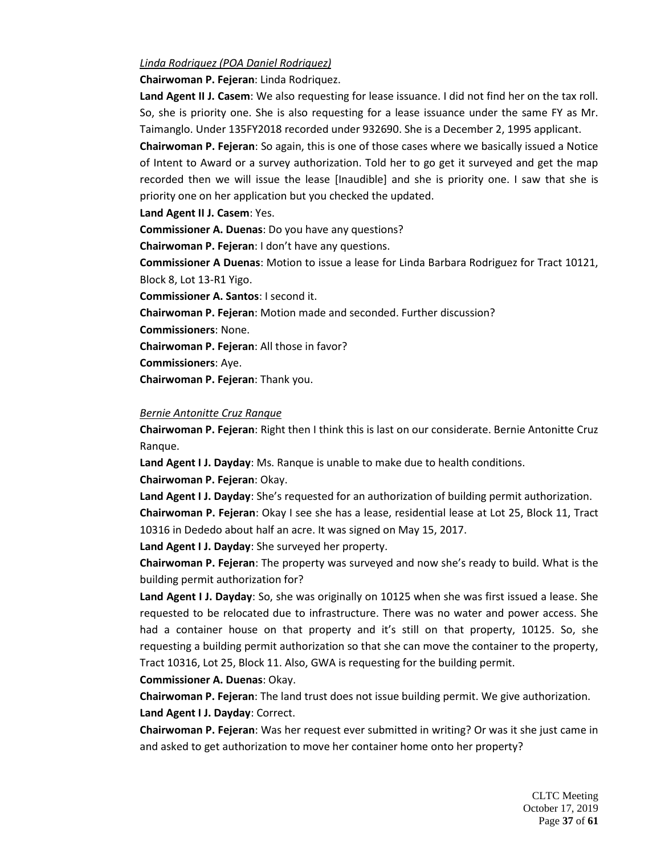### *Linda Rodriquez (POA Daniel Rodriquez)*

**Chairwoman P. Fejeran**: Linda Rodriquez.

**Land Agent II J. Casem**: We also requesting for lease issuance. I did not find her on the tax roll. So, she is priority one. She is also requesting for a lease issuance under the same FY as Mr. Taimanglo. Under 135FY2018 recorded under 932690. She is a December 2, 1995 applicant.

**Chairwoman P. Fejeran**: So again, this is one of those cases where we basically issued a Notice of Intent to Award or a survey authorization. Told her to go get it surveyed and get the map recorded then we will issue the lease [Inaudible] and she is priority one. I saw that she is priority one on her application but you checked the updated.

**Land Agent II J. Casem**: Yes.

**Commissioner A. Duenas**: Do you have any questions?

**Chairwoman P. Fejeran**: I don't have any questions.

**Commissioner A Duenas**: Motion to issue a lease for Linda Barbara Rodriguez for Tract 10121, Block 8, Lot 13-R1 Yigo.

**Commissioner A. Santos**: I second it.

**Chairwoman P. Fejeran**: Motion made and seconded. Further discussion?

**Commissioners**: None.

**Chairwoman P. Fejeran**: All those in favor?

**Commissioners**: Aye.

**Chairwoman P. Fejeran**: Thank you.

#### *Bernie Antonitte Cruz Ranque*

**Chairwoman P. Fejeran**: Right then I think this is last on our considerate. Bernie Antonitte Cruz Ranque.

**Land Agent I J. Dayday**: Ms. Ranque is unable to make due to health conditions.

**Chairwoman P. Fejeran**: Okay.

**Land Agent I J. Dayday**: She's requested for an authorization of building permit authorization. **Chairwoman P. Fejeran**: Okay I see she has a lease, residential lease at Lot 25, Block 11, Tract 10316 in Dededo about half an acre. It was signed on May 15, 2017.

**Land Agent I J. Dayday**: She surveyed her property.

**Chairwoman P. Fejeran**: The property was surveyed and now she's ready to build. What is the building permit authorization for?

**Land Agent I J. Dayday**: So, she was originally on 10125 when she was first issued a lease. She requested to be relocated due to infrastructure. There was no water and power access. She had a container house on that property and it's still on that property, 10125. So, she requesting a building permit authorization so that she can move the container to the property, Tract 10316, Lot 25, Block 11. Also, GWA is requesting for the building permit.

**Commissioner A. Duenas**: Okay.

**Chairwoman P. Fejeran**: The land trust does not issue building permit. We give authorization. **Land Agent I J. Dayday**: Correct.

**Chairwoman P. Fejeran**: Was her request ever submitted in writing? Or was it she just came in and asked to get authorization to move her container home onto her property?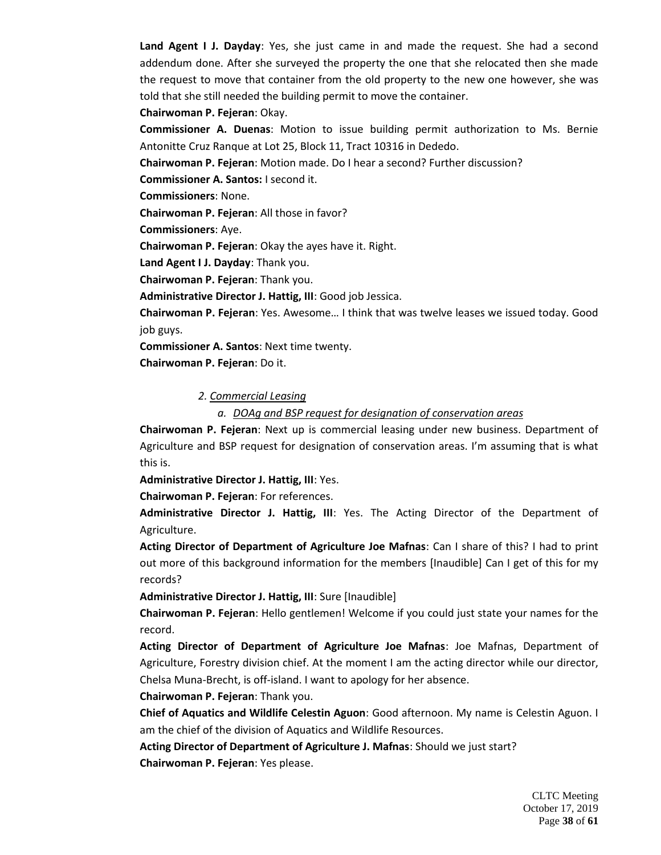**Land Agent I J. Dayday**: Yes, she just came in and made the request. She had a second addendum done. After she surveyed the property the one that she relocated then she made the request to move that container from the old property to the new one however, she was told that she still needed the building permit to move the container.

**Chairwoman P. Fejeran**: Okay.

**Commissioner A. Duenas**: Motion to issue building permit authorization to Ms. Bernie Antonitte Cruz Ranque at Lot 25, Block 11, Tract 10316 in Dededo.

**Chairwoman P. Fejeran**: Motion made. Do I hear a second? Further discussion?

**Commissioner A. Santos:** I second it.

**Commissioners**: None.

**Chairwoman P. Fejeran**: All those in favor?

**Commissioners**: Aye.

**Chairwoman P. Fejeran**: Okay the ayes have it. Right.

**Land Agent I J. Dayday**: Thank you.

**Chairwoman P. Fejeran**: Thank you.

**Administrative Director J. Hattig, III**: Good job Jessica.

**Chairwoman P. Fejeran**: Yes. Awesome… I think that was twelve leases we issued today. Good job guys.

**Commissioner A. Santos**: Next time twenty.

**Chairwoman P. Fejeran**: Do it.

#### *2. Commercial Leasing*

*a. DOAg and BSP request for designation of conservation areas*

**Chairwoman P. Fejeran**: Next up is commercial leasing under new business. Department of Agriculture and BSP request for designation of conservation areas. I'm assuming that is what this is.

**Administrative Director J. Hattig, III**: Yes.

**Chairwoman P. Fejeran**: For references.

**Administrative Director J. Hattig, III**: Yes. The Acting Director of the Department of Agriculture.

**Acting Director of Department of Agriculture Joe Mafnas**: Can I share of this? I had to print out more of this background information for the members [Inaudible] Can I get of this for my records?

**Administrative Director J. Hattig, III**: Sure [Inaudible]

**Chairwoman P. Fejeran**: Hello gentlemen! Welcome if you could just state your names for the record.

**Acting Director of Department of Agriculture Joe Mafnas**: Joe Mafnas, Department of Agriculture, Forestry division chief. At the moment I am the acting director while our director, Chelsa Muna-Brecht, is off-island. I want to apology for her absence.

#### **Chairwoman P. Fejeran**: Thank you.

**Chief of Aquatics and Wildlife Celestin Aguon**: Good afternoon. My name is Celestin Aguon. I am the chief of the division of Aquatics and Wildlife Resources.

**Acting Director of Department of Agriculture J. Mafnas**: Should we just start? **Chairwoman P. Fejeran**: Yes please.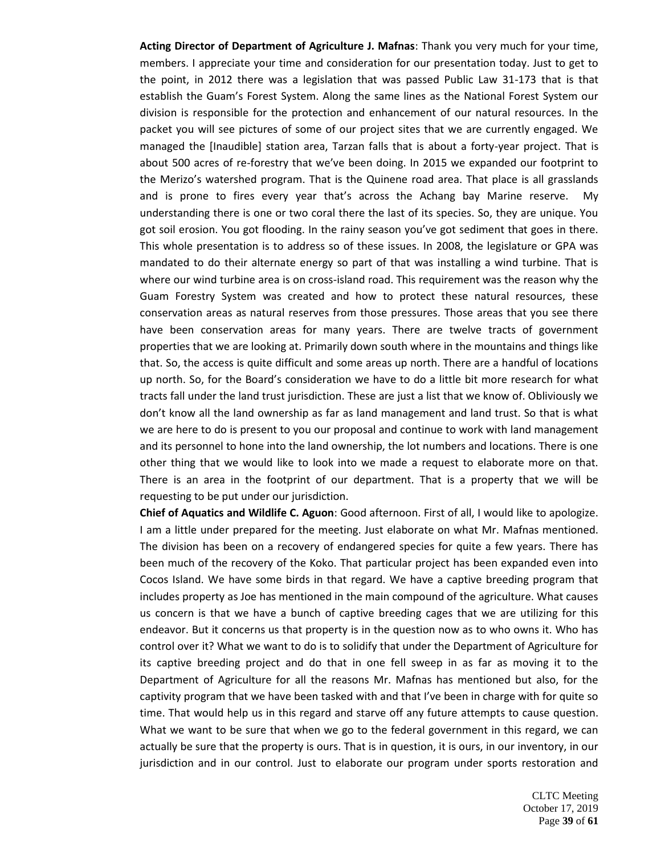**Acting Director of Department of Agriculture J. Mafnas**: Thank you very much for your time, members. I appreciate your time and consideration for our presentation today. Just to get to the point, in 2012 there was a legislation that was passed Public Law 31-173 that is that establish the Guam's Forest System. Along the same lines as the National Forest System our division is responsible for the protection and enhancement of our natural resources. In the packet you will see pictures of some of our project sites that we are currently engaged. We managed the [Inaudible] station area, Tarzan falls that is about a forty-year project. That is about 500 acres of re-forestry that we've been doing. In 2015 we expanded our footprint to the Merizo's watershed program. That is the Quinene road area. That place is all grasslands and is prone to fires every year that's across the Achang bay Marine reserve. My understanding there is one or two coral there the last of its species. So, they are unique. You got soil erosion. You got flooding. In the rainy season you've got sediment that goes in there. This whole presentation is to address so of these issues. In 2008, the legislature or GPA was mandated to do their alternate energy so part of that was installing a wind turbine. That is where our wind turbine area is on cross-island road. This requirement was the reason why the Guam Forestry System was created and how to protect these natural resources, these conservation areas as natural reserves from those pressures. Those areas that you see there have been conservation areas for many years. There are twelve tracts of government properties that we are looking at. Primarily down south where in the mountains and things like that. So, the access is quite difficult and some areas up north. There are a handful of locations up north. So, for the Board's consideration we have to do a little bit more research for what tracts fall under the land trust jurisdiction. These are just a list that we know of. Obliviously we don't know all the land ownership as far as land management and land trust. So that is what we are here to do is present to you our proposal and continue to work with land management and its personnel to hone into the land ownership, the lot numbers and locations. There is one other thing that we would like to look into we made a request to elaborate more on that. There is an area in the footprint of our department. That is a property that we will be requesting to be put under our jurisdiction.

**Chief of Aquatics and Wildlife C. Aguon**: Good afternoon. First of all, I would like to apologize. I am a little under prepared for the meeting. Just elaborate on what Mr. Mafnas mentioned. The division has been on a recovery of endangered species for quite a few years. There has been much of the recovery of the Koko. That particular project has been expanded even into Cocos Island. We have some birds in that regard. We have a captive breeding program that includes property as Joe has mentioned in the main compound of the agriculture. What causes us concern is that we have a bunch of captive breeding cages that we are utilizing for this endeavor. But it concerns us that property is in the question now as to who owns it. Who has control over it? What we want to do is to solidify that under the Department of Agriculture for its captive breeding project and do that in one fell sweep in as far as moving it to the Department of Agriculture for all the reasons Mr. Mafnas has mentioned but also, for the captivity program that we have been tasked with and that I've been in charge with for quite so time. That would help us in this regard and starve off any future attempts to cause question. What we want to be sure that when we go to the federal government in this regard, we can actually be sure that the property is ours. That is in question, it is ours, in our inventory, in our jurisdiction and in our control. Just to elaborate our program under sports restoration and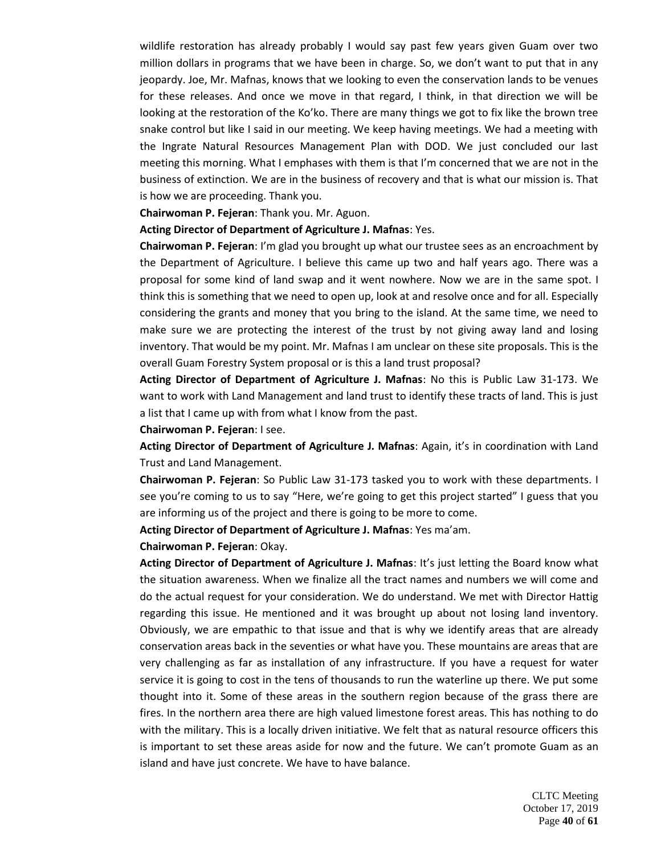wildlife restoration has already probably I would say past few years given Guam over two million dollars in programs that we have been in charge. So, we don't want to put that in any jeopardy. Joe, Mr. Mafnas, knows that we looking to even the conservation lands to be venues for these releases. And once we move in that regard, I think, in that direction we will be looking at the restoration of the Ko'ko. There are many things we got to fix like the brown tree snake control but like I said in our meeting. We keep having meetings. We had a meeting with the Ingrate Natural Resources Management Plan with DOD. We just concluded our last meeting this morning. What I emphases with them is that I'm concerned that we are not in the business of extinction. We are in the business of recovery and that is what our mission is. That is how we are proceeding. Thank you.

### **Chairwoman P. Fejeran**: Thank you. Mr. Aguon.

### **Acting Director of Department of Agriculture J. Mafnas**: Yes.

**Chairwoman P. Fejeran**: I'm glad you brought up what our trustee sees as an encroachment by the Department of Agriculture. I believe this came up two and half years ago. There was a proposal for some kind of land swap and it went nowhere. Now we are in the same spot. I think this is something that we need to open up, look at and resolve once and for all. Especially considering the grants and money that you bring to the island. At the same time, we need to make sure we are protecting the interest of the trust by not giving away land and losing inventory. That would be my point. Mr. Mafnas I am unclear on these site proposals. This is the overall Guam Forestry System proposal or is this a land trust proposal?

**Acting Director of Department of Agriculture J. Mafnas**: No this is Public Law 31-173. We want to work with Land Management and land trust to identify these tracts of land. This is just a list that I came up with from what I know from the past.

#### **Chairwoman P. Fejeran**: I see.

**Acting Director of Department of Agriculture J. Mafnas**: Again, it's in coordination with Land Trust and Land Management.

**Chairwoman P. Fejeran**: So Public Law 31-173 tasked you to work with these departments. I see you're coming to us to say "Here, we're going to get this project started" I guess that you are informing us of the project and there is going to be more to come.

**Acting Director of Department of Agriculture J. Mafnas**: Yes ma'am.

**Chairwoman P. Fejeran**: Okay.

**Acting Director of Department of Agriculture J. Mafnas**: It's just letting the Board know what the situation awareness. When we finalize all the tract names and numbers we will come and do the actual request for your consideration. We do understand. We met with Director Hattig regarding this issue. He mentioned and it was brought up about not losing land inventory. Obviously, we are empathic to that issue and that is why we identify areas that are already conservation areas back in the seventies or what have you. These mountains are areas that are very challenging as far as installation of any infrastructure. If you have a request for water service it is going to cost in the tens of thousands to run the waterline up there. We put some thought into it. Some of these areas in the southern region because of the grass there are fires. In the northern area there are high valued limestone forest areas. This has nothing to do with the military. This is a locally driven initiative. We felt that as natural resource officers this is important to set these areas aside for now and the future. We can't promote Guam as an island and have just concrete. We have to have balance.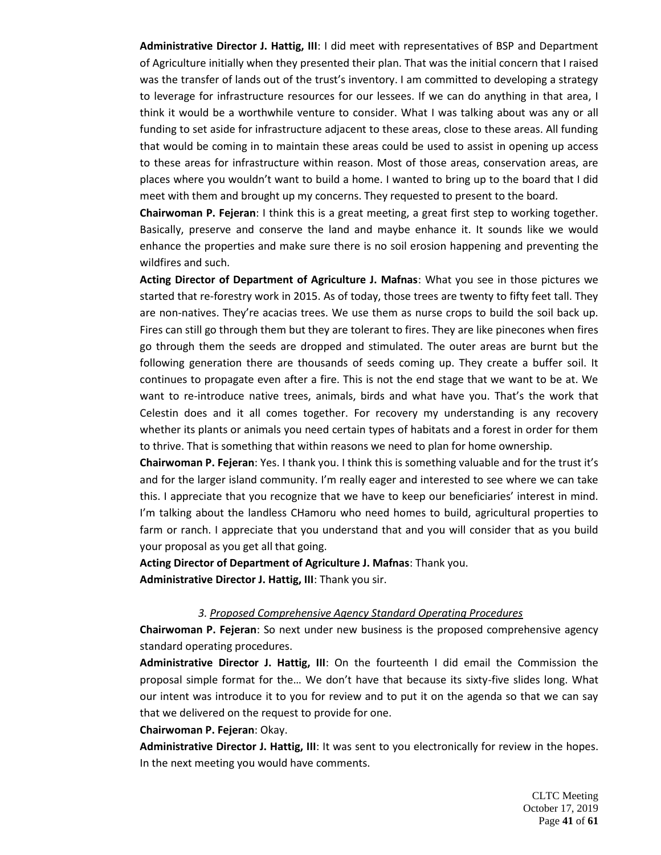**Administrative Director J. Hattig, III**: I did meet with representatives of BSP and Department of Agriculture initially when they presented their plan. That was the initial concern that I raised was the transfer of lands out of the trust's inventory. I am committed to developing a strategy to leverage for infrastructure resources for our lessees. If we can do anything in that area, I think it would be a worthwhile venture to consider. What I was talking about was any or all funding to set aside for infrastructure adjacent to these areas, close to these areas. All funding that would be coming in to maintain these areas could be used to assist in opening up access to these areas for infrastructure within reason. Most of those areas, conservation areas, are places where you wouldn't want to build a home. I wanted to bring up to the board that I did meet with them and brought up my concerns. They requested to present to the board.

**Chairwoman P. Fejeran**: I think this is a great meeting, a great first step to working together. Basically, preserve and conserve the land and maybe enhance it. It sounds like we would enhance the properties and make sure there is no soil erosion happening and preventing the wildfires and such.

**Acting Director of Department of Agriculture J. Mafnas**: What you see in those pictures we started that re-forestry work in 2015. As of today, those trees are twenty to fifty feet tall. They are non-natives. They're acacias trees. We use them as nurse crops to build the soil back up. Fires can still go through them but they are tolerant to fires. They are like pinecones when fires go through them the seeds are dropped and stimulated. The outer areas are burnt but the following generation there are thousands of seeds coming up. They create a buffer soil. It continues to propagate even after a fire. This is not the end stage that we want to be at. We want to re-introduce native trees, animals, birds and what have you. That's the work that Celestin does and it all comes together. For recovery my understanding is any recovery whether its plants or animals you need certain types of habitats and a forest in order for them to thrive. That is something that within reasons we need to plan for home ownership.

**Chairwoman P. Fejeran**: Yes. I thank you. I think this is something valuable and for the trust it's and for the larger island community. I'm really eager and interested to see where we can take this. I appreciate that you recognize that we have to keep our beneficiaries' interest in mind. I'm talking about the landless CHamoru who need homes to build, agricultural properties to farm or ranch. I appreciate that you understand that and you will consider that as you build your proposal as you get all that going.

**Acting Director of Department of Agriculture J. Mafnas**: Thank you. **Administrative Director J. Hattig, III**: Thank you sir.

### *3. Proposed Comprehensive Agency Standard Operating Procedures*

**Chairwoman P. Fejeran**: So next under new business is the proposed comprehensive agency standard operating procedures.

**Administrative Director J. Hattig, III**: On the fourteenth I did email the Commission the proposal simple format for the… We don't have that because its sixty-five slides long. What our intent was introduce it to you for review and to put it on the agenda so that we can say that we delivered on the request to provide for one.

### **Chairwoman P. Fejeran**: Okay.

**Administrative Director J. Hattig, III**: It was sent to you electronically for review in the hopes. In the next meeting you would have comments.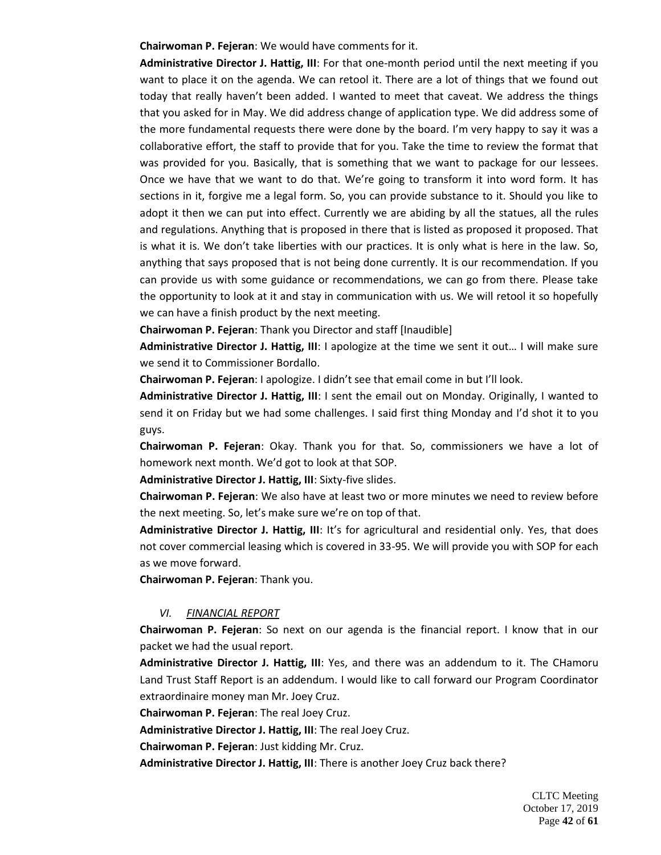**Chairwoman P. Fejeran**: We would have comments for it.

**Administrative Director J. Hattig, III**: For that one-month period until the next meeting if you want to place it on the agenda. We can retool it. There are a lot of things that we found out today that really haven't been added. I wanted to meet that caveat. We address the things that you asked for in May. We did address change of application type. We did address some of the more fundamental requests there were done by the board. I'm very happy to say it was a collaborative effort, the staff to provide that for you. Take the time to review the format that was provided for you. Basically, that is something that we want to package for our lessees. Once we have that we want to do that. We're going to transform it into word form. It has sections in it, forgive me a legal form. So, you can provide substance to it. Should you like to adopt it then we can put into effect. Currently we are abiding by all the statues, all the rules and regulations. Anything that is proposed in there that is listed as proposed it proposed. That is what it is. We don't take liberties with our practices. It is only what is here in the law. So, anything that says proposed that is not being done currently. It is our recommendation. If you can provide us with some guidance or recommendations, we can go from there. Please take the opportunity to look at it and stay in communication with us. We will retool it so hopefully we can have a finish product by the next meeting.

**Chairwoman P. Fejeran**: Thank you Director and staff [Inaudible]

**Administrative Director J. Hattig, III**: I apologize at the time we sent it out… I will make sure we send it to Commissioner Bordallo.

**Chairwoman P. Fejeran**: I apologize. I didn't see that email come in but I'll look.

**Administrative Director J. Hattig, III**: I sent the email out on Monday. Originally, I wanted to send it on Friday but we had some challenges. I said first thing Monday and I'd shot it to you guys.

**Chairwoman P. Fejeran**: Okay. Thank you for that. So, commissioners we have a lot of homework next month. We'd got to look at that SOP.

**Administrative Director J. Hattig, III**: Sixty-five slides.

**Chairwoman P. Fejeran**: We also have at least two or more minutes we need to review before the next meeting. So, let's make sure we're on top of that.

**Administrative Director J. Hattig, III**: It's for agricultural and residential only. Yes, that does not cover commercial leasing which is covered in 33-95. We will provide you with SOP for each as we move forward.

**Chairwoman P. Fejeran**: Thank you.

### *VI. FINANCIAL REPORT*

**Chairwoman P. Fejeran**: So next on our agenda is the financial report. I know that in our packet we had the usual report.

**Administrative Director J. Hattig, III**: Yes, and there was an addendum to it. The CHamoru Land Trust Staff Report is an addendum. I would like to call forward our Program Coordinator extraordinaire money man Mr. Joey Cruz.

**Chairwoman P. Fejeran**: The real Joey Cruz.

**Administrative Director J. Hattig, III**: The real Joey Cruz.

**Chairwoman P. Fejeran**: Just kidding Mr. Cruz.

**Administrative Director J. Hattig, III**: There is another Joey Cruz back there?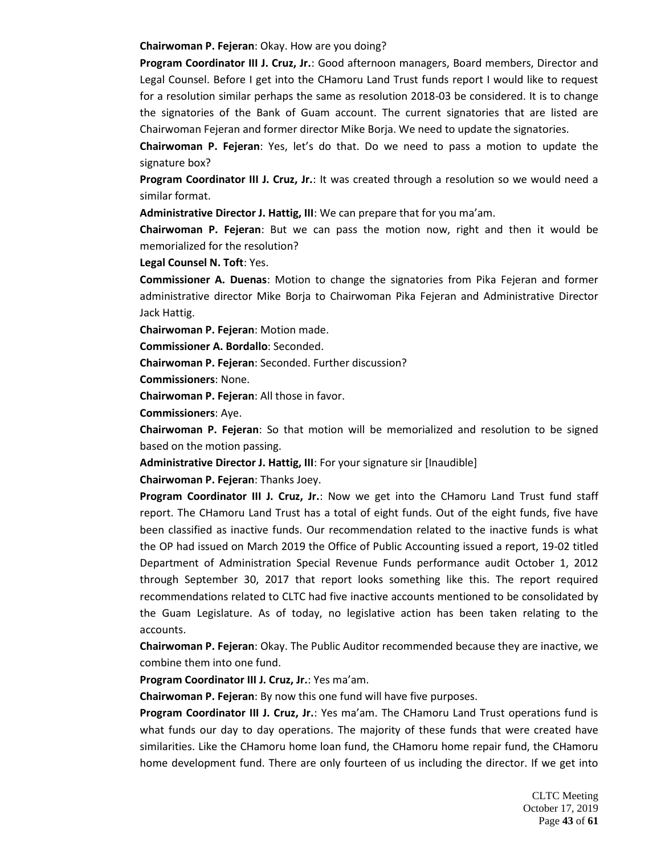**Chairwoman P. Fejeran**: Okay. How are you doing?

**Program Coordinator III J. Cruz, Jr.**: Good afternoon managers, Board members, Director and Legal Counsel. Before I get into the CHamoru Land Trust funds report I would like to request for a resolution similar perhaps the same as resolution 2018-03 be considered. It is to change the signatories of the Bank of Guam account. The current signatories that are listed are Chairwoman Fejeran and former director Mike Borja. We need to update the signatories.

**Chairwoman P. Fejeran**: Yes, let's do that. Do we need to pass a motion to update the signature box?

**Program Coordinator III J. Cruz, Jr.**: It was created through a resolution so we would need a similar format.

**Administrative Director J. Hattig, III**: We can prepare that for you ma'am.

**Chairwoman P. Fejeran**: But we can pass the motion now, right and then it would be memorialized for the resolution?

**Legal Counsel N. Toft**: Yes.

**Commissioner A. Duenas**: Motion to change the signatories from Pika Fejeran and former administrative director Mike Borja to Chairwoman Pika Fejeran and Administrative Director Jack Hattig.

**Chairwoman P. Fejeran**: Motion made.

**Commissioner A. Bordallo**: Seconded.

**Chairwoman P. Fejeran**: Seconded. Further discussion?

**Commissioners**: None.

**Chairwoman P. Fejeran**: All those in favor.

**Commissioners**: Aye.

**Chairwoman P. Fejeran**: So that motion will be memorialized and resolution to be signed based on the motion passing.

**Administrative Director J. Hattig, III**: For your signature sir [Inaudible]

**Chairwoman P. Fejeran**: Thanks Joey.

**Program Coordinator III J. Cruz, Jr.**: Now we get into the CHamoru Land Trust fund staff report. The CHamoru Land Trust has a total of eight funds. Out of the eight funds, five have been classified as inactive funds. Our recommendation related to the inactive funds is what the OP had issued on March 2019 the Office of Public Accounting issued a report, 19-02 titled Department of Administration Special Revenue Funds performance audit October 1, 2012 through September 30, 2017 that report looks something like this. The report required recommendations related to CLTC had five inactive accounts mentioned to be consolidated by the Guam Legislature. As of today, no legislative action has been taken relating to the accounts.

**Chairwoman P. Fejeran**: Okay. The Public Auditor recommended because they are inactive, we combine them into one fund.

**Program Coordinator III J. Cruz, Jr.**: Yes ma'am.

**Chairwoman P. Fejeran**: By now this one fund will have five purposes.

**Program Coordinator III J. Cruz, Jr.**: Yes ma'am. The CHamoru Land Trust operations fund is what funds our day to day operations. The majority of these funds that were created have similarities. Like the CHamoru home loan fund, the CHamoru home repair fund, the CHamoru home development fund. There are only fourteen of us including the director. If we get into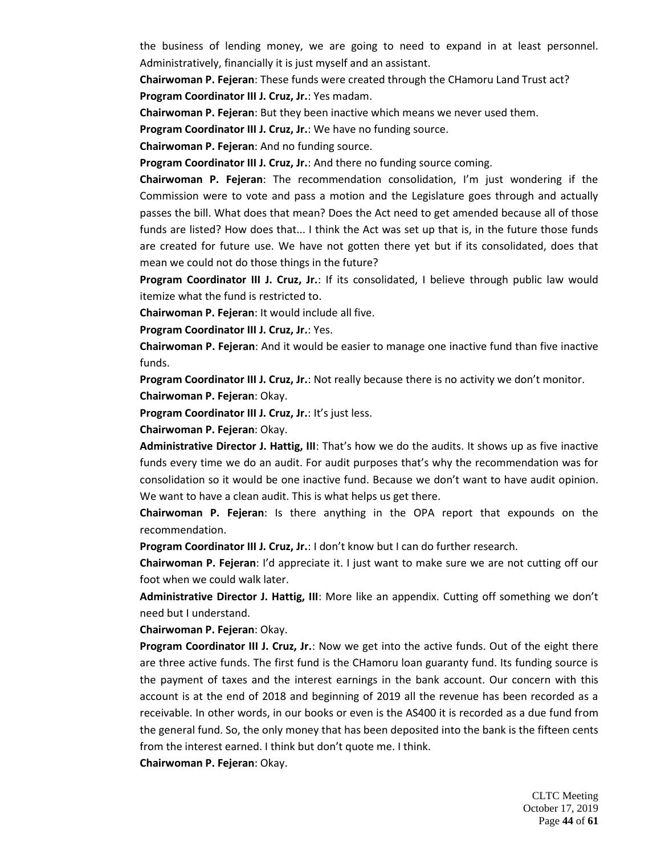the business of lending money, we are going to need to expand in at least personnel. Administratively, financially it is just myself and an assistant.

**Chairwoman P. Fejeran**: These funds were created through the CHamoru Land Trust act? **Program Coordinator III J. Cruz, Jr.**: Yes madam.

**Chairwoman P. Fejeran**: But they been inactive which means we never used them.

**Program Coordinator III J. Cruz, Jr.**: We have no funding source.

**Chairwoman P. Fejeran**: And no funding source.

**Program Coordinator III J. Cruz, Jr.**: And there no funding source coming.

**Chairwoman P. Fejeran**: The recommendation consolidation, I'm just wondering if the Commission were to vote and pass a motion and the Legislature goes through and actually passes the bill. What does that mean? Does the Act need to get amended because all of those funds are listed? How does that... I think the Act was set up that is, in the future those funds are created for future use. We have not gotten there yet but if its consolidated, does that mean we could not do those things in the future?

**Program Coordinator III J. Cruz, Jr.**: If its consolidated, I believe through public law would itemize what the fund is restricted to.

**Chairwoman P. Fejeran**: It would include all five.

**Program Coordinator III J. Cruz, Jr.**: Yes.

**Chairwoman P. Fejeran**: And it would be easier to manage one inactive fund than five inactive funds.

**Program Coordinator III J. Cruz, Jr.**: Not really because there is no activity we don't monitor.

**Chairwoman P. Fejeran**: Okay.

**Program Coordinator III J. Cruz, Jr.**: It's just less.

**Chairwoman P. Fejeran**: Okay.

**Administrative Director J. Hattig, III**: That's how we do the audits. It shows up as five inactive funds every time we do an audit. For audit purposes that's why the recommendation was for consolidation so it would be one inactive fund. Because we don't want to have audit opinion. We want to have a clean audit. This is what helps us get there.

**Chairwoman P. Fejeran**: Is there anything in the OPA report that expounds on the recommendation.

**Program Coordinator III J. Cruz, Jr.**: I don't know but I can do further research.

**Chairwoman P. Fejeran**: I'd appreciate it. I just want to make sure we are not cutting off our foot when we could walk later.

**Administrative Director J. Hattig, III**: More like an appendix. Cutting off something we don't need but I understand.

**Chairwoman P. Fejeran**: Okay.

**Program Coordinator III J. Cruz, Jr.**: Now we get into the active funds. Out of the eight there are three active funds. The first fund is the CHamoru loan guaranty fund. Its funding source is the payment of taxes and the interest earnings in the bank account. Our concern with this account is at the end of 2018 and beginning of 2019 all the revenue has been recorded as a receivable. In other words, in our books or even is the AS400 it is recorded as a due fund from the general fund. So, the only money that has been deposited into the bank is the fifteen cents from the interest earned. I think but don't quote me. I think.

**Chairwoman P. Fejeran**: Okay.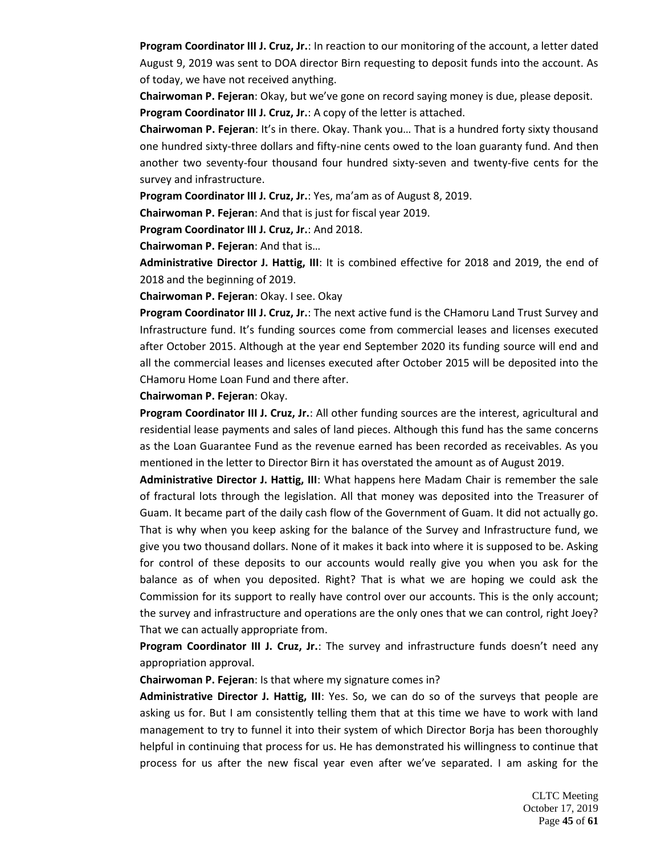**Program Coordinator III J. Cruz, Jr.**: In reaction to our monitoring of the account, a letter dated August 9, 2019 was sent to DOA director Birn requesting to deposit funds into the account. As of today, we have not received anything.

**Chairwoman P. Fejeran**: Okay, but we've gone on record saying money is due, please deposit. **Program Coordinator III J. Cruz, Jr.**: A copy of the letter is attached.

**Chairwoman P. Fejeran**: It's in there. Okay. Thank you… That is a hundred forty sixty thousand one hundred sixty-three dollars and fifty-nine cents owed to the loan guaranty fund. And then another two seventy-four thousand four hundred sixty-seven and twenty-five cents for the survey and infrastructure.

**Program Coordinator III J. Cruz, Jr.**: Yes, ma'am as of August 8, 2019.

**Chairwoman P. Fejeran**: And that is just for fiscal year 2019.

**Program Coordinator III J. Cruz, Jr.**: And 2018.

**Chairwoman P. Fejeran**: And that is…

**Administrative Director J. Hattig, III**: It is combined effective for 2018 and 2019, the end of 2018 and the beginning of 2019.

**Chairwoman P. Fejeran**: Okay. I see. Okay

**Program Coordinator III J. Cruz, Jr.**: The next active fund is the CHamoru Land Trust Survey and Infrastructure fund. It's funding sources come from commercial leases and licenses executed after October 2015. Although at the year end September 2020 its funding source will end and all the commercial leases and licenses executed after October 2015 will be deposited into the CHamoru Home Loan Fund and there after.

**Chairwoman P. Fejeran**: Okay.

**Program Coordinator III J. Cruz, Jr.**: All other funding sources are the interest, agricultural and residential lease payments and sales of land pieces. Although this fund has the same concerns as the Loan Guarantee Fund as the revenue earned has been recorded as receivables. As you mentioned in the letter to Director Birn it has overstated the amount as of August 2019.

**Administrative Director J. Hattig, III**: What happens here Madam Chair is remember the sale of fractural lots through the legislation. All that money was deposited into the Treasurer of Guam. It became part of the daily cash flow of the Government of Guam. It did not actually go. That is why when you keep asking for the balance of the Survey and Infrastructure fund, we give you two thousand dollars. None of it makes it back into where it is supposed to be. Asking for control of these deposits to our accounts would really give you when you ask for the balance as of when you deposited. Right? That is what we are hoping we could ask the Commission for its support to really have control over our accounts. This is the only account; the survey and infrastructure and operations are the only ones that we can control, right Joey? That we can actually appropriate from.

**Program Coordinator III J. Cruz, Jr.**: The survey and infrastructure funds doesn't need any appropriation approval.

**Chairwoman P. Fejeran**: Is that where my signature comes in?

**Administrative Director J. Hattig, III**: Yes. So, we can do so of the surveys that people are asking us for. But I am consistently telling them that at this time we have to work with land management to try to funnel it into their system of which Director Borja has been thoroughly helpful in continuing that process for us. He has demonstrated his willingness to continue that process for us after the new fiscal year even after we've separated. I am asking for the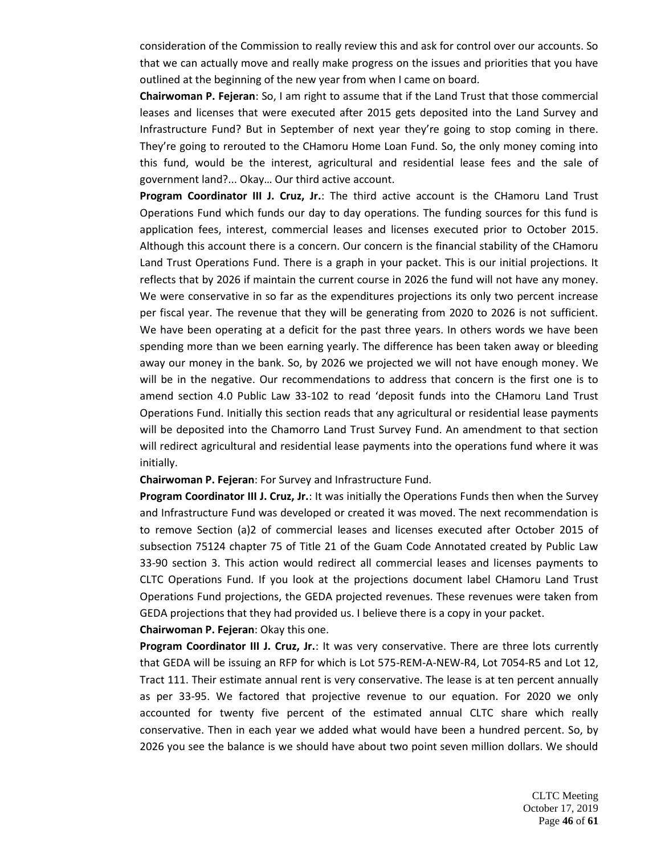consideration of the Commission to really review this and ask for control over our accounts. So that we can actually move and really make progress on the issues and priorities that you have outlined at the beginning of the new year from when I came on board.

**Chairwoman P. Fejeran**: So, I am right to assume that if the Land Trust that those commercial leases and licenses that were executed after 2015 gets deposited into the Land Survey and Infrastructure Fund? But in September of next year they're going to stop coming in there. They're going to rerouted to the CHamoru Home Loan Fund. So, the only money coming into this fund, would be the interest, agricultural and residential lease fees and the sale of government land?... Okay… Our third active account.

**Program Coordinator III J. Cruz, Jr.**: The third active account is the CHamoru Land Trust Operations Fund which funds our day to day operations. The funding sources for this fund is application fees, interest, commercial leases and licenses executed prior to October 2015. Although this account there is a concern. Our concern is the financial stability of the CHamoru Land Trust Operations Fund. There is a graph in your packet. This is our initial projections. It reflects that by 2026 if maintain the current course in 2026 the fund will not have any money. We were conservative in so far as the expenditures projections its only two percent increase per fiscal year. The revenue that they will be generating from 2020 to 2026 is not sufficient. We have been operating at a deficit for the past three years. In others words we have been spending more than we been earning yearly. The difference has been taken away or bleeding away our money in the bank. So, by 2026 we projected we will not have enough money. We will be in the negative. Our recommendations to address that concern is the first one is to amend section 4.0 Public Law 33-102 to read 'deposit funds into the CHamoru Land Trust Operations Fund. Initially this section reads that any agricultural or residential lease payments will be deposited into the Chamorro Land Trust Survey Fund. An amendment to that section will redirect agricultural and residential lease payments into the operations fund where it was initially.

#### **Chairwoman P. Fejeran**: For Survey and Infrastructure Fund.

**Program Coordinator III J. Cruz, Jr.**: It was initially the Operations Funds then when the Survey and Infrastructure Fund was developed or created it was moved. The next recommendation is to remove Section (a)2 of commercial leases and licenses executed after October 2015 of subsection 75124 chapter 75 of Title 21 of the Guam Code Annotated created by Public Law 33-90 section 3. This action would redirect all commercial leases and licenses payments to CLTC Operations Fund. If you look at the projections document label CHamoru Land Trust Operations Fund projections, the GEDA projected revenues. These revenues were taken from GEDA projections that they had provided us. I believe there is a copy in your packet. **Chairwoman P. Fejeran**: Okay this one.

**Program Coordinator III J. Cruz, Jr.**: It was very conservative. There are three lots currently that GEDA will be issuing an RFP for which is Lot 575-REM-A-NEW-R4, Lot 7054-R5 and Lot 12, Tract 111. Their estimate annual rent is very conservative. The lease is at ten percent annually as per 33-95. We factored that projective revenue to our equation. For 2020 we only accounted for twenty five percent of the estimated annual CLTC share which really conservative. Then in each year we added what would have been a hundred percent. So, by 2026 you see the balance is we should have about two point seven million dollars. We should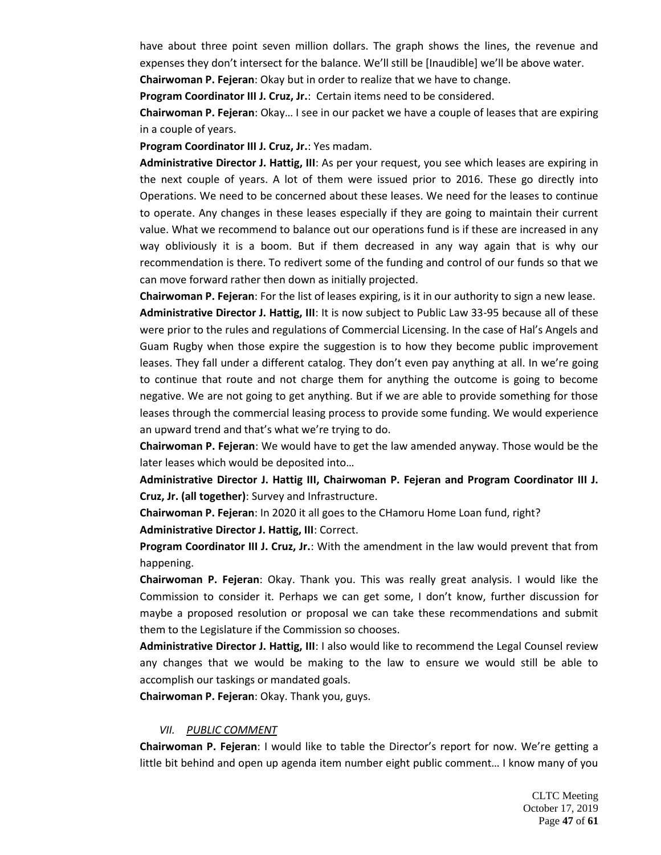have about three point seven million dollars. The graph shows the lines, the revenue and expenses they don't intersect for the balance. We'll still be [Inaudible] we'll be above water.

**Chairwoman P. Fejeran**: Okay but in order to realize that we have to change.

**Program Coordinator III J. Cruz, Jr.**: Certain items need to be considered.

**Chairwoman P. Fejeran**: Okay… I see in our packet we have a couple of leases that are expiring in a couple of years.

**Program Coordinator III J. Cruz, Jr.**: Yes madam.

**Administrative Director J. Hattig, III**: As per your request, you see which leases are expiring in the next couple of years. A lot of them were issued prior to 2016. These go directly into Operations. We need to be concerned about these leases. We need for the leases to continue to operate. Any changes in these leases especially if they are going to maintain their current value. What we recommend to balance out our operations fund is if these are increased in any way obliviously it is a boom. But if them decreased in any way again that is why our recommendation is there. To redivert some of the funding and control of our funds so that we can move forward rather then down as initially projected.

**Chairwoman P. Fejeran**: For the list of leases expiring, is it in our authority to sign a new lease. **Administrative Director J. Hattig, III**: It is now subject to Public Law 33-95 because all of these were prior to the rules and regulations of Commercial Licensing. In the case of Hal's Angels and Guam Rugby when those expire the suggestion is to how they become public improvement leases. They fall under a different catalog. They don't even pay anything at all. In we're going to continue that route and not charge them for anything the outcome is going to become negative. We are not going to get anything. But if we are able to provide something for those leases through the commercial leasing process to provide some funding. We would experience an upward trend and that's what we're trying to do.

**Chairwoman P. Fejeran**: We would have to get the law amended anyway. Those would be the later leases which would be deposited into…

**Administrative Director J. Hattig III, Chairwoman P. Fejeran and Program Coordinator III J. Cruz, Jr. (all together)**: Survey and Infrastructure.

**Chairwoman P. Fejeran**: In 2020 it all goes to the CHamoru Home Loan fund, right? **Administrative Director J. Hattig, III**: Correct.

**Program Coordinator III J. Cruz, Jr.**: With the amendment in the law would prevent that from happening.

**Chairwoman P. Fejeran**: Okay. Thank you. This was really great analysis. I would like the Commission to consider it. Perhaps we can get some, I don't know, further discussion for maybe a proposed resolution or proposal we can take these recommendations and submit them to the Legislature if the Commission so chooses.

**Administrative Director J. Hattig, III**: I also would like to recommend the Legal Counsel review any changes that we would be making to the law to ensure we would still be able to accomplish our taskings or mandated goals.

**Chairwoman P. Fejeran**: Okay. Thank you, guys.

### *VII. PUBLIC COMMENT*

**Chairwoman P. Fejeran**: I would like to table the Director's report for now. We're getting a little bit behind and open up agenda item number eight public comment… I know many of you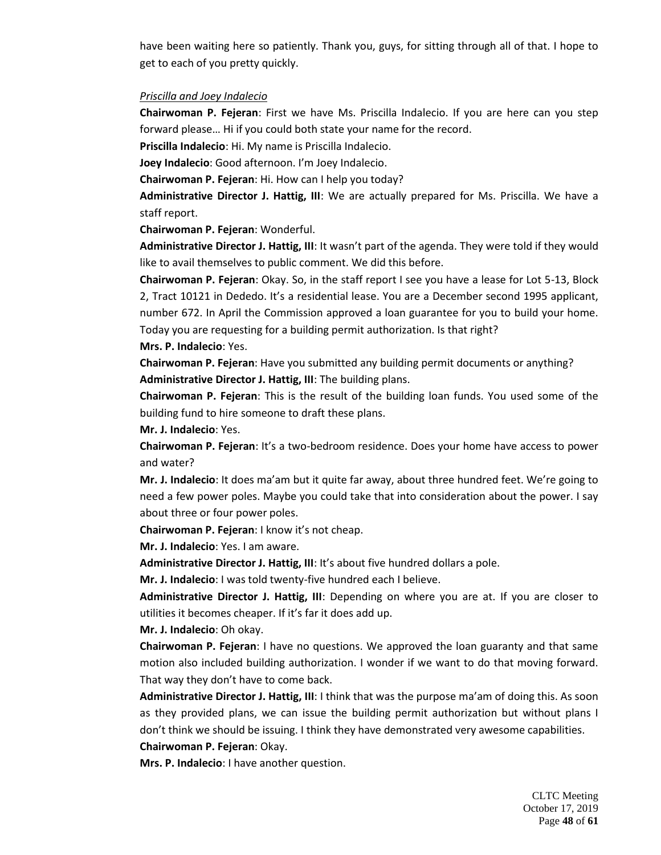have been waiting here so patiently. Thank you, guys, for sitting through all of that. I hope to get to each of you pretty quickly.

#### *Priscilla and Joey Indalecio*

**Chairwoman P. Fejeran**: First we have Ms. Priscilla Indalecio. If you are here can you step forward please… Hi if you could both state your name for the record.

**Priscilla Indalecio**: Hi. My name is Priscilla Indalecio.

**Joey Indalecio**: Good afternoon. I'm Joey Indalecio.

**Chairwoman P. Fejeran**: Hi. How can I help you today?

**Administrative Director J. Hattig, III**: We are actually prepared for Ms. Priscilla. We have a staff report.

**Chairwoman P. Fejeran**: Wonderful.

**Administrative Director J. Hattig, III**: It wasn't part of the agenda. They were told if they would like to avail themselves to public comment. We did this before.

**Chairwoman P. Fejeran**: Okay. So, in the staff report I see you have a lease for Lot 5-13, Block 2, Tract 10121 in Dededo. It's a residential lease. You are a December second 1995 applicant, number 672. In April the Commission approved a loan guarantee for you to build your home. Today you are requesting for a building permit authorization. Is that right? **Mrs. P. Indalecio**: Yes.

**Chairwoman P. Fejeran**: Have you submitted any building permit documents or anything? **Administrative Director J. Hattig, III**: The building plans.

**Chairwoman P. Fejeran**: This is the result of the building loan funds. You used some of the building fund to hire someone to draft these plans.

**Mr. J. Indalecio**: Yes.

**Chairwoman P. Fejeran**: It's a two-bedroom residence. Does your home have access to power and water?

**Mr. J. Indalecio**: It does ma'am but it quite far away, about three hundred feet. We're going to need a few power poles. Maybe you could take that into consideration about the power. I say about three or four power poles.

**Chairwoman P. Fejeran**: I know it's not cheap.

**Mr. J. Indalecio**: Yes. I am aware.

Administrative Director J. Hattig, III: It's about five hundred dollars a pole.

**Mr. J. Indalecio**: I was told twenty-five hundred each I believe.

**Administrative Director J. Hattig, III**: Depending on where you are at. If you are closer to utilities it becomes cheaper. If it's far it does add up.

**Mr. J. Indalecio**: Oh okay.

**Chairwoman P. Fejeran**: I have no questions. We approved the loan guaranty and that same motion also included building authorization. I wonder if we want to do that moving forward. That way they don't have to come back.

**Administrative Director J. Hattig, III**: I think that was the purpose ma'am of doing this. As soon as they provided plans, we can issue the building permit authorization but without plans I don't think we should be issuing. I think they have demonstrated very awesome capabilities.

**Chairwoman P. Fejeran**: Okay.

**Mrs. P. Indalecio**: I have another question.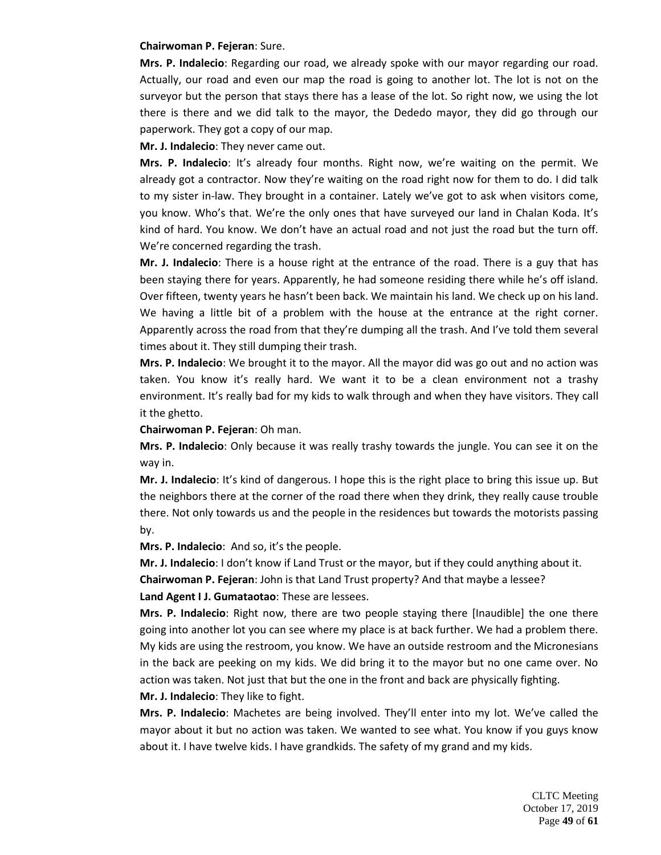#### **Chairwoman P. Fejeran**: Sure.

**Mrs. P. Indalecio**: Regarding our road, we already spoke with our mayor regarding our road. Actually, our road and even our map the road is going to another lot. The lot is not on the surveyor but the person that stays there has a lease of the lot. So right now, we using the lot there is there and we did talk to the mayor, the Dededo mayor, they did go through our paperwork. They got a copy of our map.

**Mr. J. Indalecio**: They never came out.

**Mrs. P. Indalecio**: It's already four months. Right now, we're waiting on the permit. We already got a contractor. Now they're waiting on the road right now for them to do. I did talk to my sister in-law. They brought in a container. Lately we've got to ask when visitors come, you know. Who's that. We're the only ones that have surveyed our land in Chalan Koda. It's kind of hard. You know. We don't have an actual road and not just the road but the turn off. We're concerned regarding the trash.

**Mr. J. Indalecio**: There is a house right at the entrance of the road. There is a guy that has been staying there for years. Apparently, he had someone residing there while he's off island. Over fifteen, twenty years he hasn't been back. We maintain his land. We check up on his land. We having a little bit of a problem with the house at the entrance at the right corner. Apparently across the road from that they're dumping all the trash. And I've told them several times about it. They still dumping their trash.

**Mrs. P. Indalecio**: We brought it to the mayor. All the mayor did was go out and no action was taken. You know it's really hard. We want it to be a clean environment not a trashy environment. It's really bad for my kids to walk through and when they have visitors. They call it the ghetto.

**Chairwoman P. Fejeran**: Oh man.

**Mrs. P. Indalecio**: Only because it was really trashy towards the jungle. You can see it on the way in.

**Mr. J. Indalecio**: It's kind of dangerous. I hope this is the right place to bring this issue up. But the neighbors there at the corner of the road there when they drink, they really cause trouble there. Not only towards us and the people in the residences but towards the motorists passing by.

**Mrs. P. Indalecio**: And so, it's the people.

**Mr. J. Indalecio**: I don't know if Land Trust or the mayor, but if they could anything about it.

**Chairwoman P. Fejeran**: John is that Land Trust property? And that maybe a lessee?

**Land Agent I J. Gumataotao**: These are lessees.

**Mrs. P. Indalecio**: Right now, there are two people staying there [Inaudible] the one there going into another lot you can see where my place is at back further. We had a problem there. My kids are using the restroom, you know. We have an outside restroom and the Micronesians in the back are peeking on my kids. We did bring it to the mayor but no one came over. No action was taken. Not just that but the one in the front and back are physically fighting.

**Mr. J. Indalecio**: They like to fight.

**Mrs. P. Indalecio**: Machetes are being involved. They'll enter into my lot. We've called the mayor about it but no action was taken. We wanted to see what. You know if you guys know about it. I have twelve kids. I have grandkids. The safety of my grand and my kids.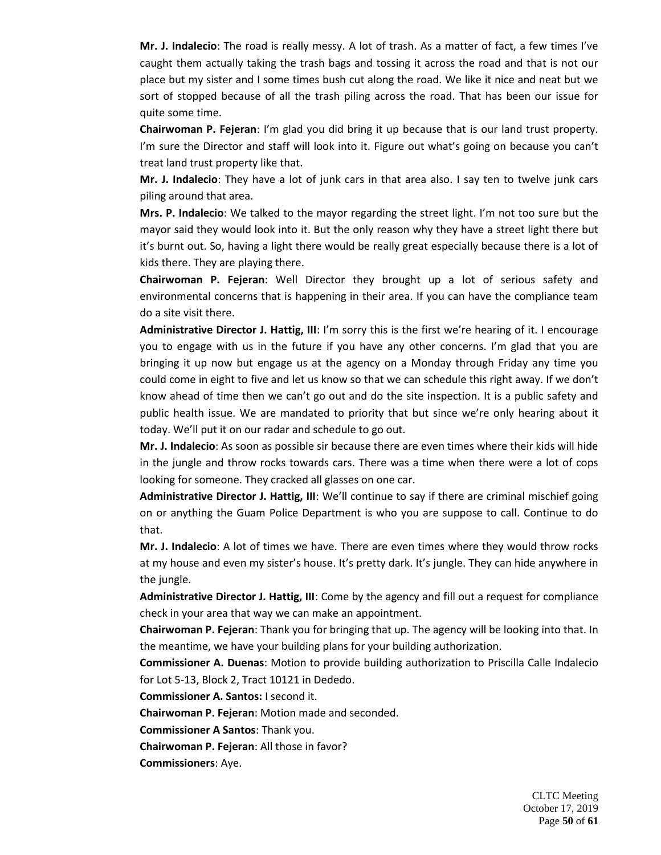**Mr. J. Indalecio**: The road is really messy. A lot of trash. As a matter of fact, a few times I've caught them actually taking the trash bags and tossing it across the road and that is not our place but my sister and I some times bush cut along the road. We like it nice and neat but we sort of stopped because of all the trash piling across the road. That has been our issue for quite some time.

**Chairwoman P. Fejeran**: I'm glad you did bring it up because that is our land trust property. I'm sure the Director and staff will look into it. Figure out what's going on because you can't treat land trust property like that.

**Mr. J. Indalecio**: They have a lot of junk cars in that area also. I say ten to twelve junk cars piling around that area.

**Mrs. P. Indalecio**: We talked to the mayor regarding the street light. I'm not too sure but the mayor said they would look into it. But the only reason why they have a street light there but it's burnt out. So, having a light there would be really great especially because there is a lot of kids there. They are playing there.

**Chairwoman P. Fejeran**: Well Director they brought up a lot of serious safety and environmental concerns that is happening in their area. If you can have the compliance team do a site visit there.

**Administrative Director J. Hattig, III**: I'm sorry this is the first we're hearing of it. I encourage you to engage with us in the future if you have any other concerns. I'm glad that you are bringing it up now but engage us at the agency on a Monday through Friday any time you could come in eight to five and let us know so that we can schedule this right away. If we don't know ahead of time then we can't go out and do the site inspection. It is a public safety and public health issue. We are mandated to priority that but since we're only hearing about it today. We'll put it on our radar and schedule to go out.

**Mr. J. Indalecio**: As soon as possible sir because there are even times where their kids will hide in the jungle and throw rocks towards cars. There was a time when there were a lot of cops looking for someone. They cracked all glasses on one car.

**Administrative Director J. Hattig, III**: We'll continue to say if there are criminal mischief going on or anything the Guam Police Department is who you are suppose to call. Continue to do that.

**Mr. J. Indalecio**: A lot of times we have. There are even times where they would throw rocks at my house and even my sister's house. It's pretty dark. It's jungle. They can hide anywhere in the jungle.

**Administrative Director J. Hattig, III**: Come by the agency and fill out a request for compliance check in your area that way we can make an appointment.

**Chairwoman P. Fejeran**: Thank you for bringing that up. The agency will be looking into that. In the meantime, we have your building plans for your building authorization.

**Commissioner A. Duenas**: Motion to provide building authorization to Priscilla Calle Indalecio for Lot 5-13, Block 2, Tract 10121 in Dededo.

**Commissioner A. Santos:** I second it.

**Chairwoman P. Fejeran**: Motion made and seconded.

**Commissioner A Santos**: Thank you.

**Chairwoman P. Fejeran**: All those in favor?

**Commissioners**: Aye.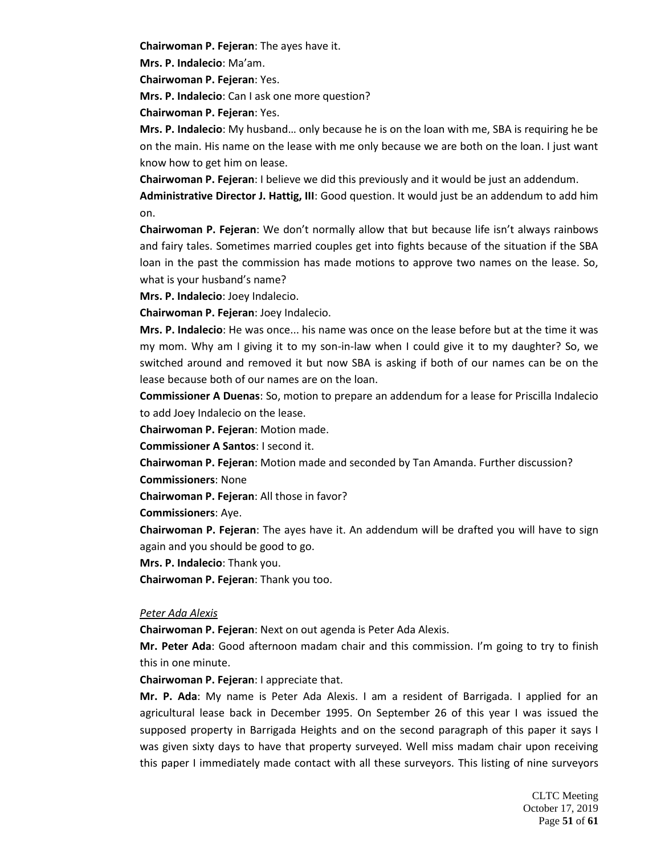**Chairwoman P. Fejeran**: The ayes have it.

**Mrs. P. Indalecio**: Ma'am.

**Chairwoman P. Fejeran**: Yes.

**Mrs. P. Indalecio**: Can I ask one more question?

**Chairwoman P. Fejeran**: Yes.

**Mrs. P. Indalecio**: My husband… only because he is on the loan with me, SBA is requiring he be on the main. His name on the lease with me only because we are both on the loan. I just want know how to get him on lease.

**Chairwoman P. Fejeran**: I believe we did this previously and it would be just an addendum.

**Administrative Director J. Hattig, III**: Good question. It would just be an addendum to add him on.

**Chairwoman P. Fejeran**: We don't normally allow that but because life isn't always rainbows and fairy tales. Sometimes married couples get into fights because of the situation if the SBA loan in the past the commission has made motions to approve two names on the lease. So, what is your husband's name?

**Mrs. P. Indalecio**: Joey Indalecio.

**Chairwoman P. Fejeran**: Joey Indalecio.

**Mrs. P. Indalecio**: He was once... his name was once on the lease before but at the time it was my mom. Why am I giving it to my son-in-law when I could give it to my daughter? So, we switched around and removed it but now SBA is asking if both of our names can be on the lease because both of our names are on the loan.

**Commissioner A Duenas**: So, motion to prepare an addendum for a lease for Priscilla Indalecio to add Joey Indalecio on the lease.

**Chairwoman P. Fejeran**: Motion made.

**Commissioner A Santos**: I second it.

**Chairwoman P. Fejeran**: Motion made and seconded by Tan Amanda. Further discussion? **Commissioners**: None

**Chairwoman P. Fejeran**: All those in favor?

**Commissioners**: Aye.

**Chairwoman P. Fejeran**: The ayes have it. An addendum will be drafted you will have to sign again and you should be good to go.

**Mrs. P. Indalecio**: Thank you.

**Chairwoman P. Fejeran**: Thank you too.

### *Peter Ada Alexis*

**Chairwoman P. Fejeran**: Next on out agenda is Peter Ada Alexis.

**Mr. Peter Ada**: Good afternoon madam chair and this commission. I'm going to try to finish this in one minute.

**Chairwoman P. Fejeran**: I appreciate that.

**Mr. P. Ada**: My name is Peter Ada Alexis. I am a resident of Barrigada. I applied for an agricultural lease back in December 1995. On September 26 of this year I was issued the supposed property in Barrigada Heights and on the second paragraph of this paper it says I was given sixty days to have that property surveyed. Well miss madam chair upon receiving this paper I immediately made contact with all these surveyors. This listing of nine surveyors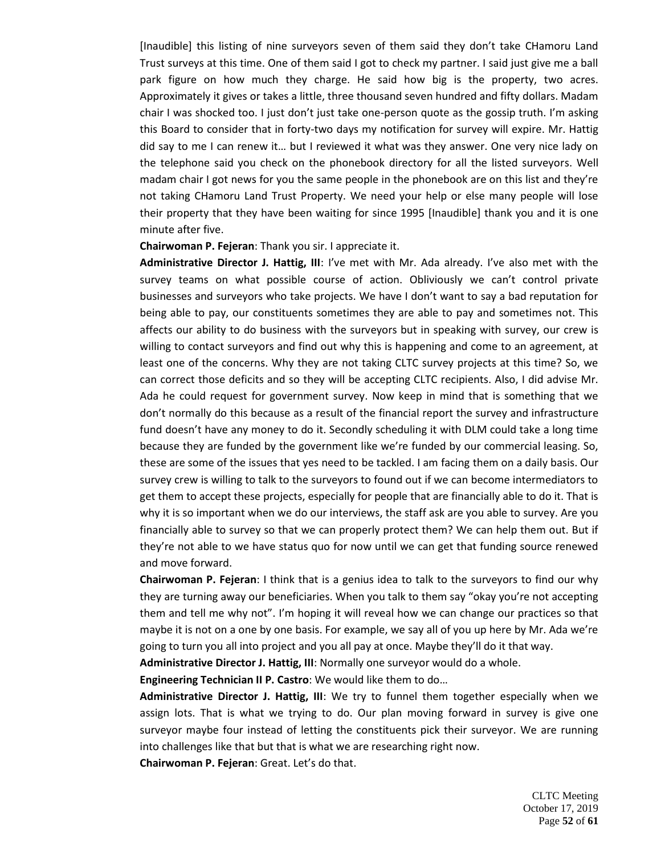[Inaudible] this listing of nine surveyors seven of them said they don't take CHamoru Land Trust surveys at this time. One of them said I got to check my partner. I said just give me a ball park figure on how much they charge. He said how big is the property, two acres. Approximately it gives or takes a little, three thousand seven hundred and fifty dollars. Madam chair I was shocked too. I just don't just take one-person quote as the gossip truth. I'm asking this Board to consider that in forty-two days my notification for survey will expire. Mr. Hattig did say to me I can renew it… but I reviewed it what was they answer. One very nice lady on the telephone said you check on the phonebook directory for all the listed surveyors. Well madam chair I got news for you the same people in the phonebook are on this list and they're not taking CHamoru Land Trust Property. We need your help or else many people will lose their property that they have been waiting for since 1995 [Inaudible] thank you and it is one minute after five.

### **Chairwoman P. Fejeran**: Thank you sir. I appreciate it.

**Administrative Director J. Hattig, III**: I've met with Mr. Ada already. I've also met with the survey teams on what possible course of action. Obliviously we can't control private businesses and surveyors who take projects. We have I don't want to say a bad reputation for being able to pay, our constituents sometimes they are able to pay and sometimes not. This affects our ability to do business with the surveyors but in speaking with survey, our crew is willing to contact surveyors and find out why this is happening and come to an agreement, at least one of the concerns. Why they are not taking CLTC survey projects at this time? So, we can correct those deficits and so they will be accepting CLTC recipients. Also, I did advise Mr. Ada he could request for government survey. Now keep in mind that is something that we don't normally do this because as a result of the financial report the survey and infrastructure fund doesn't have any money to do it. Secondly scheduling it with DLM could take a long time because they are funded by the government like we're funded by our commercial leasing. So, these are some of the issues that yes need to be tackled. I am facing them on a daily basis. Our survey crew is willing to talk to the surveyors to found out if we can become intermediators to get them to accept these projects, especially for people that are financially able to do it. That is why it is so important when we do our interviews, the staff ask are you able to survey. Are you financially able to survey so that we can properly protect them? We can help them out. But if they're not able to we have status quo for now until we can get that funding source renewed and move forward.

**Chairwoman P. Fejeran**: I think that is a genius idea to talk to the surveyors to find our why they are turning away our beneficiaries. When you talk to them say "okay you're not accepting them and tell me why not". I'm hoping it will reveal how we can change our practices so that maybe it is not on a one by one basis. For example, we say all of you up here by Mr. Ada we're going to turn you all into project and you all pay at once. Maybe they'll do it that way.

**Administrative Director J. Hattig, III**: Normally one surveyor would do a whole.

**Engineering Technician II P. Castro**: We would like them to do…

**Administrative Director J. Hattig, III**: We try to funnel them together especially when we assign lots. That is what we trying to do. Our plan moving forward in survey is give one surveyor maybe four instead of letting the constituents pick their surveyor. We are running into challenges like that but that is what we are researching right now.

**Chairwoman P. Fejeran**: Great. Let's do that.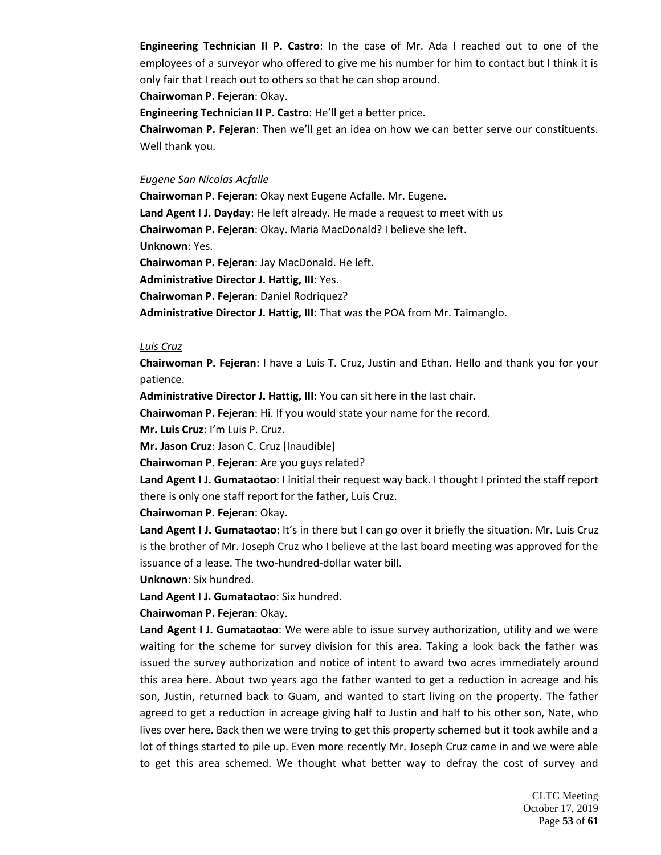**Engineering Technician II P. Castro**: In the case of Mr. Ada I reached out to one of the employees of a surveyor who offered to give me his number for him to contact but I think it is only fair that I reach out to others so that he can shop around.

**Chairwoman P. Fejeran**: Okay.

**Engineering Technician II P. Castro**: He'll get a better price.

**Chairwoman P. Fejeran**: Then we'll get an idea on how we can better serve our constituents. Well thank you.

### *Eugene San Nicolas Acfalle*

**Chairwoman P. Fejeran**: Okay next Eugene Acfalle. Mr. Eugene.

**Land Agent I J. Dayday**: He left already. He made a request to meet with us

**Chairwoman P. Fejeran**: Okay. Maria MacDonald? I believe she left.

**Unknown**: Yes.

**Chairwoman P. Fejeran**: Jay MacDonald. He left.

**Administrative Director J. Hattig, III**: Yes.

**Chairwoman P. Fejeran**: Daniel Rodriquez?

**Administrative Director J. Hattig, III**: That was the POA from Mr. Taimanglo.

### *Luis Cruz*

**Chairwoman P. Fejeran**: I have a Luis T. Cruz, Justin and Ethan. Hello and thank you for your patience.

**Administrative Director J. Hattig, III**: You can sit here in the last chair.

**Chairwoman P. Fejeran**: Hi. If you would state your name for the record.

**Mr. Luis Cruz**: I'm Luis P. Cruz.

**Mr. Jason Cruz**: Jason C. Cruz [Inaudible]

**Chairwoman P. Fejeran**: Are you guys related?

**Land Agent I J. Gumataotao**: I initial their request way back. I thought I printed the staff report there is only one staff report for the father, Luis Cruz.

**Chairwoman P. Fejeran**: Okay.

**Land Agent I J. Gumataotao**: It's in there but I can go over it briefly the situation. Mr. Luis Cruz is the brother of Mr. Joseph Cruz who I believe at the last board meeting was approved for the issuance of a lease. The two-hundred-dollar water bill.

**Unknown**: Six hundred.

**Land Agent I J. Gumataotao**: Six hundred.

**Chairwoman P. Fejeran**: Okay.

**Land Agent I J. Gumataotao**: We were able to issue survey authorization, utility and we were waiting for the scheme for survey division for this area. Taking a look back the father was issued the survey authorization and notice of intent to award two acres immediately around this area here. About two years ago the father wanted to get a reduction in acreage and his son, Justin, returned back to Guam, and wanted to start living on the property. The father agreed to get a reduction in acreage giving half to Justin and half to his other son, Nate, who lives over here. Back then we were trying to get this property schemed but it took awhile and a lot of things started to pile up. Even more recently Mr. Joseph Cruz came in and we were able to get this area schemed. We thought what better way to defray the cost of survey and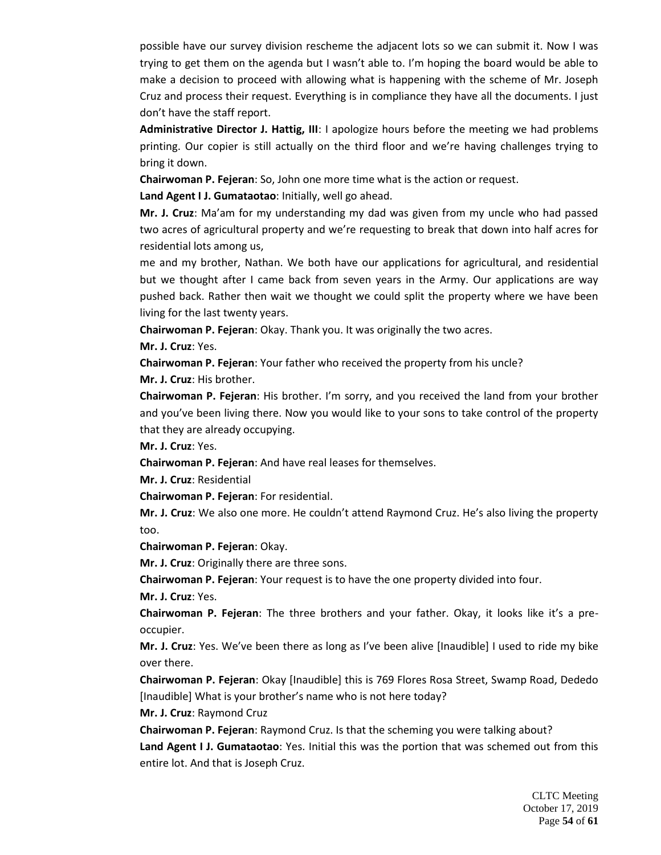possible have our survey division rescheme the adjacent lots so we can submit it. Now I was trying to get them on the agenda but I wasn't able to. I'm hoping the board would be able to make a decision to proceed with allowing what is happening with the scheme of Mr. Joseph Cruz and process their request. Everything is in compliance they have all the documents. I just don't have the staff report.

**Administrative Director J. Hattig, III**: I apologize hours before the meeting we had problems printing. Our copier is still actually on the third floor and we're having challenges trying to bring it down.

**Chairwoman P. Fejeran**: So, John one more time what is the action or request.

**Land Agent I J. Gumataotao**: Initially, well go ahead.

**Mr. J. Cruz**: Ma'am for my understanding my dad was given from my uncle who had passed two acres of agricultural property and we're requesting to break that down into half acres for residential lots among us,

me and my brother, Nathan. We both have our applications for agricultural, and residential but we thought after I came back from seven years in the Army. Our applications are way pushed back. Rather then wait we thought we could split the property where we have been living for the last twenty years.

**Chairwoman P. Fejeran**: Okay. Thank you. It was originally the two acres.

**Mr. J. Cruz**: Yes.

**Chairwoman P. Fejeran**: Your father who received the property from his uncle?

**Mr. J. Cruz**: His brother.

**Chairwoman P. Fejeran**: His brother. I'm sorry, and you received the land from your brother and you've been living there. Now you would like to your sons to take control of the property that they are already occupying.

**Mr. J. Cruz**: Yes.

**Chairwoman P. Fejeran**: And have real leases for themselves.

**Mr. J. Cruz**: Residential

**Chairwoman P. Fejeran**: For residential.

**Mr. J. Cruz**: We also one more. He couldn't attend Raymond Cruz. He's also living the property too.

**Chairwoman P. Fejeran**: Okay.

**Mr. J. Cruz**: Originally there are three sons.

**Chairwoman P. Fejeran**: Your request is to have the one property divided into four.

**Mr. J. Cruz**: Yes.

**Chairwoman P. Fejeran**: The three brothers and your father. Okay, it looks like it's a preoccupier.

**Mr. J. Cruz**: Yes. We've been there as long as I've been alive [Inaudible] I used to ride my bike over there.

**Chairwoman P. Fejeran**: Okay [Inaudible] this is 769 Flores Rosa Street, Swamp Road, Dededo [Inaudible] What is your brother's name who is not here today?

**Mr. J. Cruz**: Raymond Cruz

**Chairwoman P. Fejeran**: Raymond Cruz. Is that the scheming you were talking about?

**Land Agent I J. Gumataotao**: Yes. Initial this was the portion that was schemed out from this entire lot. And that is Joseph Cruz.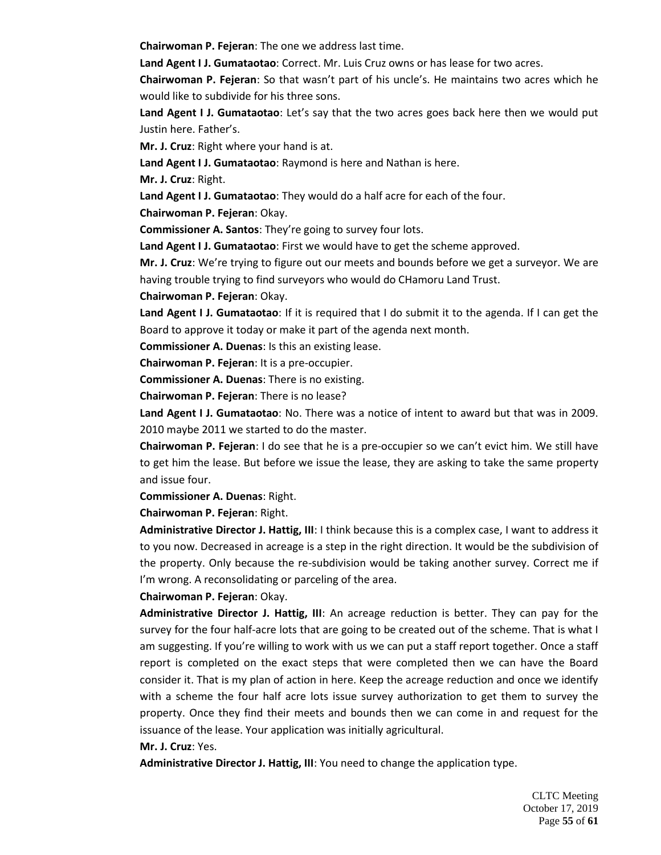**Chairwoman P. Fejeran**: The one we address last time.

**Land Agent I J. Gumataotao**: Correct. Mr. Luis Cruz owns or has lease for two acres.

**Chairwoman P. Fejeran**: So that wasn't part of his uncle's. He maintains two acres which he would like to subdivide for his three sons.

**Land Agent I J. Gumataotao**: Let's say that the two acres goes back here then we would put Justin here. Father's.

**Mr. J. Cruz**: Right where your hand is at.

**Land Agent I J. Gumataotao**: Raymond is here and Nathan is here.

**Mr. J. Cruz**: Right.

**Land Agent I J. Gumataotao**: They would do a half acre for each of the four.

**Chairwoman P. Fejeran**: Okay.

**Commissioner A. Santos**: They're going to survey four lots.

**Land Agent I J. Gumataotao**: First we would have to get the scheme approved.

**Mr. J. Cruz**: We're trying to figure out our meets and bounds before we get a surveyor. We are having trouble trying to find surveyors who would do CHamoru Land Trust.

**Chairwoman P. Fejeran**: Okay.

**Land Agent I J. Gumataotao**: If it is required that I do submit it to the agenda. If I can get the Board to approve it today or make it part of the agenda next month.

**Commissioner A. Duenas**: Is this an existing lease.

**Chairwoman P. Fejeran**: It is a pre-occupier.

**Commissioner A. Duenas**: There is no existing.

**Chairwoman P. Fejeran**: There is no lease?

**Land Agent I J. Gumataotao**: No. There was a notice of intent to award but that was in 2009. 2010 maybe 2011 we started to do the master.

**Chairwoman P. Fejeran**: I do see that he is a pre-occupier so we can't evict him. We still have to get him the lease. But before we issue the lease, they are asking to take the same property and issue four.

**Commissioner A. Duenas**: Right.

**Chairwoman P. Fejeran**: Right.

**Administrative Director J. Hattig, III**: I think because this is a complex case, I want to address it to you now. Decreased in acreage is a step in the right direction. It would be the subdivision of the property. Only because the re-subdivision would be taking another survey. Correct me if I'm wrong. A reconsolidating or parceling of the area.

**Chairwoman P. Fejeran**: Okay.

**Administrative Director J. Hattig, III**: An acreage reduction is better. They can pay for the survey for the four half-acre lots that are going to be created out of the scheme. That is what I am suggesting. If you're willing to work with us we can put a staff report together. Once a staff report is completed on the exact steps that were completed then we can have the Board consider it. That is my plan of action in here. Keep the acreage reduction and once we identify with a scheme the four half acre lots issue survey authorization to get them to survey the property. Once they find their meets and bounds then we can come in and request for the issuance of the lease. Your application was initially agricultural.

#### **Mr. J. Cruz**: Yes.

**Administrative Director J. Hattig, III**: You need to change the application type.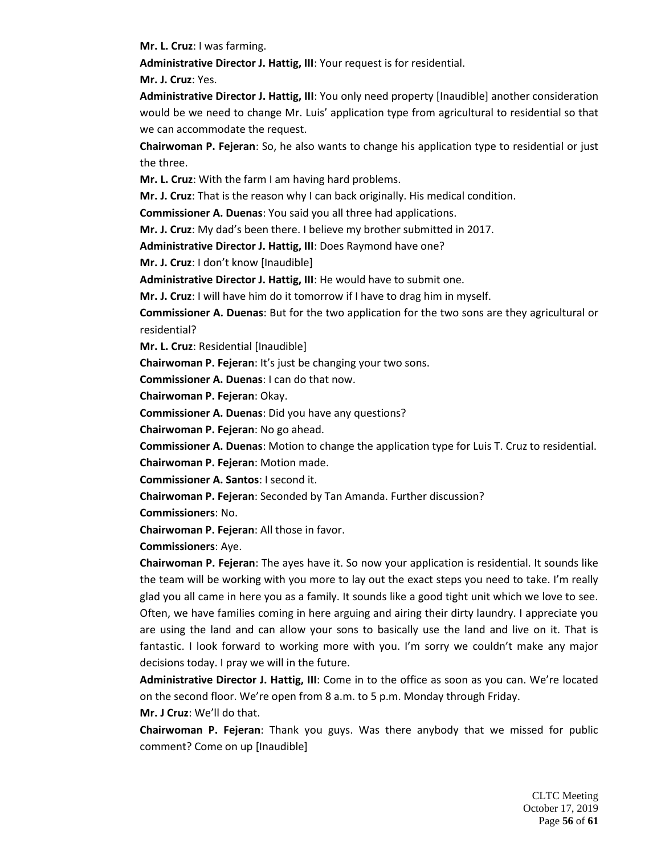**Mr. L. Cruz**: I was farming.

**Administrative Director J. Hattig, III**: Your request is for residential.

**Mr. J. Cruz**: Yes.

**Administrative Director J. Hattig, III**: You only need property [Inaudible] another consideration would be we need to change Mr. Luis' application type from agricultural to residential so that we can accommodate the request.

**Chairwoman P. Fejeran**: So, he also wants to change his application type to residential or just the three.

**Mr. L. Cruz**: With the farm I am having hard problems.

**Mr. J. Cruz**: That is the reason why I can back originally. His medical condition.

**Commissioner A. Duenas**: You said you all three had applications.

**Mr. J. Cruz**: My dad's been there. I believe my brother submitted in 2017.

**Administrative Director J. Hattig, III**: Does Raymond have one?

**Mr. J. Cruz**: I don't know [Inaudible]

**Administrative Director J. Hattig, III**: He would have to submit one.

**Mr. J. Cruz**: I will have him do it tomorrow if I have to drag him in myself.

**Commissioner A. Duenas**: But for the two application for the two sons are they agricultural or residential?

**Mr. L. Cruz**: Residential [Inaudible]

**Chairwoman P. Fejeran**: It's just be changing your two sons.

**Commissioner A. Duenas**: I can do that now.

**Chairwoman P. Fejeran**: Okay.

**Commissioner A. Duenas**: Did you have any questions?

**Chairwoman P. Fejeran**: No go ahead.

**Commissioner A. Duenas**: Motion to change the application type for Luis T. Cruz to residential.

**Chairwoman P. Fejeran**: Motion made.

**Commissioner A. Santos**: I second it.

**Chairwoman P. Fejeran**: Seconded by Tan Amanda. Further discussion?

**Commissioners**: No.

**Chairwoman P. Fejeran**: All those in favor.

**Commissioners**: Aye.

**Chairwoman P. Fejeran**: The ayes have it. So now your application is residential. It sounds like the team will be working with you more to lay out the exact steps you need to take. I'm really glad you all came in here you as a family. It sounds like a good tight unit which we love to see. Often, we have families coming in here arguing and airing their dirty laundry. I appreciate you are using the land and can allow your sons to basically use the land and live on it. That is fantastic. I look forward to working more with you. I'm sorry we couldn't make any major decisions today. I pray we will in the future.

**Administrative Director J. Hattig, III**: Come in to the office as soon as you can. We're located on the second floor. We're open from 8 a.m. to 5 p.m. Monday through Friday.

**Mr. J Cruz**: We'll do that.

**Chairwoman P. Fejeran**: Thank you guys. Was there anybody that we missed for public comment? Come on up [Inaudible]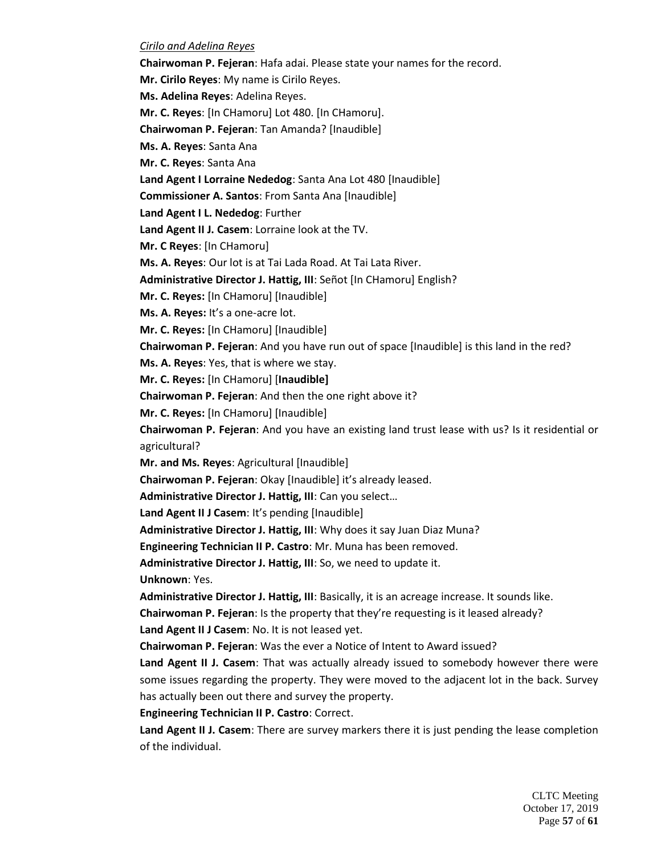### *Cirilo and Adelina Reyes*

**Chairwoman P. Fejeran**: Hafa adai. Please state your names for the record.

**Mr. Cirilo Reyes**: My name is Cirilo Reyes.

**Ms. Adelina Reyes**: Adelina Reyes.

**Mr. C. Reyes**: [In CHamoru] Lot 480. [In CHamoru].

**Chairwoman P. Fejeran**: Tan Amanda? [Inaudible]

**Ms. A. Reyes**: Santa Ana

**Mr. C. Reyes**: Santa Ana

**Land Agent I Lorraine Nededog**: Santa Ana Lot 480 [Inaudible]

**Commissioner A. Santos**: From Santa Ana [Inaudible]

**Land Agent I L. Nededog**: Further

**Land Agent II J. Casem**: Lorraine look at the TV.

**Mr. C Reyes**: [In CHamoru]

**Ms. A. Reyes**: Our lot is at Tai Lada Road. At Tai Lata River.

**Administrative Director J. Hattig, III**: Señot [In CHamoru] English?

**Mr. C. Reyes:** [In CHamoru] [Inaudible]

**Ms. A. Reyes:** It's a one-acre lot.

**Mr. C. Reyes:** [In CHamoru] [Inaudible]

**Chairwoman P. Fejeran**: And you have run out of space [Inaudible] is this land in the red?

**Ms. A. Reyes**: Yes, that is where we stay.

**Mr. C. Reyes:** [In CHamoru] [**Inaudible]**

**Chairwoman P. Fejeran**: And then the one right above it?

**Mr. C. Reyes:** [In CHamoru] [Inaudible]

**Chairwoman P. Fejeran**: And you have an existing land trust lease with us? Is it residential or agricultural?

**Mr. and Ms. Reyes**: Agricultural [Inaudible]

**Chairwoman P. Fejeran**: Okay [Inaudible] it's already leased.

**Administrative Director J. Hattig, III**: Can you select…

**Land Agent II J Casem**: It's pending [Inaudible]

**Administrative Director J. Hattig, III**: Why does it say Juan Diaz Muna?

**Engineering Technician II P. Castro**: Mr. Muna has been removed.

**Administrative Director J. Hattig, III**: So, we need to update it.

**Unknown**: Yes.

**Administrative Director J. Hattig, III**: Basically, it is an acreage increase. It sounds like.

**Chairwoman P. Fejeran**: Is the property that they're requesting is it leased already?

**Land Agent II J Casem**: No. It is not leased yet.

**Chairwoman P. Fejeran**: Was the ever a Notice of Intent to Award issued?

**Land Agent II J. Casem**: That was actually already issued to somebody however there were some issues regarding the property. They were moved to the adjacent lot in the back. Survey has actually been out there and survey the property.

**Engineering Technician II P. Castro**: Correct.

**Land Agent II J. Casem**: There are survey markers there it is just pending the lease completion of the individual.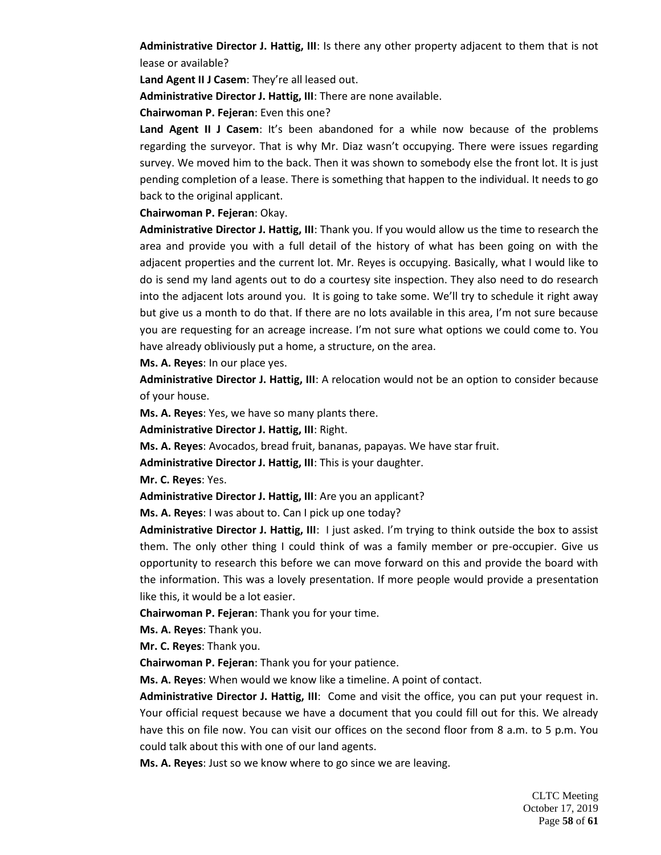**Administrative Director J. Hattig, III**: Is there any other property adjacent to them that is not lease or available?

**Land Agent II J Casem**: They're all leased out.

**Administrative Director J. Hattig, III**: There are none available.

**Chairwoman P. Fejeran**: Even this one?

**Land Agent II J Casem**: It's been abandoned for a while now because of the problems regarding the surveyor. That is why Mr. Diaz wasn't occupying. There were issues regarding survey. We moved him to the back. Then it was shown to somebody else the front lot. It is just pending completion of a lease. There is something that happen to the individual. It needs to go back to the original applicant.

**Chairwoman P. Fejeran**: Okay.

**Administrative Director J. Hattig, III**: Thank you. If you would allow us the time to research the area and provide you with a full detail of the history of what has been going on with the adjacent properties and the current lot. Mr. Reyes is occupying. Basically, what I would like to do is send my land agents out to do a courtesy site inspection. They also need to do research into the adjacent lots around you. It is going to take some. We'll try to schedule it right away but give us a month to do that. If there are no lots available in this area, I'm not sure because you are requesting for an acreage increase. I'm not sure what options we could come to. You have already obliviously put a home, a structure, on the area.

**Ms. A. Reyes**: In our place yes.

**Administrative Director J. Hattig, III**: A relocation would not be an option to consider because of your house.

**Ms. A. Reyes**: Yes, we have so many plants there.

**Administrative Director J. Hattig, III**: Right.

**Ms. A. Reyes**: Avocados, bread fruit, bananas, papayas. We have star fruit.

**Administrative Director J. Hattig, III**: This is your daughter.

**Mr. C. Reyes**: Yes.

**Administrative Director J. Hattig, III**: Are you an applicant?

**Ms. A. Reyes**: I was about to. Can I pick up one today?

**Administrative Director J. Hattig, III**: I just asked. I'm trying to think outside the box to assist them. The only other thing I could think of was a family member or pre-occupier. Give us opportunity to research this before we can move forward on this and provide the board with the information. This was a lovely presentation. If more people would provide a presentation like this, it would be a lot easier.

**Chairwoman P. Fejeran**: Thank you for your time.

**Ms. A. Reyes**: Thank you.

**Mr. C. Reyes**: Thank you.

**Chairwoman P. Fejeran**: Thank you for your patience.

**Ms. A. Reyes**: When would we know like a timeline. A point of contact.

**Administrative Director J. Hattig, III**: Come and visit the office, you can put your request in. Your official request because we have a document that you could fill out for this. We already have this on file now. You can visit our offices on the second floor from 8 a.m. to 5 p.m. You could talk about this with one of our land agents.

**Ms. A. Reyes**: Just so we know where to go since we are leaving.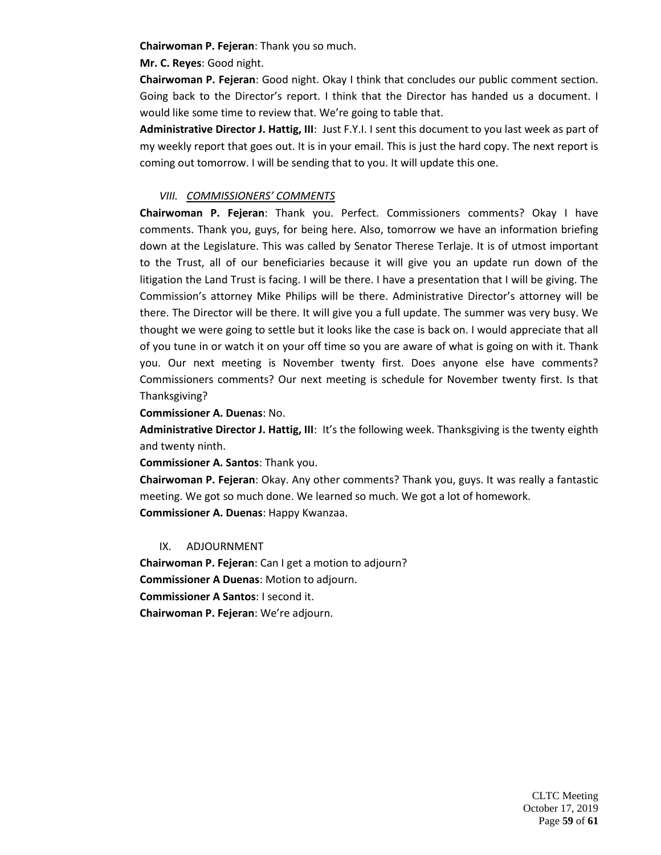**Chairwoman P. Fejeran**: Thank you so much.

**Mr. C. Reyes**: Good night.

**Chairwoman P. Fejeran**: Good night. Okay I think that concludes our public comment section. Going back to the Director's report. I think that the Director has handed us a document. I would like some time to review that. We're going to table that.

**Administrative Director J. Hattig, III**: Just F.Y.I. I sent this document to you last week as part of my weekly report that goes out. It is in your email. This is just the hard copy. The next report is coming out tomorrow. I will be sending that to you. It will update this one.

## *VIII. COMMISSIONERS' COMMENTS*

**Chairwoman P. Fejeran**: Thank you. Perfect. Commissioners comments? Okay I have comments. Thank you, guys, for being here. Also, tomorrow we have an information briefing down at the Legislature. This was called by Senator Therese Terlaje. It is of utmost important to the Trust, all of our beneficiaries because it will give you an update run down of the litigation the Land Trust is facing. I will be there. I have a presentation that I will be giving. The Commission's attorney Mike Philips will be there. Administrative Director's attorney will be there. The Director will be there. It will give you a full update. The summer was very busy. We thought we were going to settle but it looks like the case is back on. I would appreciate that all of you tune in or watch it on your off time so you are aware of what is going on with it. Thank you. Our next meeting is November twenty first. Does anyone else have comments? Commissioners comments? Our next meeting is schedule for November twenty first. Is that Thanksgiving?

## **Commissioner A. Duenas**: No.

**Administrative Director J. Hattig, III**: It's the following week. Thanksgiving is the twenty eighth and twenty ninth.

**Commissioner A. Santos**: Thank you.

**Chairwoman P. Fejeran**: Okay. Any other comments? Thank you, guys. It was really a fantastic meeting. We got so much done. We learned so much. We got a lot of homework. **Commissioner A. Duenas**: Happy Kwanzaa.

## IX. ADJOURNMENT

**Chairwoman P. Fejeran**: Can I get a motion to adjourn? **Commissioner A Duenas**: Motion to adjourn. **Commissioner A Santos**: I second it. **Chairwoman P. Fejeran**: We're adjourn.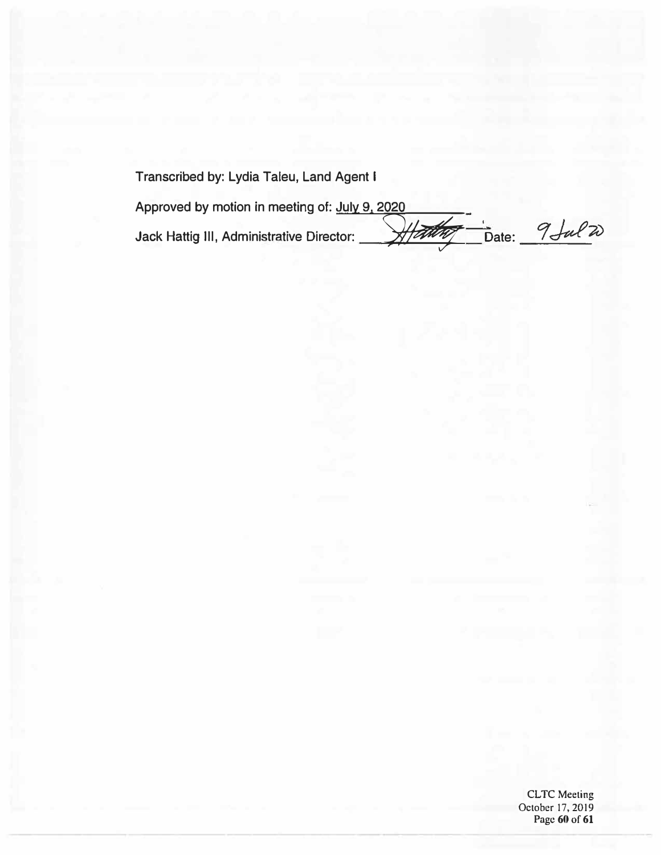**Transcribed by: Lydia Taleu, Land Agent I** 

**Approved by motion in meeting of: July 9, 2020**  Jack Hattig III, Administrative Director: <del>Allathy D</del>ate: 9 <del>J</del>ul 20

CLTC Meeting October 17, 2019 Page 60 of 61